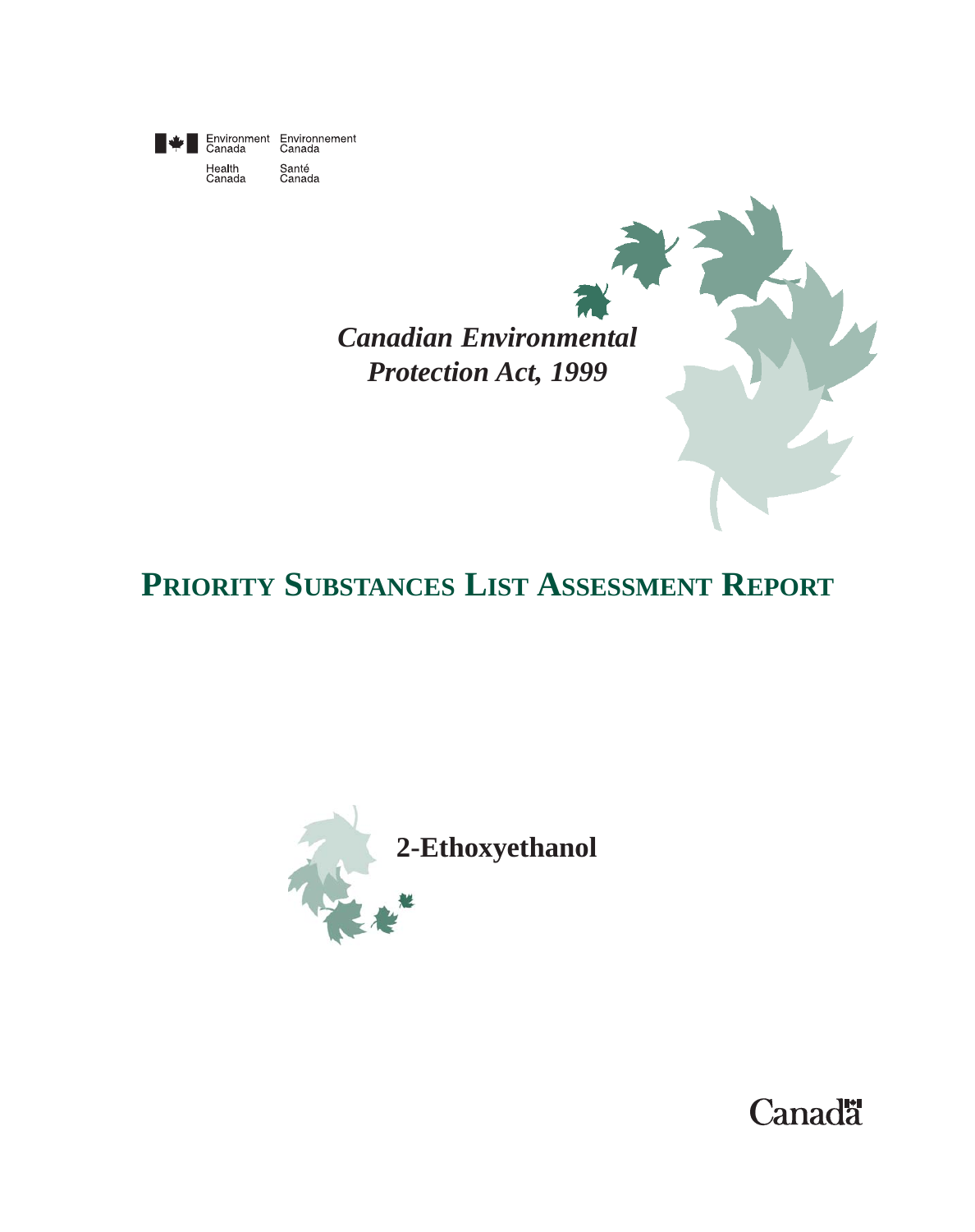

Santé<br>Canada

*Canadian Environmental Protection Act, 1999*

# **PRIORITY SUBSTANCES LIST ASSESSMENT REPORT**



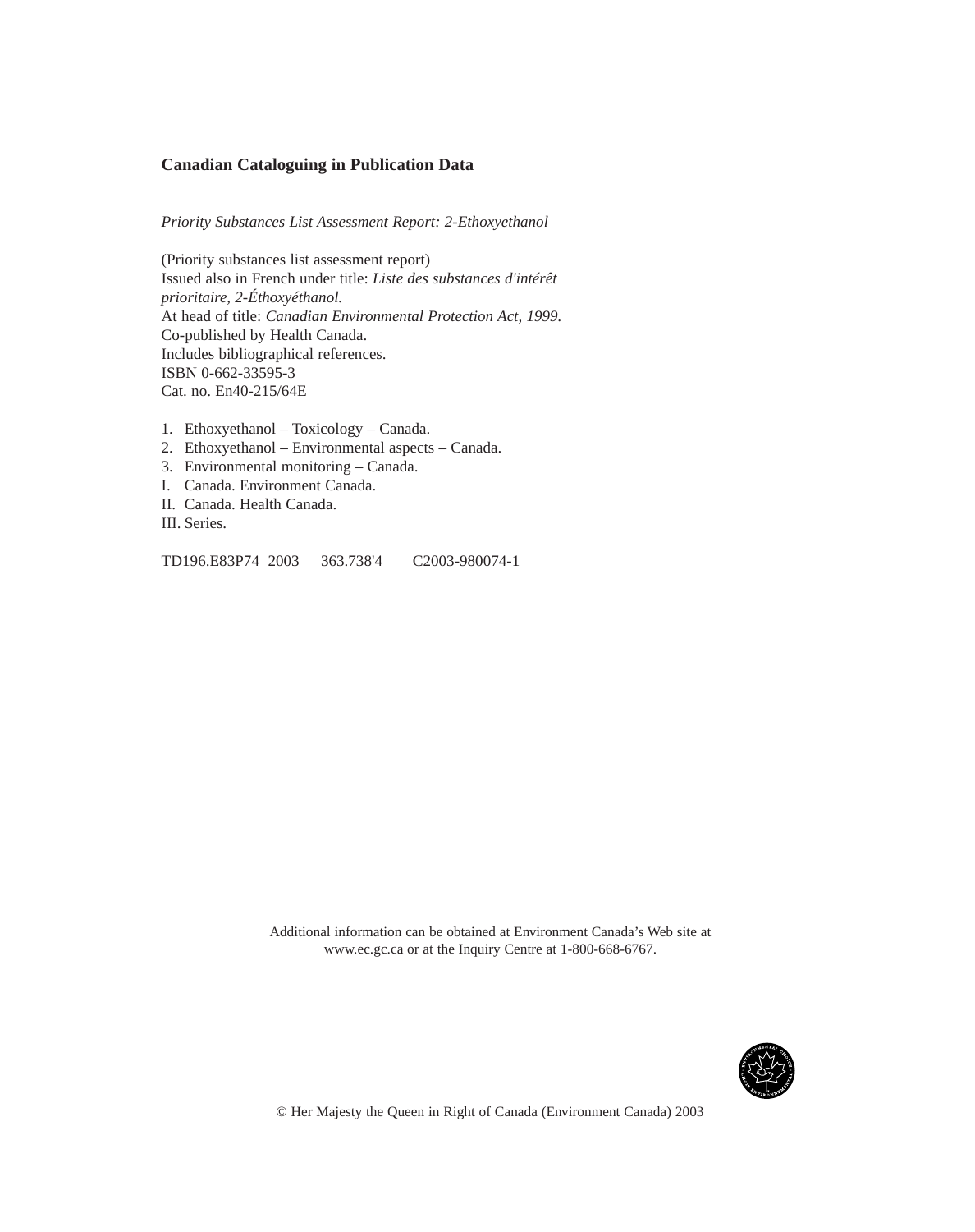#### **Canadian Cataloguing in Publication Data**

*Priority Substances List Assessment Report: 2-Ethoxyethanol*

(Priority substances list assessment report) Issued also in French under title: *Liste des substances d'intérêt prioritaire, 2-Éthoxyéthanol.* At head of title: *Canadian Environmental Protection Act, 1999.* Co-published by Health Canada. Includes bibliographical references. ISBN 0-662-33595-3 Cat. no. En40-215/64E

- 1. Ethoxyethanol Toxicology Canada.
- 2. Ethoxyethanol Environmental aspects Canada.
- 3. Environmental monitoring Canada.
- I. Canada. Environment Canada.
- II. Canada. Health Canada.
- III. Series.

TD196.E83P74 2003 363.738'4 C2003-980074-1

Additional information can be obtained at Environment Canada's Web site at www.ec.gc.ca or at the Inquiry Centre at 1-800-668-6767.

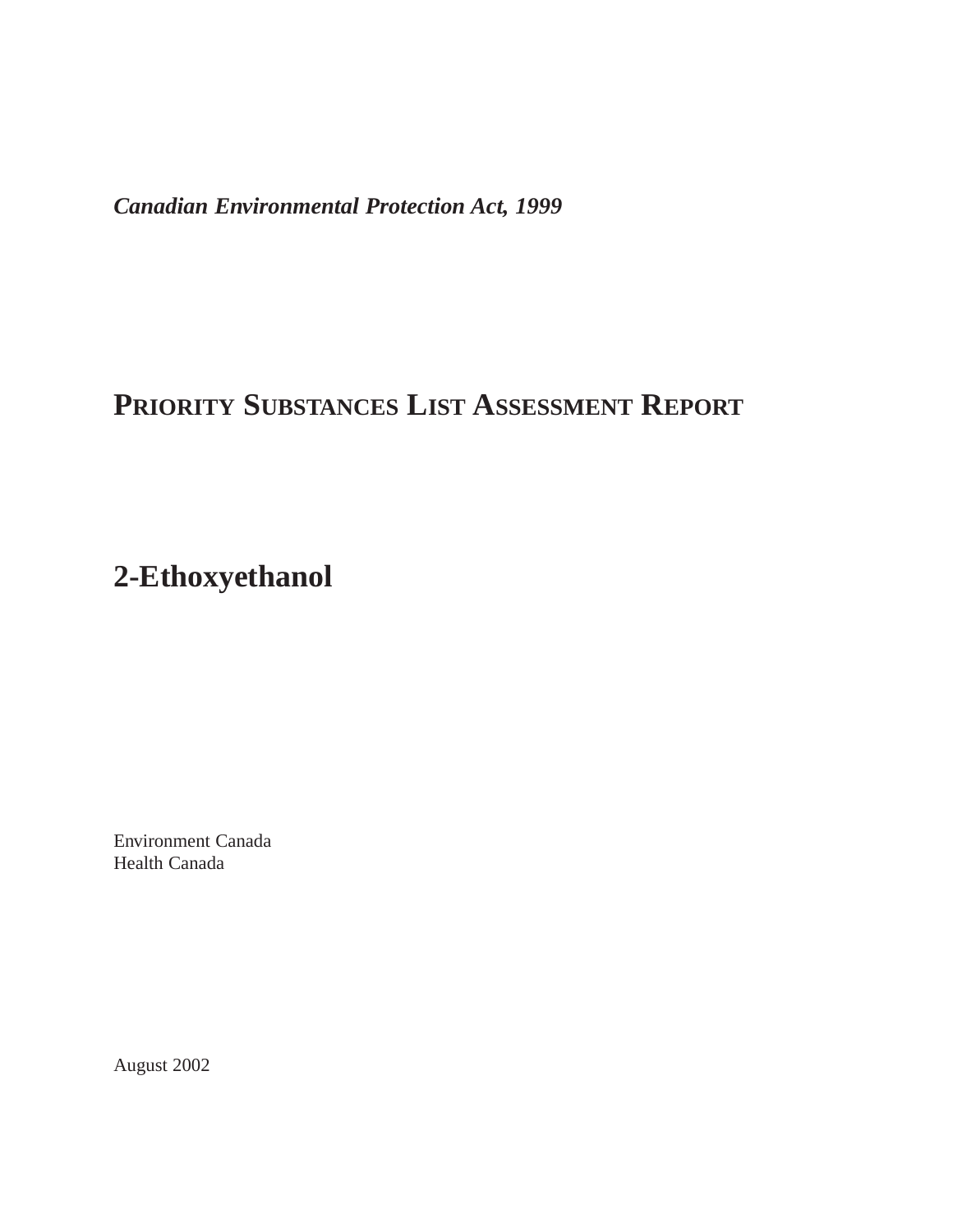*Canadian Environmental Protection Act, 1999*

## **PRIORITY SUBSTANCES LIST ASSESSMENT REPORT**

## **2-Ethoxyethanol**

Environment Canada Health Canada

August 2002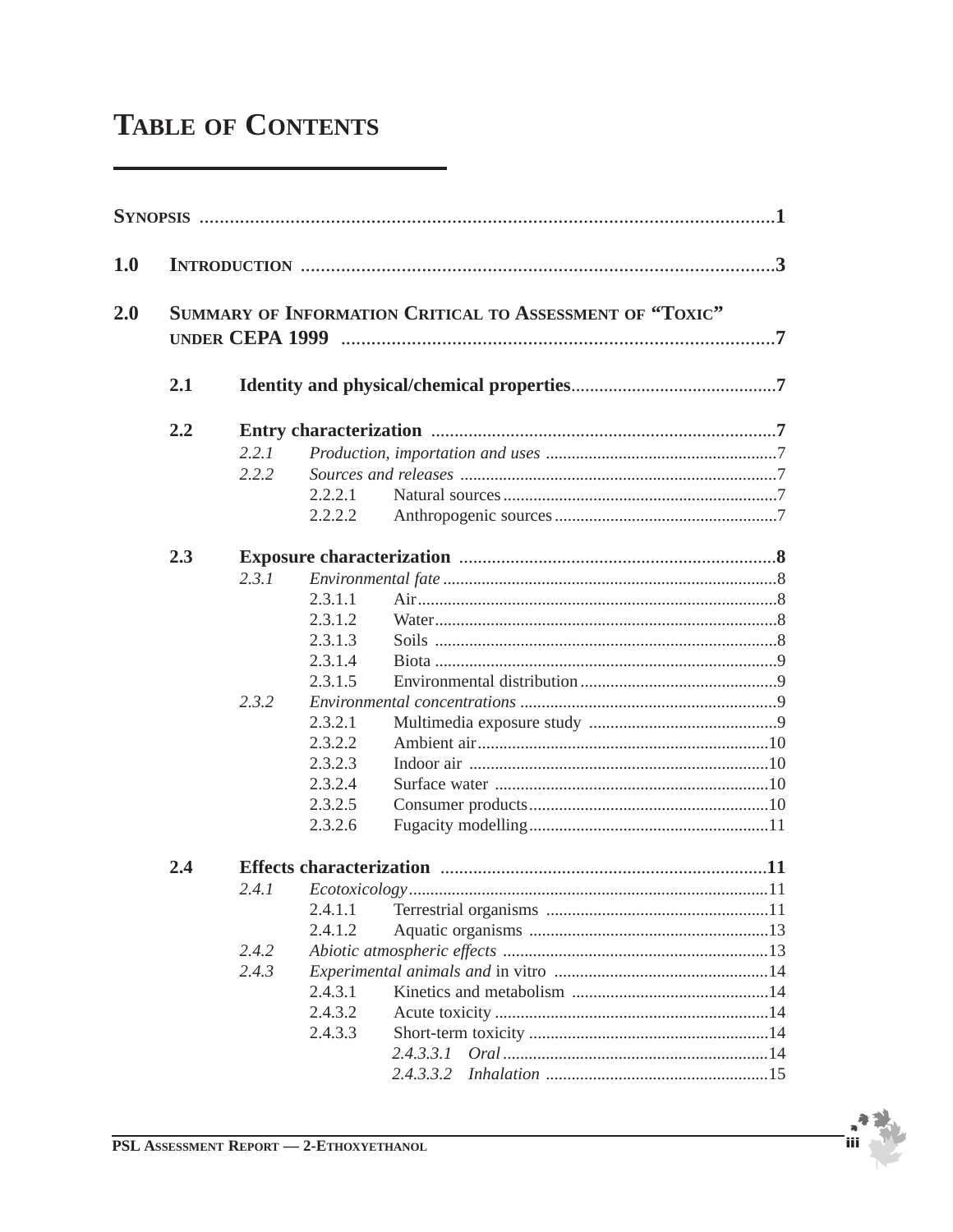# **TABLE OF CONTENTS**

| 1.0 |     |       |         |                                                          |  |
|-----|-----|-------|---------|----------------------------------------------------------|--|
| 2.0 |     |       |         | SUMMARY OF INFORMATION CRITICAL TO ASSESSMENT OF "TOXIC" |  |
|     | 2.1 |       |         |                                                          |  |
|     | 2.2 |       |         |                                                          |  |
|     |     | 2.2.1 |         |                                                          |  |
|     |     | 2.2.2 |         |                                                          |  |
|     |     |       | 2.2.2.1 |                                                          |  |
|     |     |       | 2.2.2.2 |                                                          |  |
|     | 2.3 |       |         |                                                          |  |
|     |     | 2.3.1 |         |                                                          |  |
|     |     |       | 2.3.1.1 |                                                          |  |
|     |     |       | 2.3.1.2 |                                                          |  |
|     |     |       | 2.3.1.3 |                                                          |  |
|     |     |       | 2.3.1.4 |                                                          |  |
|     |     |       | 2.3.1.5 |                                                          |  |
|     |     | 2.3.2 |         |                                                          |  |
|     |     |       | 2.3.2.1 |                                                          |  |
|     |     |       | 2.3.2.2 |                                                          |  |
|     |     |       | 2.3.2.3 |                                                          |  |
|     |     |       | 2.3.2.4 |                                                          |  |
|     |     |       | 2.3.2.5 |                                                          |  |
|     |     |       | 2.3.2.6 |                                                          |  |
|     | 2.4 |       |         |                                                          |  |
|     |     | 2.4.1 |         |                                                          |  |
|     |     |       | 2.4.1.1 |                                                          |  |
|     |     |       | 2.4.1.2 |                                                          |  |
|     |     | 2.4.2 |         |                                                          |  |
|     |     | 2.4.3 |         |                                                          |  |
|     |     |       | 2.4.3.1 |                                                          |  |
|     |     |       | 2.4.3.2 |                                                          |  |
|     |     |       | 2.4.3.3 |                                                          |  |
|     |     |       |         | 2.4.3.3.1                                                |  |
|     |     |       |         | 2.4.3.3.2                                                |  |

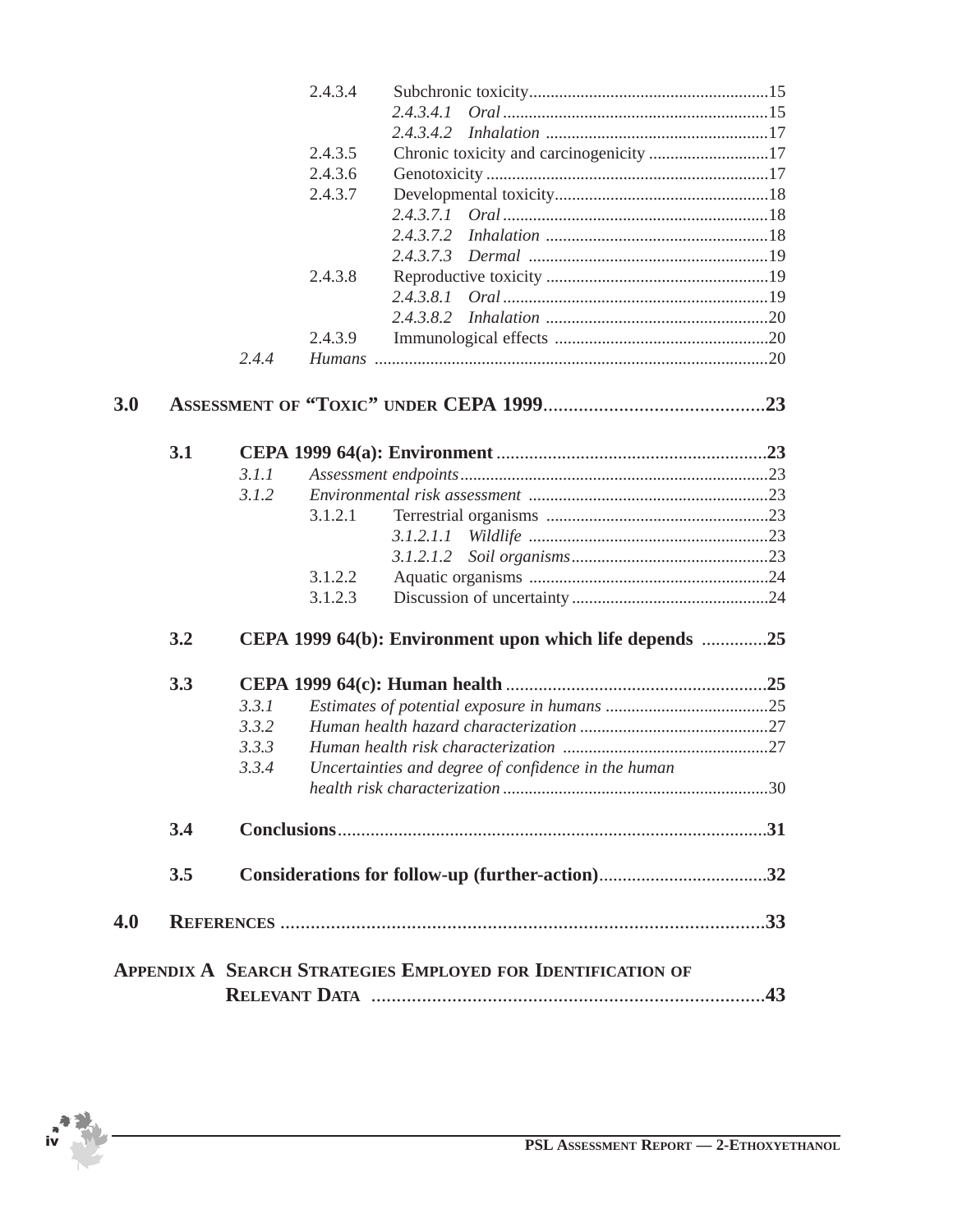|     |     |       | 2.4.3.4 |                                                                    |  |
|-----|-----|-------|---------|--------------------------------------------------------------------|--|
|     |     |       |         | 2, 4, 3, 4, 1                                                      |  |
|     |     |       |         |                                                                    |  |
|     |     |       | 2.4.3.5 | Chronic toxicity and carcinogenicity 17                            |  |
|     |     |       | 2.4.3.6 |                                                                    |  |
|     |     |       | 2.4.3.7 |                                                                    |  |
|     |     |       |         |                                                                    |  |
|     |     |       |         |                                                                    |  |
|     |     |       |         |                                                                    |  |
|     |     |       | 2.4.3.8 |                                                                    |  |
|     |     |       |         |                                                                    |  |
|     |     |       |         |                                                                    |  |
|     |     |       | 2.4.3.9 |                                                                    |  |
|     |     | 2.4.4 |         |                                                                    |  |
| 3.0 |     |       |         |                                                                    |  |
|     |     |       |         |                                                                    |  |
|     | 3.1 |       |         |                                                                    |  |
|     |     | 3.1.1 |         |                                                                    |  |
|     |     | 3.1.2 |         |                                                                    |  |
|     |     |       | 3.1.2.1 |                                                                    |  |
|     |     |       |         |                                                                    |  |
|     |     |       |         | 3.1.2.1.2                                                          |  |
|     |     |       | 3.1.2.2 |                                                                    |  |
|     |     |       | 3.1.2.3 |                                                                    |  |
|     | 3.2 |       |         | CEPA 1999 64(b): Environment upon which life depends 25            |  |
|     | 3.3 |       |         |                                                                    |  |
|     |     | 3.3.1 |         |                                                                    |  |
|     |     | 3.3.2 |         |                                                                    |  |
|     |     | 3.3.3 |         |                                                                    |  |
|     |     | 3.3.4 |         | Uncertainties and degree of confidence in the human                |  |
|     |     |       |         |                                                                    |  |
|     | 3.4 |       |         |                                                                    |  |
|     | 3.5 |       |         |                                                                    |  |
| 4.0 |     |       |         |                                                                    |  |
|     |     |       |         | <b>APPENDIX A SEARCH STRATEGIES EMPLOYED FOR IDENTIFICATION OF</b> |  |
|     |     |       |         |                                                                    |  |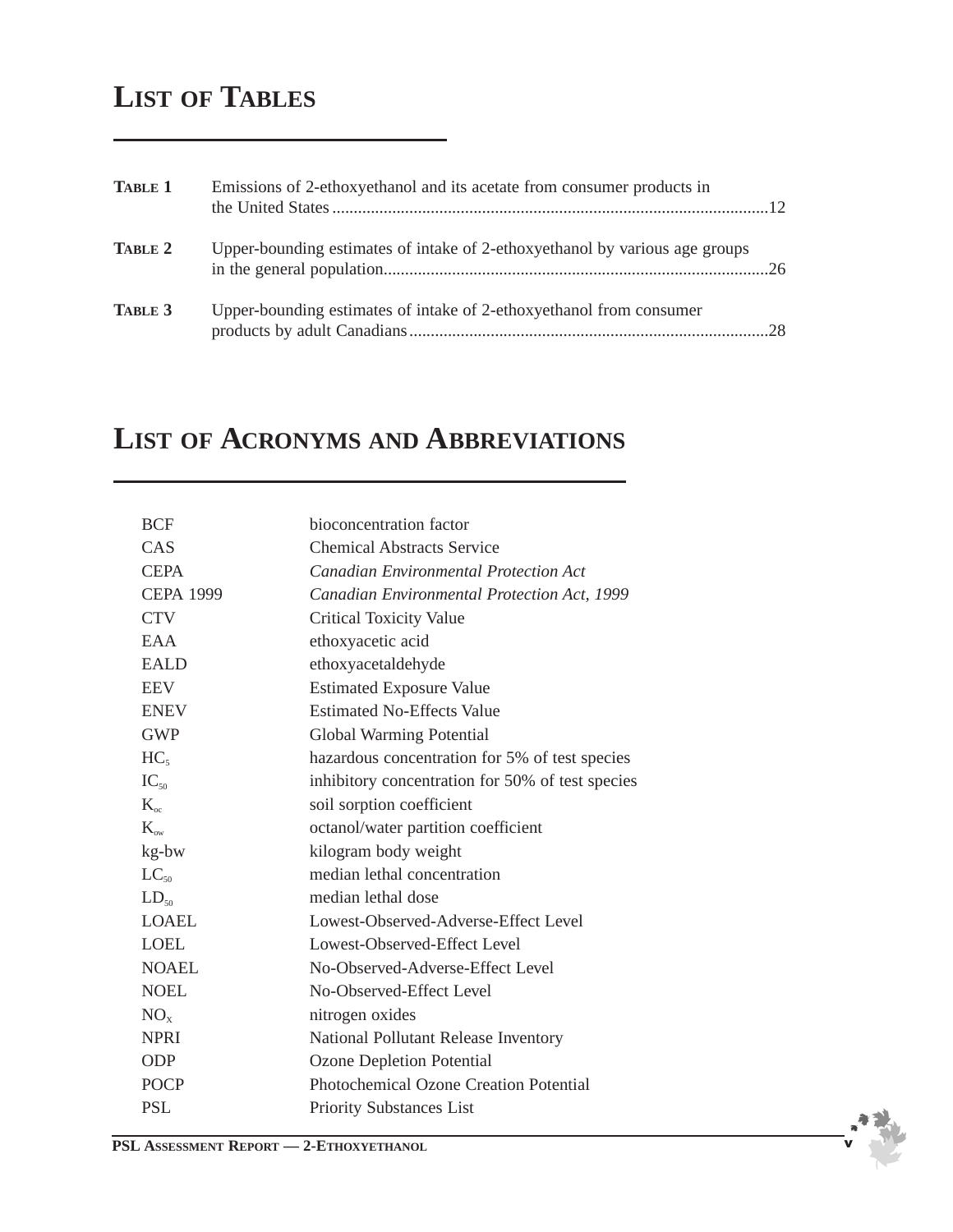## **LIST OF TABLES**

| <b>TABLE 1</b> | Emissions of 2-ethoxyethanol and its acetate from consumer products in      |  |
|----------------|-----------------------------------------------------------------------------|--|
| TABLE 2        | Upper-bounding estimates of intake of 2-ethoxyethanol by various age groups |  |
| TABLE 3        | Upper-bounding estimates of intake of 2-ethoxyethanol from consumer         |  |

## **LIST OF ACRONYMS AND ABBREVIATIONS**

| <b>BCF</b>       | bioconcentration factor                          |
|------------------|--------------------------------------------------|
| CAS              | <b>Chemical Abstracts Service</b>                |
| <b>CEPA</b>      | <b>Canadian Environmental Protection Act</b>     |
| <b>CEPA 1999</b> | Canadian Environmental Protection Act, 1999      |
| <b>CTV</b>       | <b>Critical Toxicity Value</b>                   |
| EAA              | ethoxyacetic acid                                |
| <b>EALD</b>      | ethoxyacetaldehyde                               |
| <b>EEV</b>       | <b>Estimated Exposure Value</b>                  |
| <b>ENEV</b>      | <b>Estimated No-Effects Value</b>                |
| <b>GWP</b>       | Global Warming Potential                         |
| HC <sub>5</sub>  | hazardous concentration for 5% of test species   |
| $IC_{50}$        | inhibitory concentration for 50% of test species |
| $K_{\rm oc}$     | soil sorption coefficient                        |
| $K_{\infty}$     | octanol/water partition coefficient              |
| kg-bw            | kilogram body weight                             |
| $LC_{50}$        | median lethal concentration                      |
| $LD_{50}$        | median lethal dose                               |
| <b>LOAEL</b>     | Lowest-Observed-Adverse-Effect Level             |
| <b>LOEL</b>      | Lowest-Observed-Effect Level                     |
| <b>NOAEL</b>     | No-Observed-Adverse-Effect Level                 |
| <b>NOEL</b>      | No-Observed-Effect Level                         |
| $NO_{x}$         | nitrogen oxides                                  |
| <b>NPRI</b>      | National Pollutant Release Inventory             |
| <b>ODP</b>       | <b>Ozone Depletion Potential</b>                 |
| <b>POCP</b>      | <b>Photochemical Ozone Creation Potential</b>    |
| <b>PSL</b>       | Priority Substances List                         |

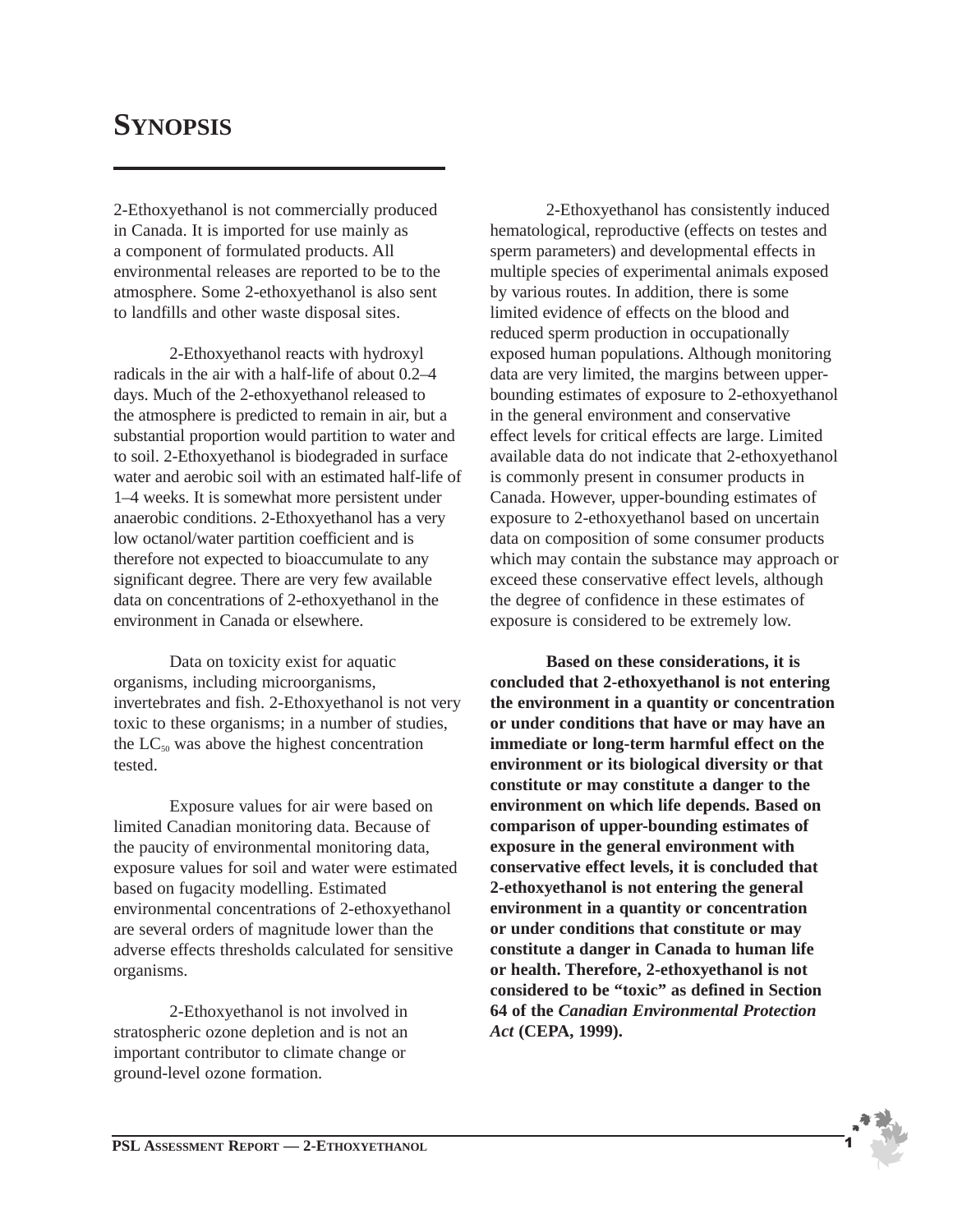## **SYNOPSIS**

2-Ethoxyethanol is not commercially produced in Canada. It is imported for use mainly as a component of formulated products. All environmental releases are reported to be to the atmosphere. Some 2-ethoxyethanol is also sent to landfills and other waste disposal sites.

2-Ethoxyethanol reacts with hydroxyl radicals in the air with a half-life of about 0.2–4 days. Much of the 2-ethoxyethanol released to the atmosphere is predicted to remain in air, but a substantial proportion would partition to water and to soil. 2-Ethoxyethanol is biodegraded in surface water and aerobic soil with an estimated half-life of 1–4 weeks. It is somewhat more persistent under anaerobic conditions. 2-Ethoxyethanol has a very low octanol/water partition coefficient and is therefore not expected to bioaccumulate to any significant degree. There are very few available data on concentrations of 2-ethoxyethanol in the environment in Canada or elsewhere.

Data on toxicity exist for aquatic organisms, including microorganisms, invertebrates and fish. 2-Ethoxyethanol is not very toxic to these organisms; in a number of studies, the  $LC_{50}$  was above the highest concentration tested.

Exposure values for air were based on limited Canadian monitoring data. Because of the paucity of environmental monitoring data, exposure values for soil and water were estimated based on fugacity modelling. Estimated environmental concentrations of 2-ethoxyethanol are several orders of magnitude lower than the adverse effects thresholds calculated for sensitive organisms.

2-Ethoxyethanol is not involved in stratospheric ozone depletion and is not an important contributor to climate change or ground-level ozone formation.

2-Ethoxyethanol has consistently induced hematological, reproductive (effects on testes and sperm parameters) and developmental effects in multiple species of experimental animals exposed by various routes. In addition, there is some limited evidence of effects on the blood and reduced sperm production in occupationally exposed human populations. Although monitoring data are very limited, the margins between upperbounding estimates of exposure to 2-ethoxyethanol in the general environment and conservative effect levels for critical effects are large. Limited available data do not indicate that 2-ethoxyethanol is commonly present in consumer products in Canada. However, upper-bounding estimates of exposure to 2-ethoxyethanol based on uncertain data on composition of some consumer products which may contain the substance may approach or exceed these conservative effect levels, although the degree of confidence in these estimates of exposure is considered to be extremely low.

**Based on these considerations, it is concluded that 2-ethoxyethanol is not entering the environment in a quantity or concentration or under conditions that have or may have an immediate or long-term harmful effect on the environment or its biological diversity or that constitute or may constitute a danger to the environment on which life depends. Based on comparison of upper-bounding estimates of exposure in the general environment with conservative effect levels, it is concluded that 2-ethoxyethanol is not entering the general environment in a quantity or concentration or under conditions that constitute or may constitute a danger in Canada to human life or health. Therefore, 2-ethoxyethanol is not considered to be "toxic" as defined in Section 64 of the** *Canadian Environmental Protection Act* **(CEPA, 1999).**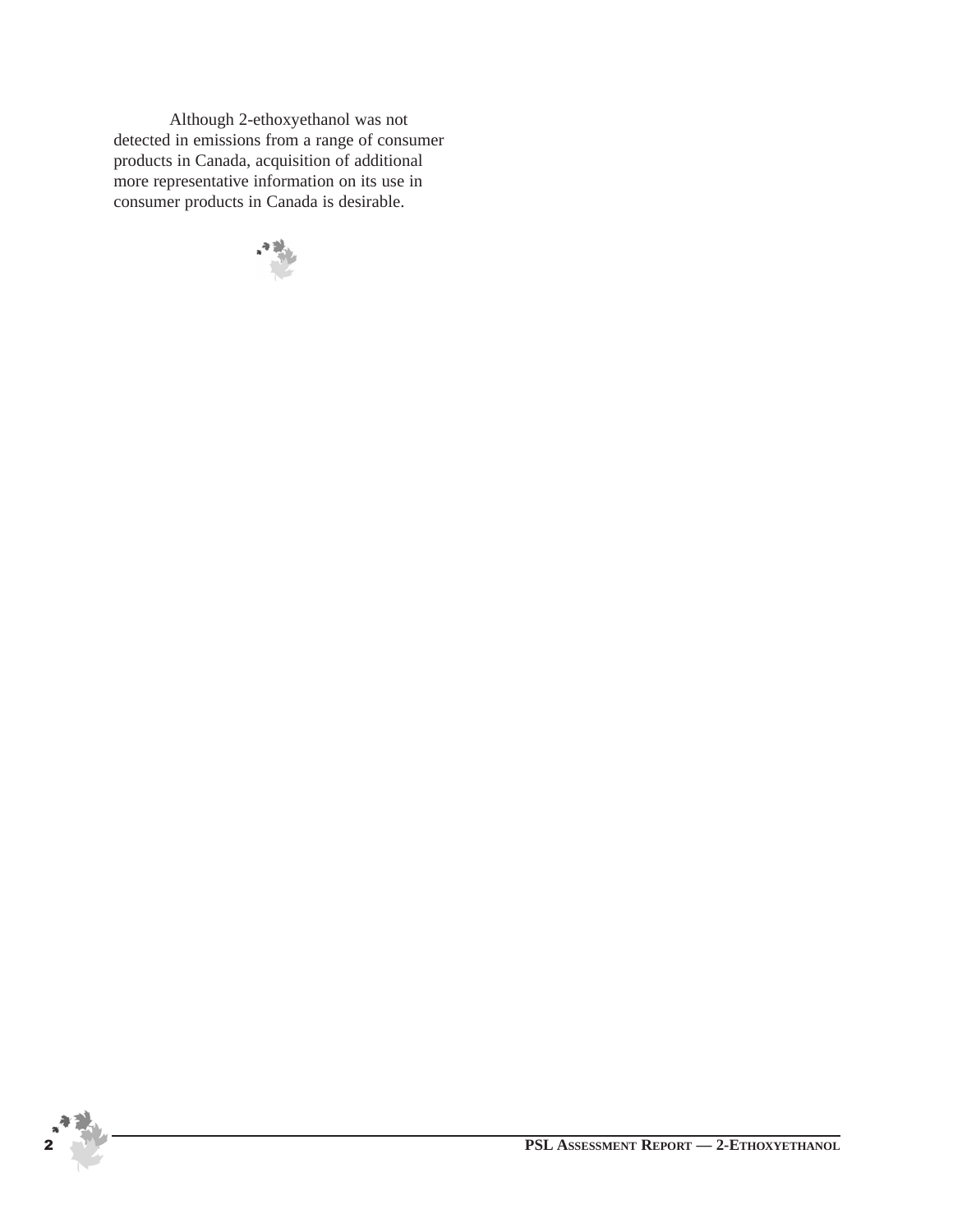Although 2-ethoxyethanol was not detected in emissions from a range of consumer products in Canada, acquisition of additional more representative information on its use in consumer products in Canada is desirable.

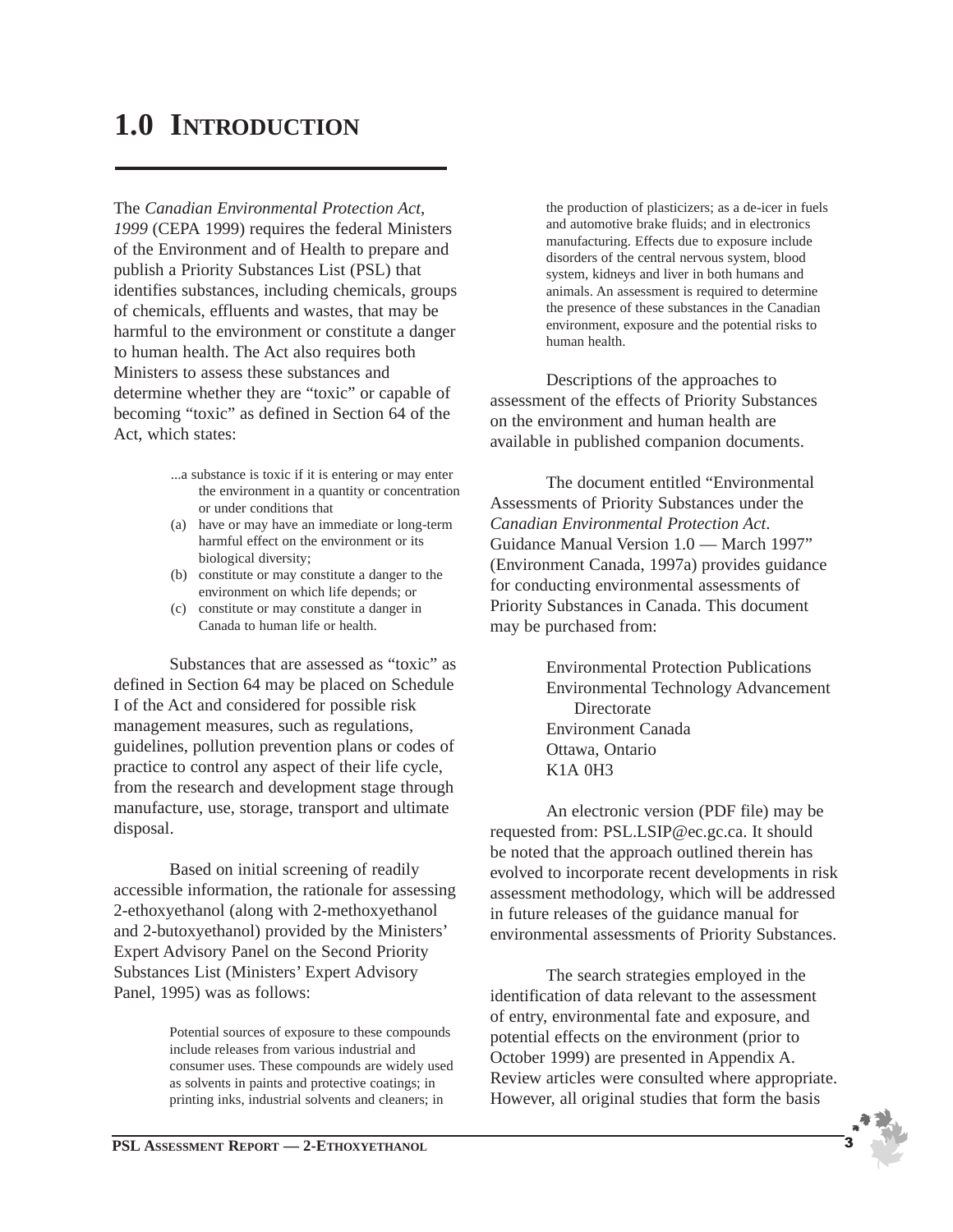## **1.0 INTRODUCTION**

The *Canadian Environmental Protection Act, 1999* (CEPA 1999) requires the federal Ministers of the Environment and of Health to prepare and publish a Priority Substances List (PSL) that identifies substances, including chemicals, groups of chemicals, effluents and wastes, that may be harmful to the environment or constitute a danger to human health. The Act also requires both Ministers to assess these substances and determine whether they are "toxic" or capable of becoming "toxic" as defined in Section 64 of the Act, which states:

- ...a substance is toxic if it is entering or may enter the environment in a quantity or concentration or under conditions that
- (a) have or may have an immediate or long-term harmful effect on the environment or its biological diversity;
- (b) constitute or may constitute a danger to the environment on which life depends; or
- (c) constitute or may constitute a danger in Canada to human life or health.

Substances that are assessed as "toxic" as defined in Section 64 may be placed on Schedule I of the Act and considered for possible risk management measures, such as regulations, guidelines, pollution prevention plans or codes of practice to control any aspect of their life cycle, from the research and development stage through manufacture, use, storage, transport and ultimate disposal.

Based on initial screening of readily accessible information, the rationale for assessing 2-ethoxyethanol (along with 2-methoxyethanol and 2-butoxyethanol) provided by the Ministers' Expert Advisory Panel on the Second Priority Substances List (Ministers' Expert Advisory Panel, 1995) was as follows:

> Potential sources of exposure to these compounds include releases from various industrial and consumer uses. These compounds are widely used as solvents in paints and protective coatings; in printing inks, industrial solvents and cleaners; in

the production of plasticizers; as a de-icer in fuels and automotive brake fluids; and in electronics manufacturing. Effects due to exposure include disorders of the central nervous system, blood system, kidneys and liver in both humans and animals. An assessment is required to determine the presence of these substances in the Canadian environment, exposure and the potential risks to human health.

Descriptions of the approaches to assessment of the effects of Priority Substances on the environment and human health are available in published companion documents.

The document entitled "Environmental Assessments of Priority Substances under the *Canadian Environmental Protection Act*. Guidance Manual Version 1.0 — March 1997" (Environment Canada, 1997a) provides guidance for conducting environmental assessments of Priority Substances in Canada. This document may be purchased from:

> Environmental Protection Publications Environmental Technology Advancement **Directorate** Environment Canada Ottawa, Ontario K1A 0H3

An electronic version (PDF file) may be requested from: PSL.LSIP@ec.gc.ca. It should be noted that the approach outlined therein has evolved to incorporate recent developments in risk assessment methodology, which will be addressed in future releases of the guidance manual for environmental assessments of Priority Substances.

The search strategies employed in the identification of data relevant to the assessment of entry, environmental fate and exposure, and potential effects on the environment (prior to October 1999) are presented in Appendix A. Review articles were consulted where appropriate. However, all original studies that form the basis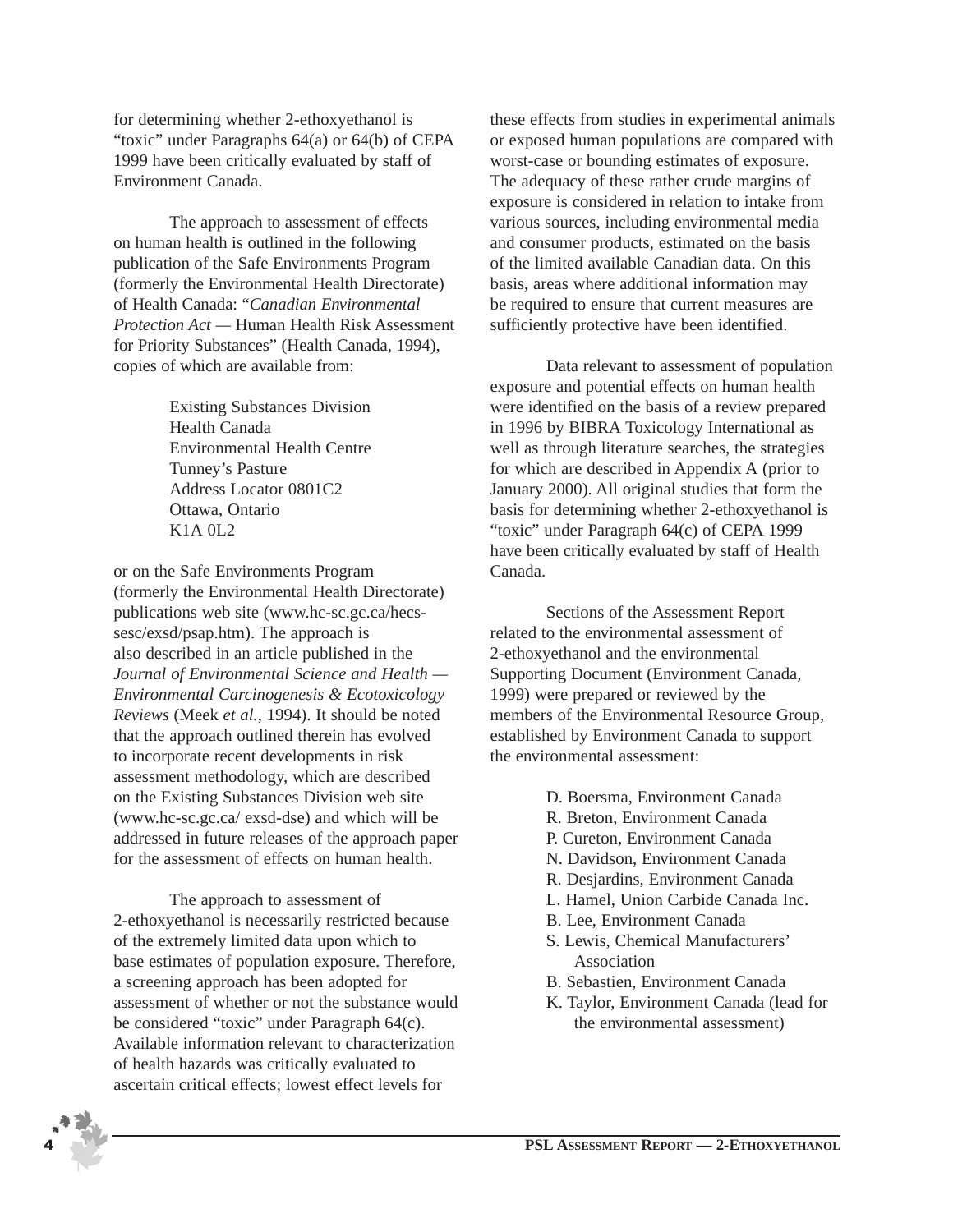for determining whether 2-ethoxyethanol is "toxic" under Paragraphs 64(a) or 64(b) of CEPA 1999 have been critically evaluated by staff of Environment Canada.

The approach to assessment of effects on human health is outlined in the following publication of the Safe Environments Program (formerly the Environmental Health Directorate) of Health Canada: "*Canadian Environmental Protection Act —* Human Health Risk Assessment for Priority Substances" (Health Canada, 1994), copies of which are available from:

> Existing Substances Division Health Canada Environmental Health Centre Tunney's Pasture Address Locator 0801C2 Ottawa, Ontario K1A 0L2

or on the Safe Environments Program (formerly the Environmental Health Directorate) publications web site (www.hc-sc.gc.ca/hecssesc/exsd/psap.htm). The approach is also described in an article published in the *Journal of Environmental Science and Health — Environmental Carcinogenesis & Ecotoxicology Reviews* (Meek *et al.*, 1994). It should be noted that the approach outlined therein has evolved to incorporate recent developments in risk assessment methodology, which are described on the Existing Substances Division web site (www.hc-sc.gc.ca/ exsd-dse) and which will be addressed in future releases of the approach paper for the assessment of effects on human health.

The approach to assessment of 2-ethoxyethanol is necessarily restricted because of the extremely limited data upon which to base estimates of population exposure. Therefore, a screening approach has been adopted for assessment of whether or not the substance would be considered "toxic" under Paragraph 64(c). Available information relevant to characterization of health hazards was critically evaluated to ascertain critical effects; lowest effect levels for

these effects from studies in experimental animals or exposed human populations are compared with worst-case or bounding estimates of exposure. The adequacy of these rather crude margins of exposure is considered in relation to intake from various sources, including environmental media and consumer products, estimated on the basis of the limited available Canadian data. On this basis, areas where additional information may be required to ensure that current measures are sufficiently protective have been identified.

Data relevant to assessment of population exposure and potential effects on human health were identified on the basis of a review prepared in 1996 by BIBRA Toxicology International as well as through literature searches, the strategies for which are described in Appendix A (prior to January 2000). All original studies that form the basis for determining whether 2-ethoxyethanol is "toxic" under Paragraph 64(c) of CEPA 1999 have been critically evaluated by staff of Health Canada.

Sections of the Assessment Report related to the environmental assessment of 2-ethoxyethanol and the environmental Supporting Document (Environment Canada, 1999) were prepared or reviewed by the members of the Environmental Resource Group, established by Environment Canada to support the environmental assessment:

- D. Boersma, Environment Canada
- R. Breton, Environment Canada
- P. Cureton, Environment Canada
- N. Davidson, Environment Canada
- R. Desjardins, Environment Canada
- L. Hamel, Union Carbide Canada Inc.
- B. Lee, Environment Canada
- S. Lewis, Chemical Manufacturers' Association
- B. Sebastien, Environment Canada
- K. Taylor, Environment Canada (lead for the environmental assessment)

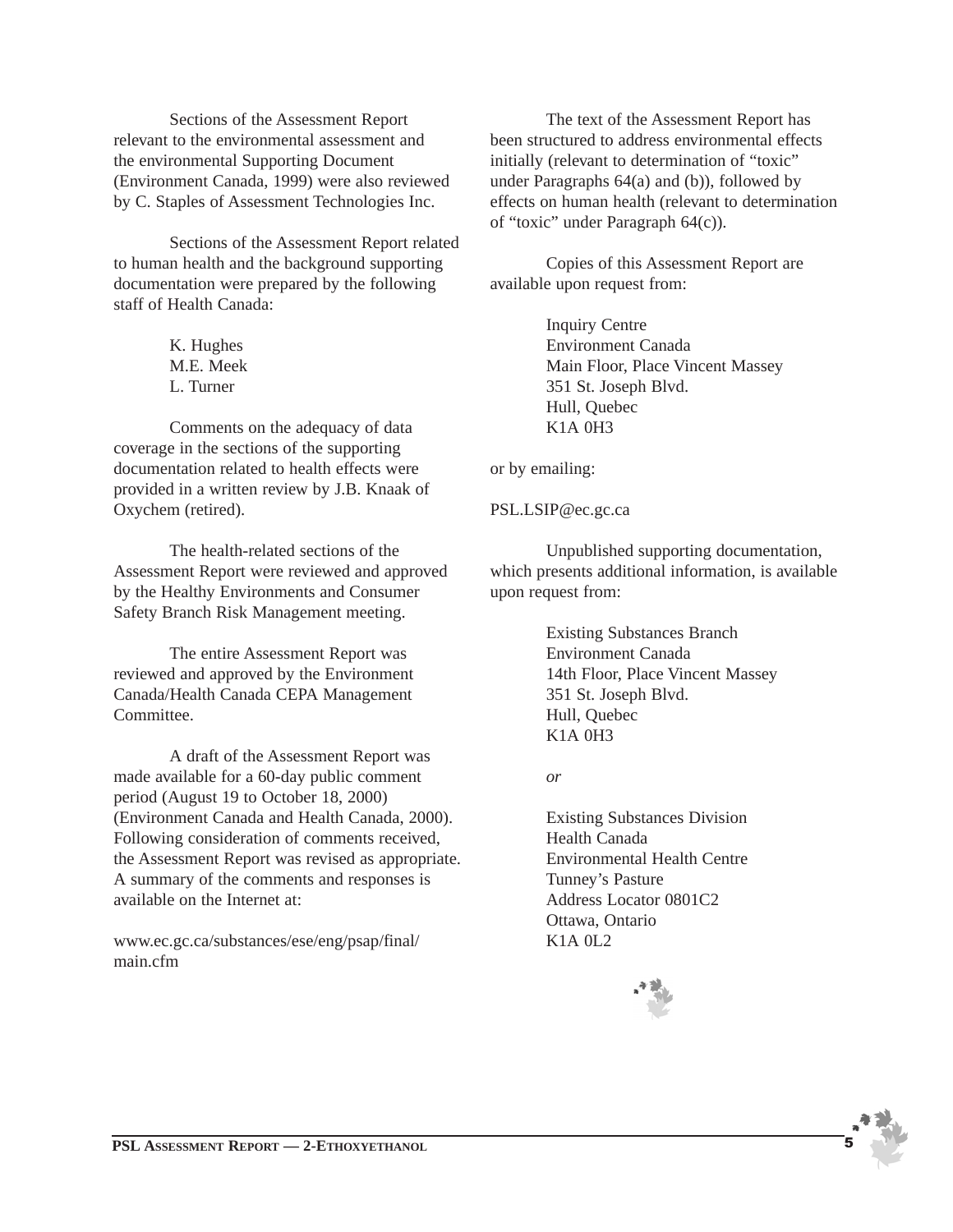Sections of the Assessment Report relevant to the environmental assessment and the environmental Supporting Document (Environment Canada, 1999) were also reviewed by C. Staples of Assessment Technologies Inc.

Sections of the Assessment Report related to human health and the background supporting documentation were prepared by the following staff of Health Canada:

> K. Hughes M.E. Meek L. Turner

Comments on the adequacy of data coverage in the sections of the supporting documentation related to health effects were provided in a written review by J.B. Knaak of Oxychem (retired).

The health-related sections of the Assessment Report were reviewed and approved by the Healthy Environments and Consumer Safety Branch Risk Management meeting.

The entire Assessment Report was reviewed and approved by the Environment Canada/Health Canada CEPA Management Committee.

A draft of the Assessment Report was made available for a 60-day public comment period (August 19 to October 18, 2000) (Environment Canada and Health Canada, 2000). Following consideration of comments received, the Assessment Report was revised as appropriate. A summary of the comments and responses is available on the Internet at:

www.ec.gc.ca/substances/ese/eng/psap/final/ main.cfm

The text of the Assessment Report has been structured to address environmental effects initially (relevant to determination of "toxic" under Paragraphs 64(a) and (b)), followed by effects on human health (relevant to determination of "toxic" under Paragraph 64(c)).

Copies of this Assessment Report are available upon request from:

> Inquiry Centre Environment Canada Main Floor, Place Vincent Massey 351 St. Joseph Blvd. Hull, Quebec K1A 0H3

or by emailing:

PSL.LSIP@ec.gc.ca

Unpublished supporting documentation, which presents additional information, is available upon request from:

> Existing Substances Branch Environment Canada 14th Floor, Place Vincent Massey 351 St. Joseph Blvd. Hull, Quebec K1A 0H3

*or*

Existing Substances Division Health Canada Environmental Health Centre Tunney's Pasture Address Locator 0801C2 Ottawa, Ontario K1A 0L2

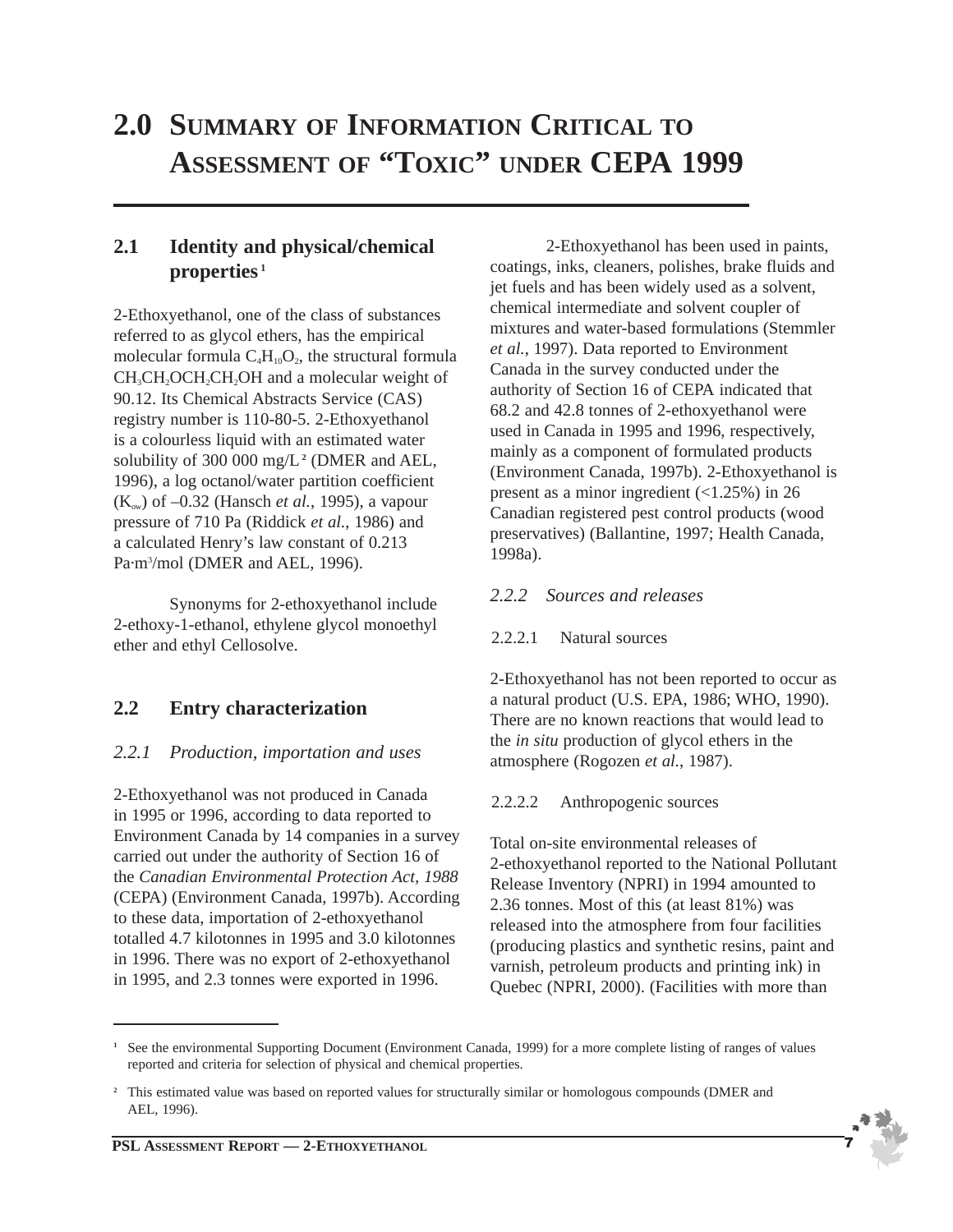## **2.0 SUMMARY OF INFORMATION CRITICAL TO ASSESSMENT OF "TOXIC" UNDER CEPA 1999**

## **2.1 Identity and physical/chemical properties <sup>1</sup>**

2-Ethoxyethanol, one of the class of substances referred to as glycol ethers, has the empirical molecular formula  $C_4H_{10}O_2$ , the structural formula CH<sub>3</sub>CH<sub>2</sub>OCH<sub>2</sub>CH<sub>2</sub>OH and a molecular weight of 90.12. Its Chemical Abstracts Service (CAS) registry number is 110-80-5. 2-Ethoxyethanol is a colourless liquid with an estimated water solubility of 300 000 mg/L**<sup>2</sup>** (DMER and AEL, 1996), a log octanol/water partition coefficient  $(K<sub>ow</sub>)$  of  $-0.32$  (Hansch *et al.*, 1995), a vapour pressure of 710 Pa (Riddick *et al.*, 1986) and a calculated Henry's law constant of 0.213 Pa·m<sup>3</sup>/mol (DMER and AEL, 1996).

Synonyms for 2-ethoxyethanol include 2-ethoxy-1-ethanol, ethylene glycol monoethyl ether and ethyl Cellosolve.

## **2.2 Entry characterization**

## *2.2.1 Production, importation and uses*

2-Ethoxyethanol was not produced in Canada in 1995 or 1996, according to data reported to Environment Canada by 14 companies in a survey carried out under the authority of Section 16 of the *Canadian Environmental Protection Act, 1988* (CEPA) (Environment Canada, 1997b). According to these data, importation of 2-ethoxyethanol totalled 4.7 kilotonnes in 1995 and 3.0 kilotonnes in 1996. There was no export of 2-ethoxyethanol in 1995, and 2.3 tonnes were exported in 1996.

2-Ethoxyethanol has been used in paints, coatings, inks, cleaners, polishes, brake fluids and jet fuels and has been widely used as a solvent, chemical intermediate and solvent coupler of mixtures and water-based formulations (Stemmler *et al.*, 1997). Data reported to Environment Canada in the survey conducted under the authority of Section 16 of CEPA indicated that 68.2 and 42.8 tonnes of 2-ethoxyethanol were used in Canada in 1995 and 1996, respectively, mainly as a component of formulated products (Environment Canada, 1997b). 2-Ethoxyethanol is present as a minor ingredient  $(\langle 1.25\% \rangle)$  in 26 Canadian registered pest control products (wood preservatives) (Ballantine, 1997; Health Canada, 1998a).

#### *2.2.2 Sources and releases*

#### 2.2.2.1 Natural sources

2-Ethoxyethanol has not been reported to occur as a natural product (U.S. EPA, 1986; WHO, 1990). There are no known reactions that would lead to the *in situ* production of glycol ethers in the atmosphere (Rogozen *et al.*, 1987).

#### 2.2.2.2 Anthropogenic sources

Total on-site environmental releases of 2-ethoxyethanol reported to the National Pollutant Release Inventory (NPRI) in 1994 amounted to 2.36 tonnes. Most of this (at least 81%) was released into the atmosphere from four facilities (producing plastics and synthetic resins, paint and varnish, petroleum products and printing ink) in Quebec (NPRI, 2000). (Facilities with more than



**<sup>1</sup>** See the environmental Supporting Document (Environment Canada, 1999) for a more complete listing of ranges of values reported and criteria for selection of physical and chemical properties.

<sup>&</sup>lt;sup>2</sup> This estimated value was based on reported values for structurally similar or homologous compounds (DMER and AEL, 1996).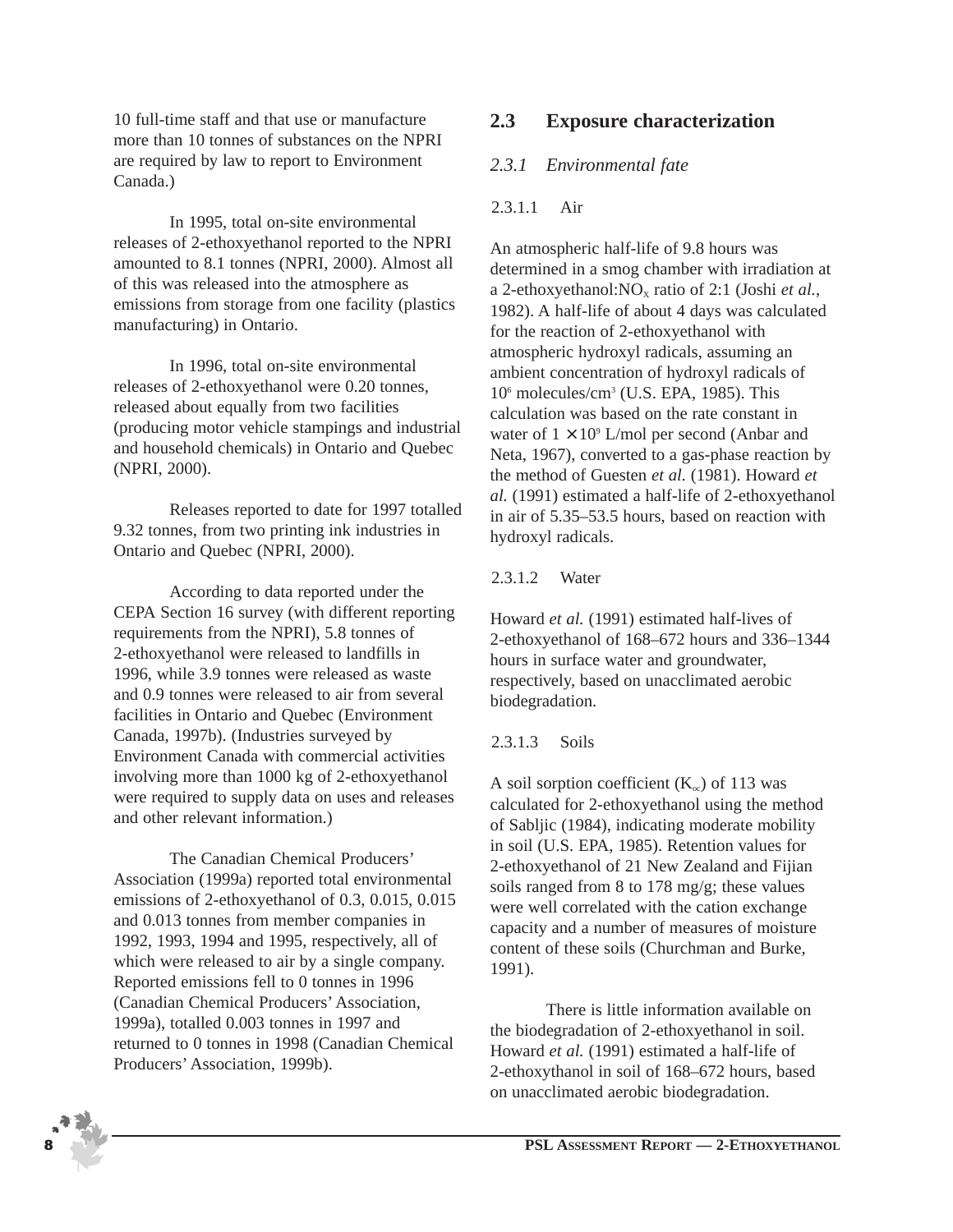10 full-time staff and that use or manufacture more than 10 tonnes of substances on the NPRI are required by law to report to Environment Canada.)

In 1995, total on-site environmental releases of 2-ethoxyethanol reported to the NPRI amounted to 8.1 tonnes (NPRI, 2000). Almost all of this was released into the atmosphere as emissions from storage from one facility (plastics manufacturing) in Ontario.

In 1996, total on-site environmental releases of 2-ethoxyethanol were 0.20 tonnes, released about equally from two facilities (producing motor vehicle stampings and industrial and household chemicals) in Ontario and Quebec (NPRI, 2000).

Releases reported to date for 1997 totalled 9.32 tonnes, from two printing ink industries in Ontario and Quebec (NPRI, 2000).

According to data reported under the CEPA Section 16 survey (with different reporting requirements from the NPRI), 5.8 tonnes of 2-ethoxyethanol were released to landfills in 1996, while 3.9 tonnes were released as waste and 0.9 tonnes were released to air from several facilities in Ontario and Quebec (Environment Canada, 1997b). (Industries surveyed by Environment Canada with commercial activities involving more than 1000 kg of 2-ethoxyethanol were required to supply data on uses and releases and other relevant information.)

The Canadian Chemical Producers' Association (1999a) reported total environmental emissions of 2-ethoxyethanol of 0.3, 0.015, 0.015 and 0.013 tonnes from member companies in 1992, 1993, 1994 and 1995, respectively, all of which were released to air by a single company. Reported emissions fell to 0 tonnes in 1996 (Canadian Chemical Producers' Association, 1999a), totalled 0.003 tonnes in 1997 and returned to 0 tonnes in 1998 (Canadian Chemical Producers' Association, 1999b).

## **2.3 Exposure characterization**

#### *2.3.1 Environmental fate*

#### 2.3.1.1 Air

An atmospheric half-life of 9.8 hours was determined in a smog chamber with irradiation at a 2-ethoxyethanol: $NO<sub>x</sub>$  ratio of 2:1 (Joshi *et al.*, 1982). A half-life of about 4 days was calculated for the reaction of 2-ethoxyethanol with atmospheric hydroxyl radicals, assuming an ambient concentration of hydroxyl radicals of 106 molecules/cm3 (U.S. EPA, 1985). This calculation was based on the rate constant in water of  $1 \times 10^9$  L/mol per second (Anbar and Neta, 1967), converted to a gas-phase reaction by the method of Guesten *et al.* (1981). Howard *et al.* (1991) estimated a half-life of 2-ethoxyethanol in air of 5.35–53.5 hours, based on reaction with hydroxyl radicals.

#### 2.3.1.2 Water

Howard *et al.* (1991) estimated half-lives of 2-ethoxyethanol of 168–672 hours and 336–1344 hours in surface water and groundwater, respectively, based on unacclimated aerobic biodegradation.

#### 2.3.1.3 Soils

A soil sorption coefficient  $(K_{\infty})$  of 113 was calculated for 2-ethoxyethanol using the method of Sabljic (1984), indicating moderate mobility in soil (U.S. EPA, 1985). Retention values for 2-ethoxyethanol of 21 New Zealand and Fijian soils ranged from 8 to 178 mg/g; these values were well correlated with the cation exchange capacity and a number of measures of moisture content of these soils (Churchman and Burke, 1991).

There is little information available on the biodegradation of 2-ethoxyethanol in soil. Howard *et al.* (1991) estimated a half-life of 2-ethoxythanol in soil of 168–672 hours, based on unacclimated aerobic biodegradation.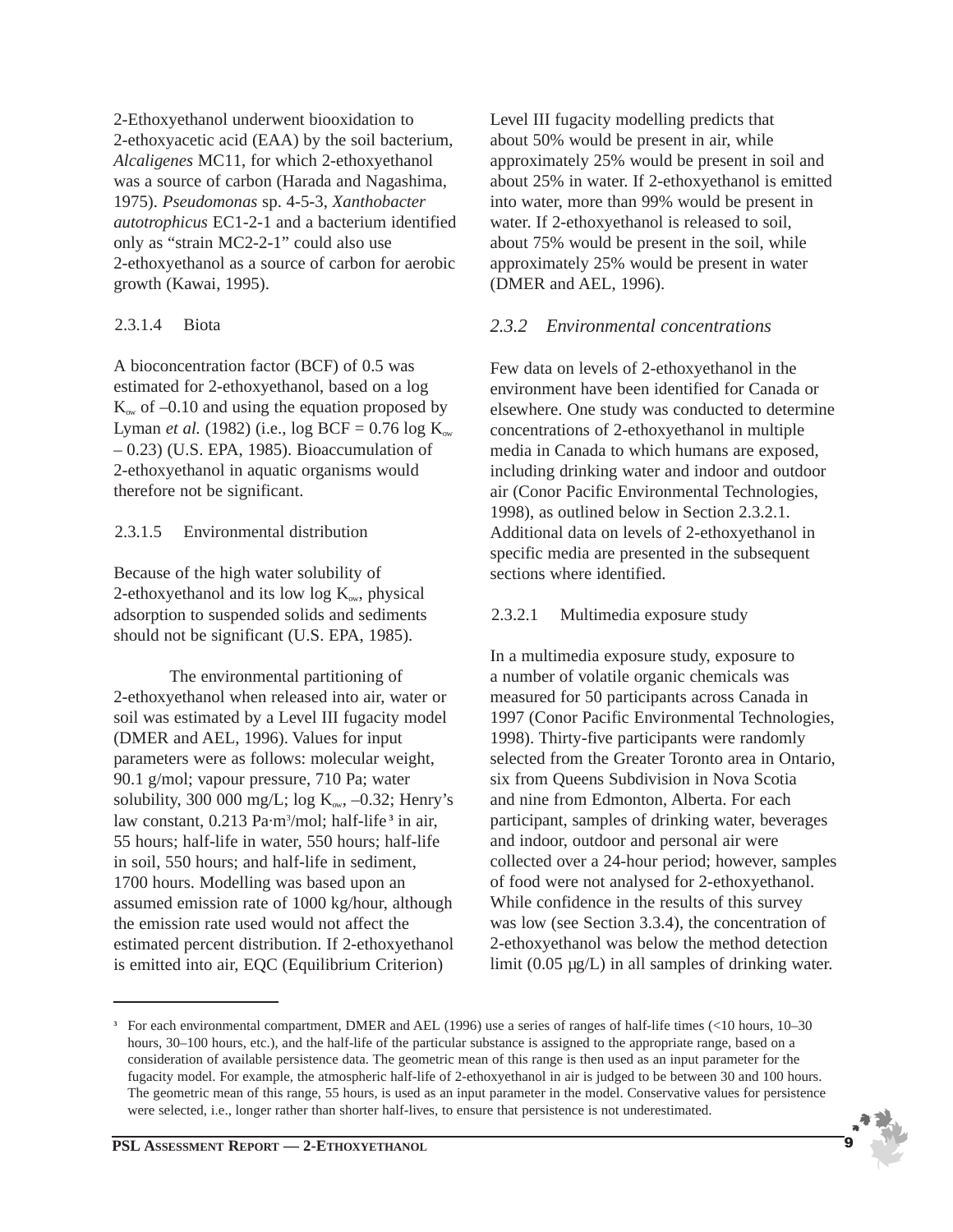2-Ethoxyethanol underwent biooxidation to 2-ethoxyacetic acid (EAA) by the soil bacterium, *Alcaligenes* MC11, for which 2-ethoxyethanol was a source of carbon (Harada and Nagashima, 1975). *Pseudomonas* sp. 4-5-3, *Xanthobacter autotrophicus* EC1-2-1 and a bacterium identified only as "strain MC2-2-1" could also use 2-ethoxyethanol as a source of carbon for aerobic growth (Kawai, 1995).

#### 2.3.1.4 Biota

A bioconcentration factor (BCF) of 0.5 was estimated for 2-ethoxyethanol, based on a log  $K_{ow}$  of  $-0.10$  and using the equation proposed by Lyman *et al.* (1982) (i.e.,  $\log$  BCF = 0.76  $\log K_{\infty}$ – 0.23) (U.S. EPA, 1985). Bioaccumulation of 2-ethoxyethanol in aquatic organisms would therefore not be significant.

#### 2.3.1.5 Environmental distribution

Because of the high water solubility of 2-ethoxyethanol and its low  $log K_{ow}$ , physical adsorption to suspended solids and sediments should not be significant (U.S. EPA, 1985).

The environmental partitioning of 2-ethoxyethanol when released into air, water or soil was estimated by a Level III fugacity model (DMER and AEL, 1996). Values for input parameters were as follows: molecular weight, 90.1 g/mol; vapour pressure, 710 Pa; water solubility, 300 000 mg/L; log  $K_{\text{ow}}$ , -0.32; Henry's law constant, 0.213 Pa·m3 /mol; half-life **<sup>3</sup>** in air, 55 hours; half-life in water, 550 hours; half-life in soil, 550 hours; and half-life in sediment, 1700 hours. Modelling was based upon an assumed emission rate of 1000 kg/hour, although the emission rate used would not affect the estimated percent distribution. If 2-ethoxyethanol is emitted into air, EQC (Equilibrium Criterion)

Level III fugacity modelling predicts that about 50% would be present in air, while approximately 25% would be present in soil and about 25% in water. If 2-ethoxyethanol is emitted into water, more than 99% would be present in water. If 2-ethoxyethanol is released to soil, about 75% would be present in the soil, while approximately 25% would be present in water (DMER and AEL, 1996).

## *2.3.2 Environmental concentrations*

Few data on levels of 2-ethoxyethanol in the environment have been identified for Canada or elsewhere. One study was conducted to determine concentrations of 2-ethoxyethanol in multiple media in Canada to which humans are exposed, including drinking water and indoor and outdoor air (Conor Pacific Environmental Technologies, 1998), as outlined below in Section 2.3.2.1. Additional data on levels of 2-ethoxyethanol in specific media are presented in the subsequent sections where identified.

#### 2.3.2.1 Multimedia exposure study

In a multimedia exposure study, exposure to a number of volatile organic chemicals was measured for 50 participants across Canada in 1997 (Conor Pacific Environmental Technologies, 1998). Thirty-five participants were randomly selected from the Greater Toronto area in Ontario, six from Queens Subdivision in Nova Scotia and nine from Edmonton, Alberta. For each participant, samples of drinking water, beverages and indoor, outdoor and personal air were collected over a 24-hour period; however, samples of food were not analysed for 2-ethoxyethanol. While confidence in the results of this survey was low (see Section 3.3.4), the concentration of 2-ethoxyethanol was below the method detection limit (0.05 µg/L) in all samples of drinking water.

**<sup>3</sup>** For each environmental compartment, DMER and AEL (1996) use a series of ranges of half-life times (<10 hours, 10–30 hours, 30–100 hours, etc.), and the half-life of the particular substance is assigned to the appropriate range, based on a consideration of available persistence data. The geometric mean of this range is then used as an input parameter for the fugacity model. For example, the atmospheric half-life of 2-ethoxyethanol in air is judged to be between 30 and 100 hours. The geometric mean of this range, 55 hours, is used as an input parameter in the model. Conservative values for persistence were selected, i.e., longer rather than shorter half-lives, to ensure that persistence is not underestimated.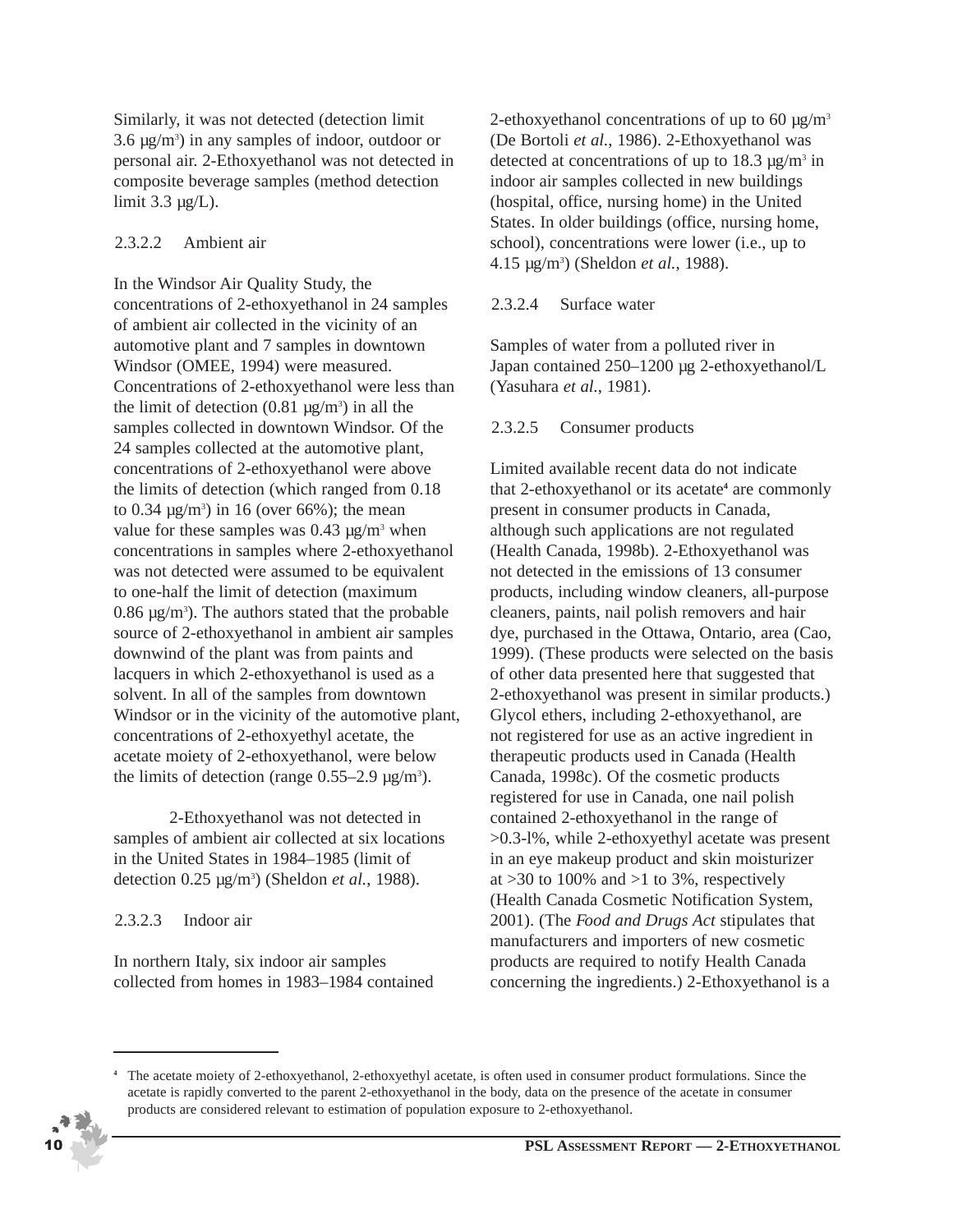Similarly, it was not detected (detection limit  $3.6 \mu g/m^3$ ) in any samples of indoor, outdoor or personal air. 2-Ethoxyethanol was not detected in composite beverage samples (method detection limit  $3.3 \mu g/L$ ).

#### 2.3.2.2 Ambient air

In the Windsor Air Quality Study, the concentrations of 2-ethoxyethanol in 24 samples of ambient air collected in the vicinity of an automotive plant and 7 samples in downtown Windsor (OMEE, 1994) were measured. Concentrations of 2-ethoxyethanol were less than the limit of detection  $(0.81 \text{ µg/m}^3)$  in all the samples collected in downtown Windsor. Of the 24 samples collected at the automotive plant, concentrations of 2-ethoxyethanol were above the limits of detection (which ranged from 0.18 to  $0.34 \,\mathrm{\mu g/m^3}$  in 16 (over 66%); the mean value for these samples was  $0.43 \mu g/m^3$  when concentrations in samples where 2-ethoxyethanol was not detected were assumed to be equivalent to one-half the limit of detection (maximum  $0.86 \,\mathrm{\mu g/m^3}$ ). The authors stated that the probable source of 2-ethoxyethanol in ambient air samples downwind of the plant was from paints and lacquers in which 2-ethoxyethanol is used as a solvent. In all of the samples from downtown Windsor or in the vicinity of the automotive plant, concentrations of 2-ethoxyethyl acetate, the acetate moiety of 2-ethoxyethanol, were below the limits of detection (range  $0.55-2.9 \text{ µg/m}^3$ ).

2-Ethoxyethanol was not detected in samples of ambient air collected at six locations in the United States in 1984–1985 (limit of detection 0.25 µg/m3 ) (Sheldon *et al.*, 1988).

## 2.3.2.3 Indoor air

In northern Italy, six indoor air samples collected from homes in 1983–1984 contained 2-ethoxyethanol concentrations of up to 60  $\mu$ g/m<sup>3</sup> (De Bortoli *et al.*, 1986). 2-Ethoxyethanol was detected at concentrations of up to  $18.3 \mu g/m^3$  in indoor air samples collected in new buildings (hospital, office, nursing home) in the United States. In older buildings (office, nursing home, school), concentrations were lower (i.e., up to 4.15 µg/m3 ) (Sheldon *et al.*, 1988).

## 2.3.2.4 Surface water

Samples of water from a polluted river in Japan contained 250–1200 µg 2-ethoxyethanol/L (Yasuhara *et al.*, 1981).

#### 2.3.2.5 Consumer products

Limited available recent data do not indicate that 2-ethoxyethanol or its acetate**<sup>4</sup>** are commonly present in consumer products in Canada, although such applications are not regulated (Health Canada, 1998b). 2-Ethoxyethanol was not detected in the emissions of 13 consumer products, including window cleaners, all-purpose cleaners, paints, nail polish removers and hair dye, purchased in the Ottawa, Ontario, area (Cao, 1999). (These products were selected on the basis of other data presented here that suggested that 2-ethoxyethanol was present in similar products.) Glycol ethers, including 2-ethoxyethanol, are not registered for use as an active ingredient in therapeutic products used in Canada (Health Canada, 1998c). Of the cosmetic products registered for use in Canada, one nail polish contained 2-ethoxyethanol in the range of >0.3-l%, while 2-ethoxyethyl acetate was present in an eye makeup product and skin moisturizer at  $>30$  to 100% and  $>1$  to 3%, respectively (Health Canada Cosmetic Notification System, 2001). (The *Food and Drugs Act* stipulates that manufacturers and importers of new cosmetic products are required to notify Health Canada concerning the ingredients.) 2-Ethoxyethanol is a

**<sup>4</sup>** The acetate moiety of 2-ethoxyethanol, 2-ethoxyethyl acetate, is often used in consumer product formulations. Since the acetate is rapidly converted to the parent 2-ethoxyethanol in the body, data on the presence of the acetate in consumer products are considered relevant to estimation of population exposure to 2-ethoxyethanol.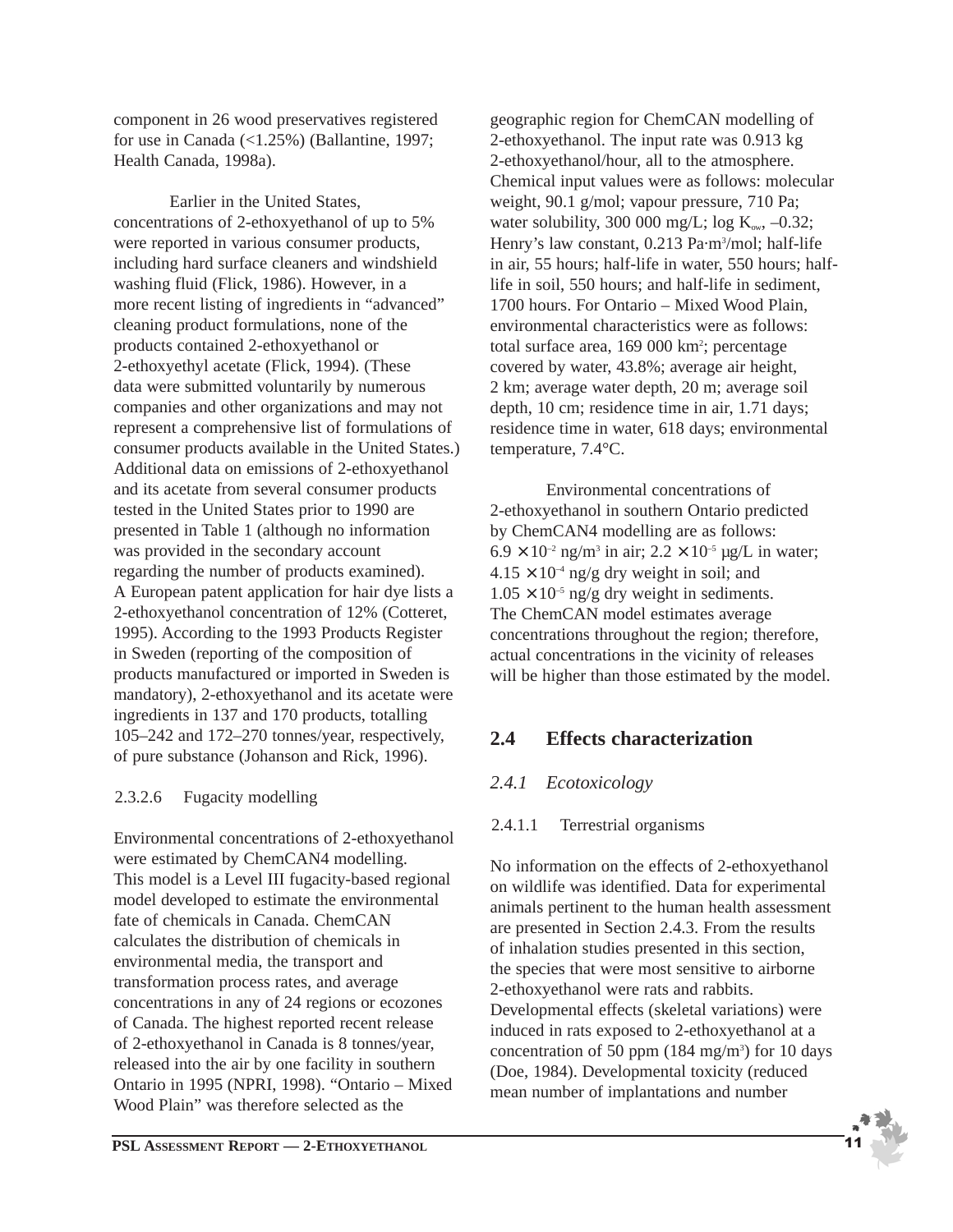component in 26 wood preservatives registered for use in Canada  $(\langle 1.25\% \rangle)$  (Ballantine, 1997; Health Canada, 1998a).

Earlier in the United States, concentrations of 2-ethoxyethanol of up to 5% were reported in various consumer products, including hard surface cleaners and windshield washing fluid (Flick, 1986). However, in a more recent listing of ingredients in "advanced" cleaning product formulations, none of the products contained 2-ethoxyethanol or 2-ethoxyethyl acetate (Flick, 1994). (These data were submitted voluntarily by numerous companies and other organizations and may not represent a comprehensive list of formulations of consumer products available in the United States.) Additional data on emissions of 2-ethoxyethanol and its acetate from several consumer products tested in the United States prior to 1990 are presented in Table 1 (although no information was provided in the secondary account regarding the number of products examined). A European patent application for hair dye lists a 2-ethoxyethanol concentration of 12% (Cotteret, 1995). According to the 1993 Products Register in Sweden (reporting of the composition of products manufactured or imported in Sweden is mandatory), 2-ethoxyethanol and its acetate were ingredients in 137 and 170 products, totalling 105–242 and 172–270 tonnes/year, respectively, of pure substance (Johanson and Rick, 1996).

## 2.3.2.6 Fugacity modelling

Environmental concentrations of 2-ethoxyethanol were estimated by ChemCAN4 modelling. This model is a Level III fugacity-based regional model developed to estimate the environmental fate of chemicals in Canada. ChemCAN calculates the distribution of chemicals in environmental media, the transport and transformation process rates, and average concentrations in any of 24 regions or ecozones of Canada. The highest reported recent release of 2-ethoxyethanol in Canada is 8 tonnes/year, released into the air by one facility in southern Ontario in 1995 (NPRI, 1998). "Ontario – Mixed Wood Plain" was therefore selected as the

geographic region for ChemCAN modelling of 2-ethoxyethanol. The input rate was 0.913 kg 2-ethoxyethanol/hour, all to the atmosphere. Chemical input values were as follows: molecular weight, 90.1 g/mol; vapour pressure, 710 Pa; water solubility, 300 000 mg/L; log  $K_{ow}$ , -0.32; Henry's law constant, 0.213 Pa·m<sup>3</sup>/mol; half-life in air, 55 hours; half-life in water, 550 hours; halflife in soil, 550 hours; and half-life in sediment, 1700 hours. For Ontario – Mixed Wood Plain, environmental characteristics were as follows: total surface area, 169 000 km<sup>2</sup>; percentage covered by water, 43.8%; average air height, 2 km; average water depth, 20 m; average soil depth, 10 cm; residence time in air, 1.71 days; residence time in water, 618 days; environmental temperature, 7.4°C.

Environmental concentrations of 2-ethoxyethanol in southern Ontario predicted by ChemCAN4 modelling are as follows:  $6.9 \times 10^{-2}$  ng/m<sup>3</sup> in air;  $2.2 \times 10^{-5}$  µg/L in water;  $4.15 \times 10^{-4}$  ng/g dry weight in soil; and  $1.05 \times 10^{-5}$  ng/g dry weight in sediments. The ChemCAN model estimates average concentrations throughout the region; therefore, actual concentrations in the vicinity of releases will be higher than those estimated by the model.

## **2.4 Effects characterization**

## *2.4.1 Ecotoxicology*

## 2.4.1.1 Terrestrial organisms

No information on the effects of 2-ethoxyethanol on wildlife was identified. Data for experimental animals pertinent to the human health assessment are presented in Section 2.4.3. From the results of inhalation studies presented in this section, the species that were most sensitive to airborne 2-ethoxyethanol were rats and rabbits. Developmental effects (skeletal variations) were induced in rats exposed to 2-ethoxyethanol at a concentration of 50 ppm  $(184 \text{ mg/m}^3)$  for 10 days (Doe, 1984). Developmental toxicity (reduced mean number of implantations and number

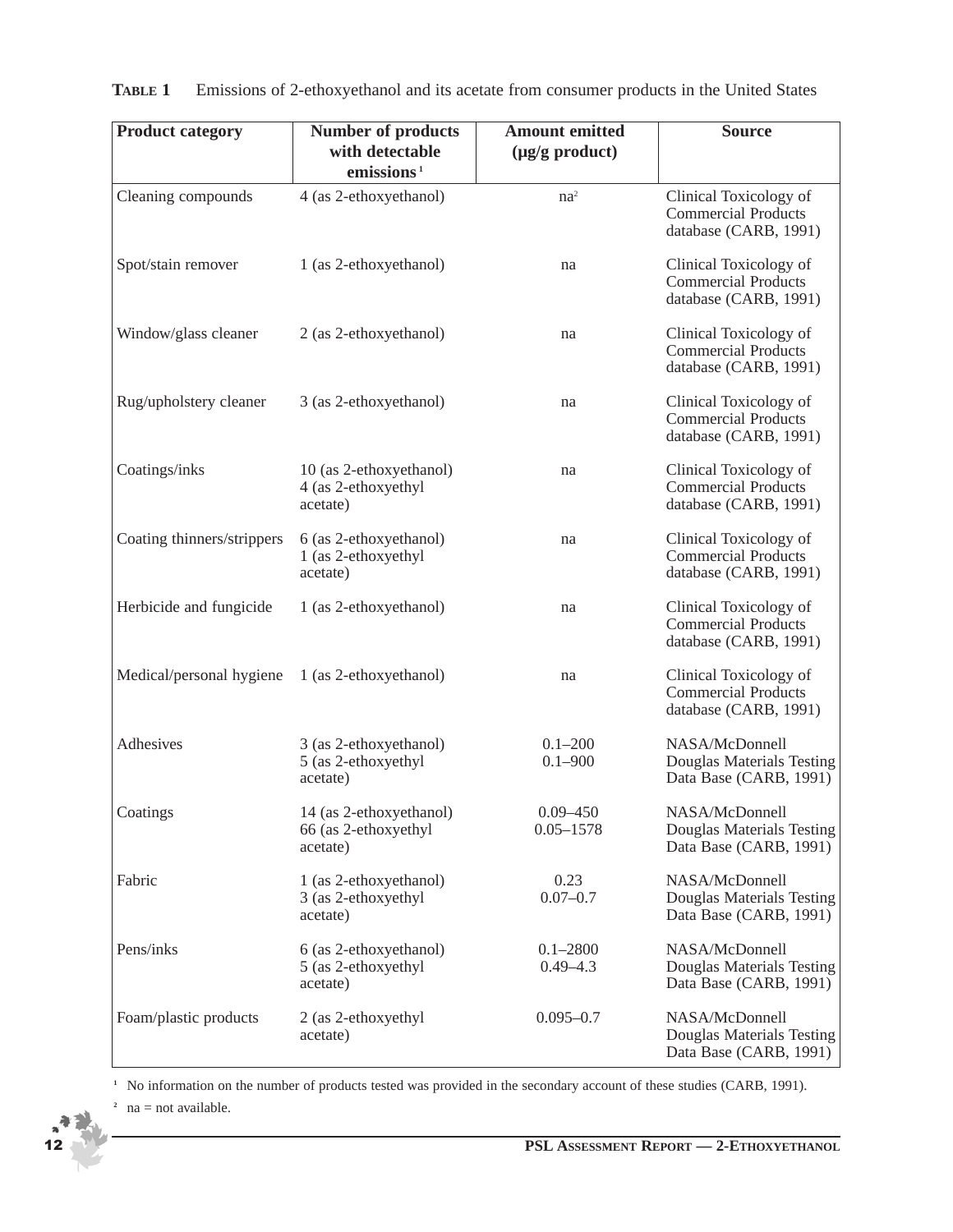| <b>Product category</b>    | <b>Number of products</b>                                   | <b>Amount emitted</b>         | <b>Source</b>                                                                 |  |
|----------------------------|-------------------------------------------------------------|-------------------------------|-------------------------------------------------------------------------------|--|
|                            | with detectable<br>emissions <sup>1</sup>                   | $(\mu g/g \text{ product})$   |                                                                               |  |
| Cleaning compounds         | 4 (as 2-ethoxyethanol)                                      | $na^2$                        | Clinical Toxicology of<br><b>Commercial Products</b><br>database (CARB, 1991) |  |
| Spot/stain remover         | 1 (as 2-ethoxyethanol)                                      | na                            | Clinical Toxicology of<br><b>Commercial Products</b><br>database (CARB, 1991) |  |
| Window/glass cleaner       | 2 (as 2-ethoxyethanol)                                      | na                            | Clinical Toxicology of<br><b>Commercial Products</b><br>database (CARB, 1991) |  |
| Rug/upholstery cleaner     | 3 (as 2-ethoxyethanol)                                      | na                            | Clinical Toxicology of<br><b>Commercial Products</b><br>database (CARB, 1991) |  |
| Coatings/inks              | 10 (as 2-ethoxyethanol)<br>4 (as 2-ethoxyethyl<br>acetate)  | na                            | Clinical Toxicology of<br><b>Commercial Products</b><br>database (CARB, 1991) |  |
| Coating thinners/strippers | 6 (as 2-ethoxyethanol)<br>1 (as 2-ethoxyethyl<br>acetate)   | na                            | Clinical Toxicology of<br><b>Commercial Products</b><br>database (CARB, 1991) |  |
| Herbicide and fungicide    | 1 (as 2-ethoxyethanol)                                      | na                            | Clinical Toxicology of<br><b>Commercial Products</b><br>database (CARB, 1991) |  |
| Medical/personal hygiene   | 1 (as 2-ethoxyethanol)                                      | na                            | Clinical Toxicology of<br><b>Commercial Products</b><br>database (CARB, 1991) |  |
| Adhesives                  | 3 (as 2-ethoxyethanol)<br>5 (as 2-ethoxyethyl<br>acetate)   | $0.1 - 200$<br>$0.1 - 900$    | NASA/McDonnell<br>Douglas Materials Testing<br>Data Base (CARB, 1991)         |  |
| Coatings                   | 14 (as 2-ethoxyethanol)<br>66 (as 2-ethoxyethyl<br>acetate) | $0.09 - 450$<br>$0.05 - 1578$ | NASA/McDonnell<br>Douglas Materials Testing<br>Data Base (CARB, 1991)         |  |
| Fabric                     | 1 (as 2-ethoxyethanol)<br>3 (as 2-ethoxyethyl<br>acetate)   | 0.23<br>$0.07 - 0.7$          | NASA/McDonnell<br>Douglas Materials Testing<br>Data Base (CARB, 1991)         |  |
| Pens/inks                  | 6 (as 2-ethoxyethanol)<br>5 (as 2-ethoxyethyl<br>acetate)   | $0.1 - 2800$<br>$0.49 - 4.3$  | NASA/McDonnell<br>Douglas Materials Testing<br>Data Base (CARB, 1991)         |  |
| Foam/plastic products      | 2 (as 2-ethoxyethyl<br>acetate)                             | $0.095 - 0.7$                 | NASA/McDonnell<br>Douglas Materials Testing<br>Data Base (CARB, 1991)         |  |

|  |  |  | <b>TABLE 1</b> Emissions of 2-ethoxyethanol and its acetate from consumer products in the United States |
|--|--|--|---------------------------------------------------------------------------------------------------------|
|--|--|--|---------------------------------------------------------------------------------------------------------|

<sup>1</sup> No information on the number of products tested was provided in the secondary account of these studies (CARB, 1991).

<sup>2</sup> na = not available.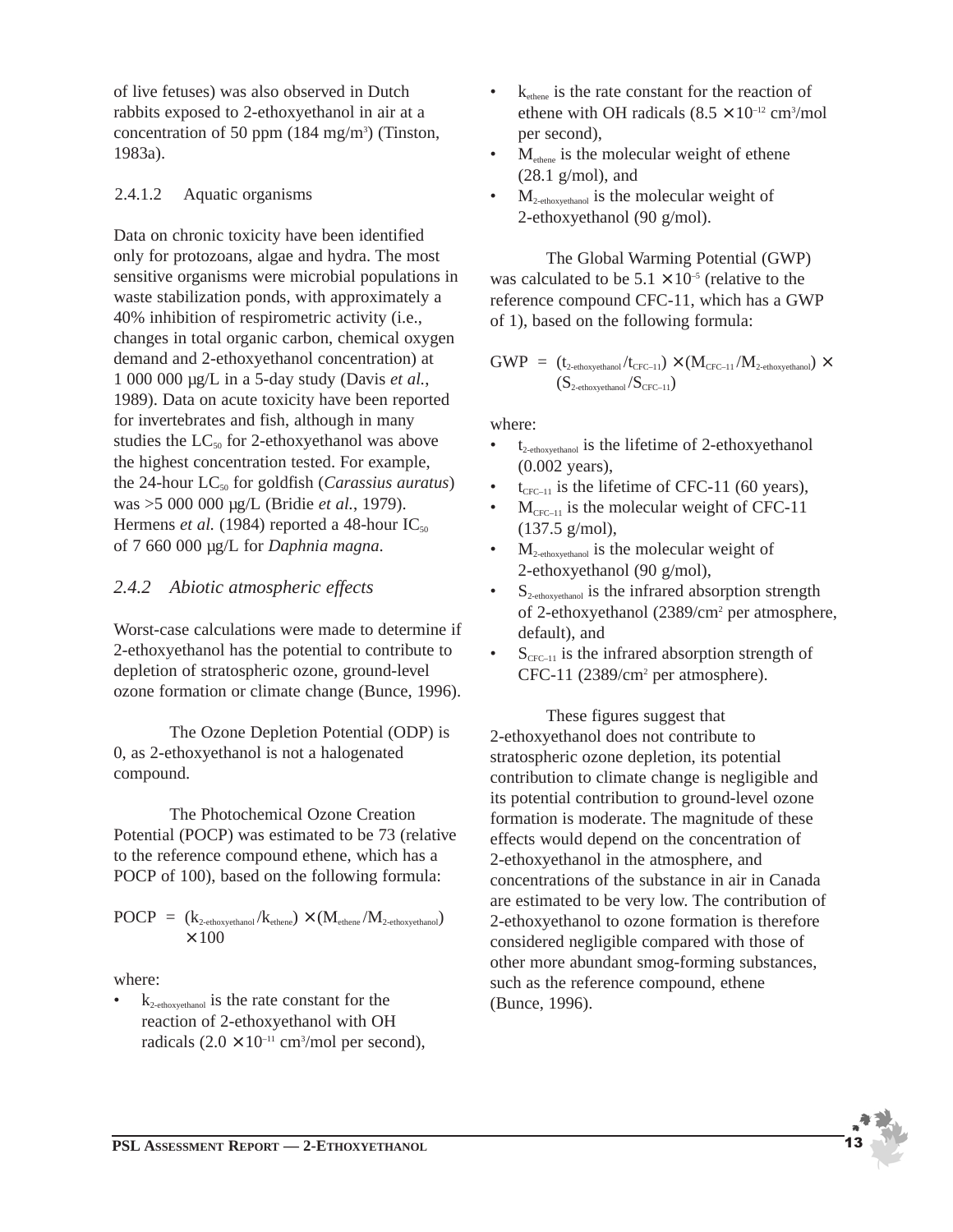of live fetuses) was also observed in Dutch rabbits exposed to 2-ethoxyethanol in air at a concentration of 50 ppm  $(184 \text{ mg/m}^3)$  (Tinston, 1983a).

#### 2.4.1.2 Aquatic organisms

Data on chronic toxicity have been identified only for protozoans, algae and hydra. The most sensitive organisms were microbial populations in waste stabilization ponds, with approximately a 40% inhibition of respirometric activity (i.e., changes in total organic carbon, chemical oxygen demand and 2-ethoxyethanol concentration) at 1 000 000 µg/L in a 5-day study (Davis *et al.*, 1989). Data on acute toxicity have been reported for invertebrates and fish, although in many studies the  $LC_{50}$  for 2-ethoxyethanol was above the highest concentration tested. For example, the 24-hour LC<sub>50</sub> for goldfish (*Carassius auratus*) was >5 000 000 µg/L (Bridie *et al.*, 1979). Hermens *et al.* (1984) reported a 48-hour  $IC_{50}$ of 7 660 000 µg/L for *Daphnia magna*.

## *2.4.2 Abiotic atmospheric effects*

Worst-case calculations were made to determine if 2-ethoxyethanol has the potential to contribute to depletion of stratospheric ozone, ground-level ozone formation or climate change (Bunce, 1996).

The Ozone Depletion Potential (ODP) is 0, as 2-ethoxyethanol is not a halogenated compound.

The Photochemical Ozone Creation Potential (POCP) was estimated to be 73 (relative to the reference compound ethene, which has a POCP of 100), based on the following formula:

$$
\begin{array}{l} \mathrm{POCP} \; = \; (k_{\text{2-ethoxyethanol}}/k_{\text{ethene}}) \times (M_{\text{ethene}}/M_{\text{2-ethoxyethanol}}) \\ \; \times \; 100 \end{array}
$$

where:

 $k_{2-ethoxyethanol}$  is the rate constant for the reaction of 2-ethoxyethanol with OH radicals  $(2.0 \times 10^{-11} \text{ cm}^3/\text{mol} \text{ per second})$ ,

- $k_{\text{other}}$  is the rate constant for the reaction of ethene with OH radicals  $(8.5 \times 10^{-12} \text{ cm}^3/\text{mol})$ per second),
- $M<sub>othere</sub>$  is the molecular weight of ethene (28.1 g/mol), and
- $M_{2-ethoxvethanol}$  is the molecular weight of 2-ethoxyethanol (90 g/mol).

The Global Warming Potential (GWP) was calculated to be  $5.1 \times 10^{-5}$  (relative to the reference compound CFC-11, which has a GWP of 1), based on the following formula:

$$
\begin{array}{l} \mathrm{GWP} \;=\; (t_{\text{2-ehoxyethanol}}/t_{\text{CFC-11}}) \times (M_{\text{CFC-11}}/M_{\text{2-ehoxyethanol}}) \times \\qquad \qquad (S_{\text{2-ethoxyethanol}}/S_{\text{CFC-11}}) \end{array}
$$

where:

- $t_{2-ethoxyethanol}$  is the lifetime of 2-ethoxyethanol (0.002 years),
- $t_{CFC-11}$  is the lifetime of CFC-11 (60 years),
- $M_{CFC-11}$  is the molecular weight of CFC-11 (137.5 g/mol),
- $M_{2-ethoxyethanol}$  is the molecular weight of 2-ethoxyethanol (90 g/mol),
- $S_{2-ethoxyethanol}$  is the infrared absorption strength of 2-ethoxyethanol (2389/cm2 per atmosphere, default), and
- $S_{CFC-11}$  is the infrared absorption strength of CFC-11 (2389/cm2 per atmosphere).

These figures suggest that 2-ethoxyethanol does not contribute to stratospheric ozone depletion, its potential contribution to climate change is negligible and its potential contribution to ground-level ozone formation is moderate. The magnitude of these effects would depend on the concentration of 2-ethoxyethanol in the atmosphere, and concentrations of the substance in air in Canada are estimated to be very low. The contribution of 2-ethoxyethanol to ozone formation is therefore considered negligible compared with those of other more abundant smog-forming substances, such as the reference compound, ethene (Bunce, 1996).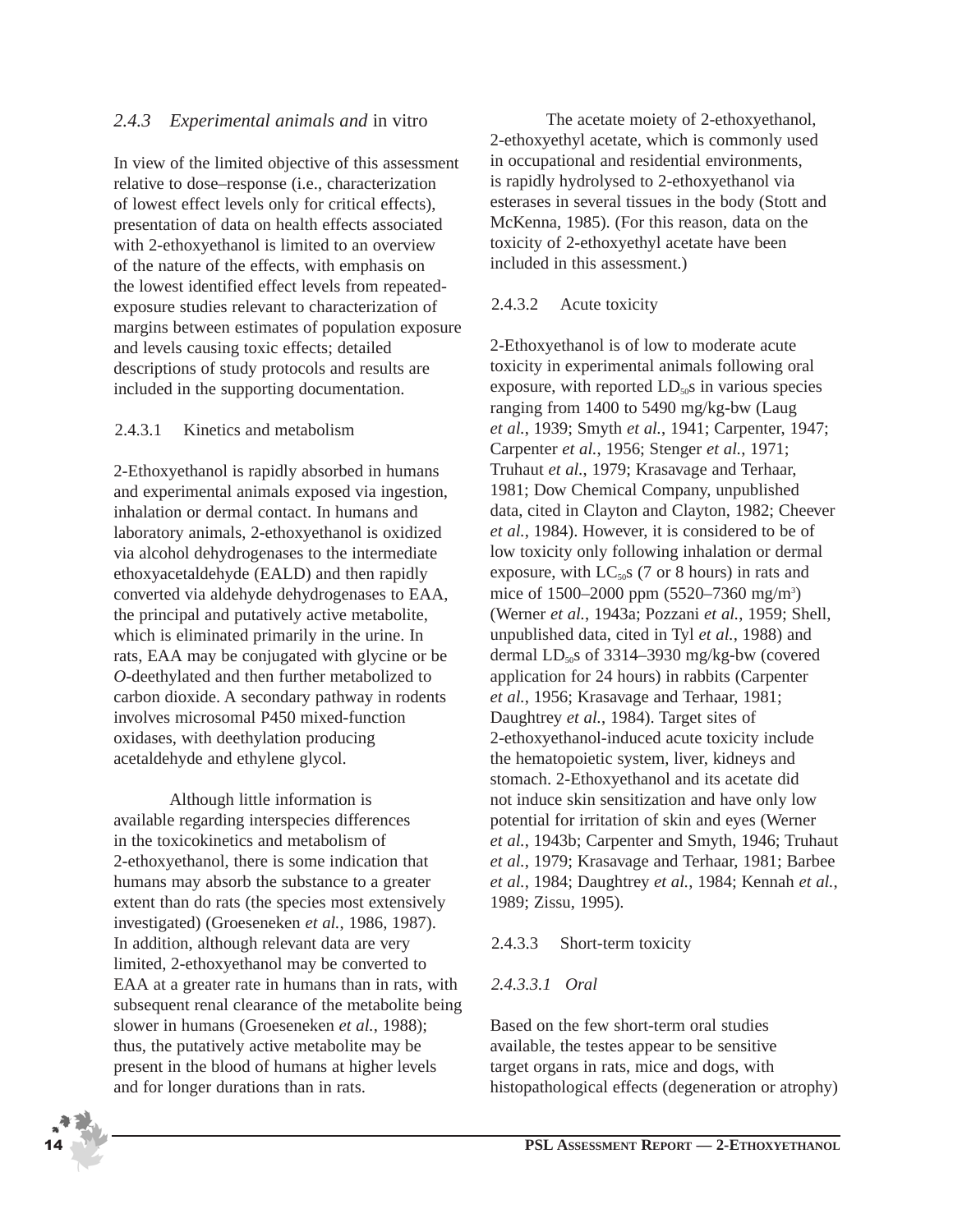## *2.4.3 Experimental animals and* in vitro

In view of the limited objective of this assessment relative to dose–response (i.e., characterization of lowest effect levels only for critical effects), presentation of data on health effects associated with 2-ethoxyethanol is limited to an overview of the nature of the effects, with emphasis on the lowest identified effect levels from repeatedexposure studies relevant to characterization of margins between estimates of population exposure and levels causing toxic effects; detailed descriptions of study protocols and results are included in the supporting documentation.

#### 2.4.3.1 Kinetics and metabolism

2-Ethoxyethanol is rapidly absorbed in humans and experimental animals exposed via ingestion, inhalation or dermal contact. In humans and laboratory animals, 2-ethoxyethanol is oxidized via alcohol dehydrogenases to the intermediate ethoxyacetaldehyde (EALD) and then rapidly converted via aldehyde dehydrogenases to EAA, the principal and putatively active metabolite, which is eliminated primarily in the urine. In rats, EAA may be conjugated with glycine or be *O*-deethylated and then further metabolized to carbon dioxide. A secondary pathway in rodents involves microsomal P450 mixed-function oxidases, with deethylation producing acetaldehyde and ethylene glycol.

Although little information is available regarding interspecies differences in the toxicokinetics and metabolism of 2-ethoxyethanol, there is some indication that humans may absorb the substance to a greater extent than do rats (the species most extensively investigated) (Groeseneken *et al.*, 1986, 1987). In addition, although relevant data are very limited, 2-ethoxyethanol may be converted to EAA at a greater rate in humans than in rats, with subsequent renal clearance of the metabolite being slower in humans (Groeseneken *et al.*, 1988); thus, the putatively active metabolite may be present in the blood of humans at higher levels and for longer durations than in rats.

The acetate moiety of 2-ethoxyethanol, 2-ethoxyethyl acetate, which is commonly used in occupational and residential environments, is rapidly hydrolysed to 2-ethoxyethanol via esterases in several tissues in the body (Stott and McKenna, 1985). (For this reason, data on the toxicity of 2-ethoxyethyl acetate have been included in this assessment.)

#### 2.4.3.2 Acute toxicity

2-Ethoxyethanol is of low to moderate acute toxicity in experimental animals following oral exposure, with reported  $LD<sub>50</sub>$ s in various species ranging from 1400 to 5490 mg/kg-bw (Laug *et al.*, 1939; Smyth *et al.*, 1941; Carpenter, 1947; Carpenter *et al.*, 1956; Stenger *et al.*, 1971; Truhaut *et al.*, 1979; Krasavage and Terhaar, 1981; Dow Chemical Company, unpublished data, cited in Clayton and Clayton, 1982; Cheever *et al.*, 1984). However, it is considered to be of low toxicity only following inhalation or dermal exposure, with  $LC_{50}$ s (7 or 8 hours) in rats and mice of 1500–2000 ppm (5520–7360 mg/m<sup>3</sup>) (Werner *et al.*, 1943a; Pozzani *et al.*, 1959; Shell, unpublished data, cited in Tyl *et al.*, 1988) and dermal  $LD<sub>50</sub>$ s of 3314–3930 mg/kg-bw (covered application for 24 hours) in rabbits (Carpenter *et al.*, 1956; Krasavage and Terhaar, 1981; Daughtrey *et al.*, 1984). Target sites of 2-ethoxyethanol-induced acute toxicity include the hematopoietic system, liver, kidneys and stomach. 2-Ethoxyethanol and its acetate did not induce skin sensitization and have only low potential for irritation of skin and eyes (Werner *et al.*, 1943b; Carpenter and Smyth, 1946; Truhaut *et al.*, 1979; Krasavage and Terhaar, 1981; Barbee *et al.*, 1984; Daughtrey *et al.*, 1984; Kennah *et al.*, 1989; Zissu, 1995).

#### 2.4.3.3 Short-term toxicity

#### *2.4.3.3.1 Oral*

Based on the few short-term oral studies available, the testes appear to be sensitive target organs in rats, mice and dogs, with histopathological effects (degeneration or atrophy)

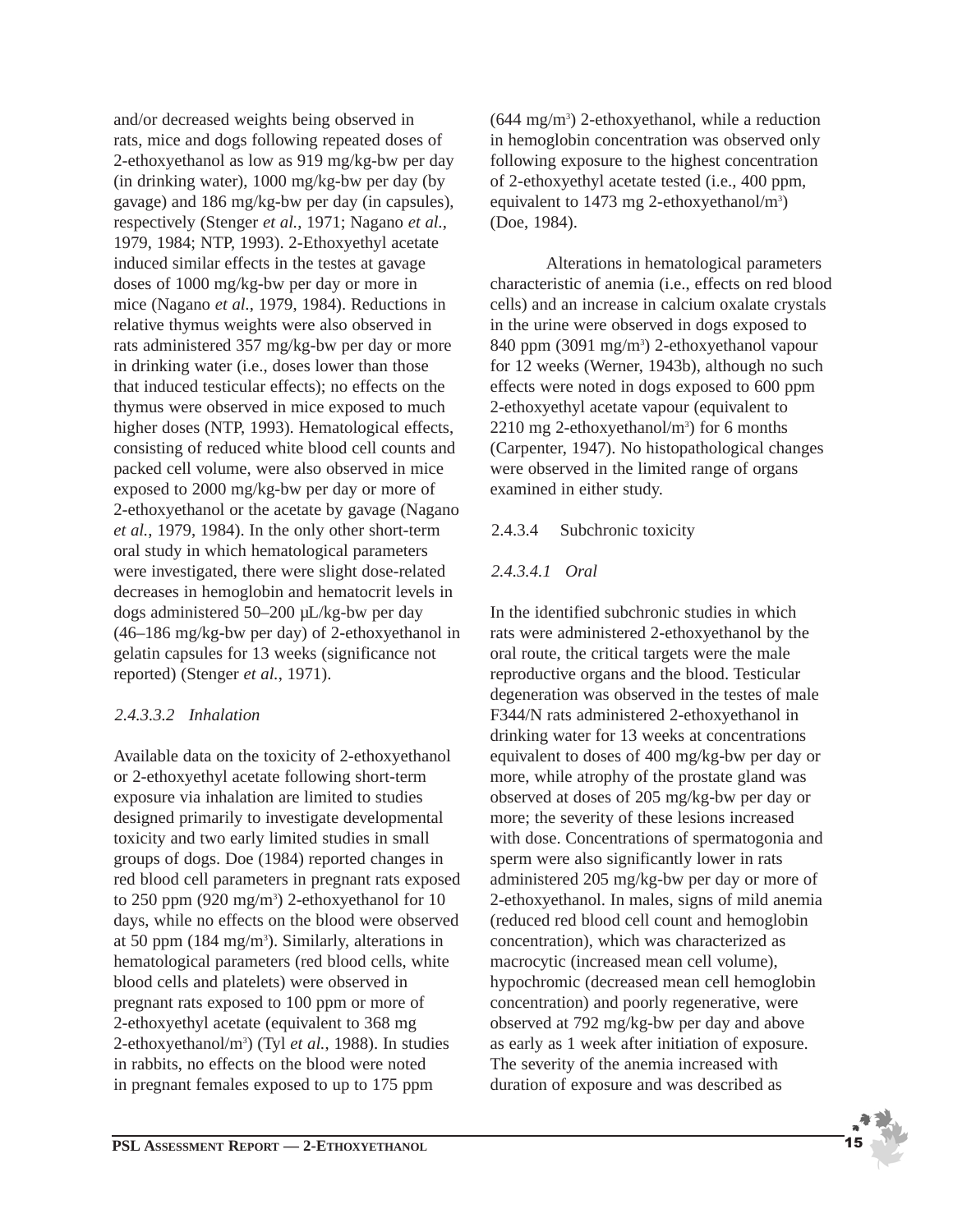and/or decreased weights being observed in rats, mice and dogs following repeated doses of 2-ethoxyethanol as low as 919 mg/kg-bw per day (in drinking water), 1000 mg/kg-bw per day (by gavage) and 186 mg/kg-bw per day (in capsules), respectively (Stenger *et al.*, 1971; Nagano *et al.*, 1979, 1984; NTP, 1993). 2-Ethoxyethyl acetate induced similar effects in the testes at gavage doses of 1000 mg/kg-bw per day or more in mice (Nagano *et al.*, 1979, 1984). Reductions in relative thymus weights were also observed in rats administered 357 mg/kg-bw per day or more in drinking water (i.e., doses lower than those that induced testicular effects); no effects on the thymus were observed in mice exposed to much higher doses (NTP, 1993). Hematological effects, consisting of reduced white blood cell counts and packed cell volume, were also observed in mice exposed to 2000 mg/kg-bw per day or more of 2-ethoxyethanol or the acetate by gavage (Nagano *et al.*, 1979, 1984). In the only other short-term oral study in which hematological parameters were investigated, there were slight dose-related decreases in hemoglobin and hematocrit levels in dogs administered 50–200 µL/kg-bw per day (46–186 mg/kg-bw per day) of 2-ethoxyethanol in gelatin capsules for 13 weeks (significance not reported) (Stenger *et al.*, 1971).

## *2.4.3.3.2 Inhalation*

Available data on the toxicity of 2-ethoxyethanol or 2-ethoxyethyl acetate following short-term exposure via inhalation are limited to studies designed primarily to investigate developmental toxicity and two early limited studies in small groups of dogs. Doe (1984) reported changes in red blood cell parameters in pregnant rats exposed to 250 ppm (920 mg/m<sup>3</sup>) 2-ethoxyethanol for 10 days, while no effects on the blood were observed at 50 ppm (184 mg/m<sup>3</sup>). Similarly, alterations in hematological parameters (red blood cells, white blood cells and platelets) were observed in pregnant rats exposed to 100 ppm or more of 2-ethoxyethyl acetate (equivalent to 368 mg 2-ethoxyethanol/m3 ) (Tyl *et al.*, 1988). In studies in rabbits, no effects on the blood were noted in pregnant females exposed to up to 175 ppm

(644 mg/m3 ) 2-ethoxyethanol, while a reduction in hemoglobin concentration was observed only following exposure to the highest concentration of 2-ethoxyethyl acetate tested (i.e., 400 ppm, equivalent to 1473 mg 2-ethoxyethanol/m<sup>3</sup>) (Doe, 1984).

Alterations in hematological parameters characteristic of anemia (i.e., effects on red blood cells) and an increase in calcium oxalate crystals in the urine were observed in dogs exposed to 840 ppm (3091 mg/m<sup>3</sup>) 2-ethoxyethanol vapour for 12 weeks (Werner, 1943b), although no such effects were noted in dogs exposed to 600 ppm 2-ethoxyethyl acetate vapour (equivalent to  $2210$  mg 2-ethoxyethanol/m<sup>3</sup>) for 6 months (Carpenter, 1947). No histopathological changes were observed in the limited range of organs examined in either study.

#### 2.4.3.4 Subchronic toxicity

## *2.4.3.4.1 Oral*

In the identified subchronic studies in which rats were administered 2-ethoxyethanol by the oral route, the critical targets were the male reproductive organs and the blood. Testicular degeneration was observed in the testes of male F344/N rats administered 2-ethoxyethanol in drinking water for 13 weeks at concentrations equivalent to doses of 400 mg/kg-bw per day or more, while atrophy of the prostate gland was observed at doses of 205 mg/kg-bw per day or more; the severity of these lesions increased with dose. Concentrations of spermatogonia and sperm were also significantly lower in rats administered 205 mg/kg-bw per day or more of 2-ethoxyethanol. In males, signs of mild anemia (reduced red blood cell count and hemoglobin concentration), which was characterized as macrocytic (increased mean cell volume), hypochromic (decreased mean cell hemoglobin concentration) and poorly regenerative, were observed at 792 mg/kg-bw per day and above as early as 1 week after initiation of exposure. The severity of the anemia increased with duration of exposure and was described as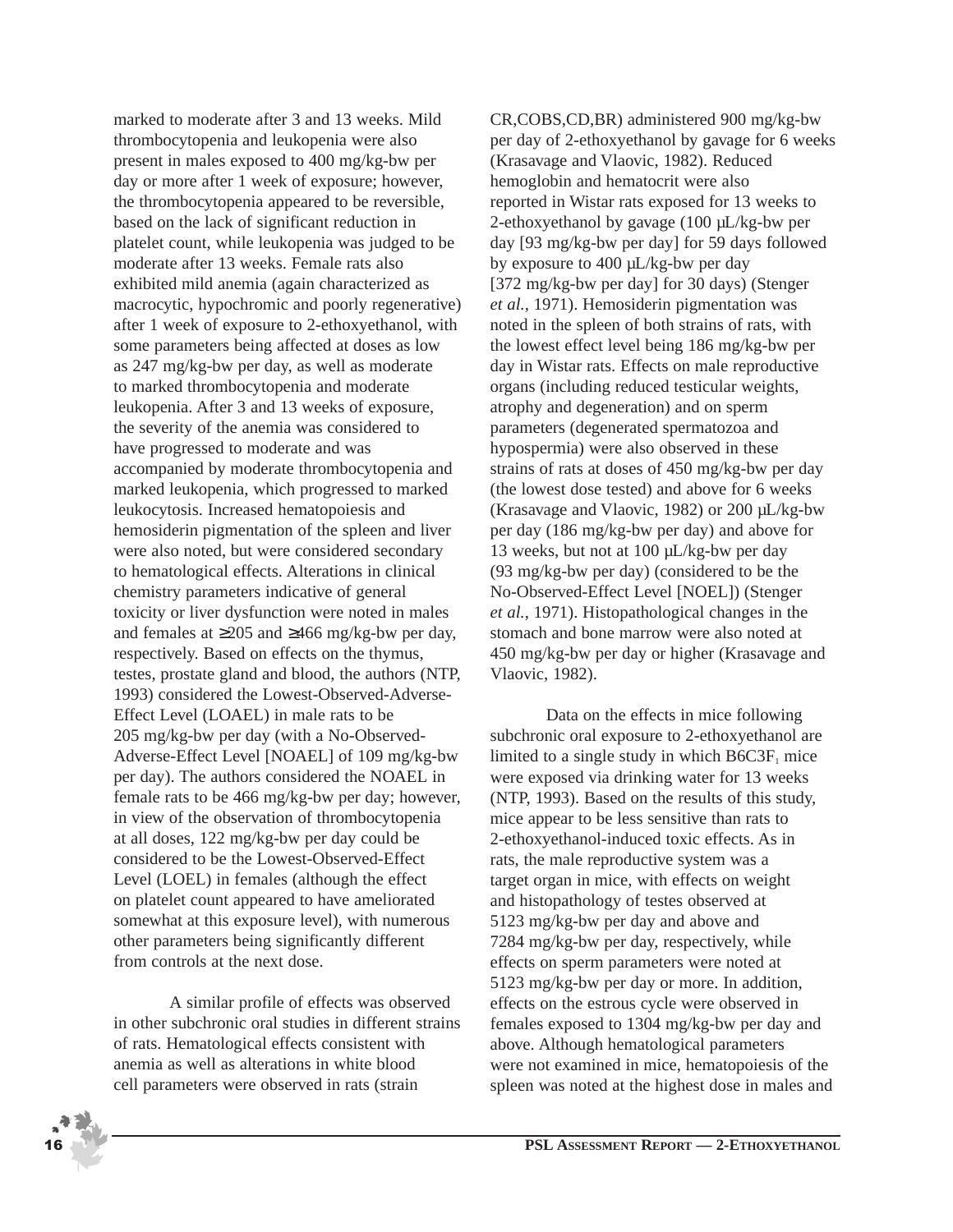marked to moderate after 3 and 13 weeks. Mild thrombocytopenia and leukopenia were also present in males exposed to 400 mg/kg-bw per day or more after 1 week of exposure; however, the thrombocytopenia appeared to be reversible, based on the lack of significant reduction in platelet count, while leukopenia was judged to be moderate after 13 weeks. Female rats also exhibited mild anemia (again characterized as macrocytic, hypochromic and poorly regenerative) after 1 week of exposure to 2-ethoxyethanol, with some parameters being affected at doses as low as 247 mg/kg-bw per day, as well as moderate to marked thrombocytopenia and moderate leukopenia. After 3 and 13 weeks of exposure, the severity of the anemia was considered to have progressed to moderate and was accompanied by moderate thrombocytopenia and marked leukopenia, which progressed to marked leukocytosis. Increased hematopoiesis and hemosiderin pigmentation of the spleen and liver were also noted, but were considered secondary to hematological effects. Alterations in clinical chemistry parameters indicative of general toxicity or liver dysfunction were noted in males and females at ≥205 and ≥466 mg/kg-bw per day, respectively. Based on effects on the thymus, testes, prostate gland and blood, the authors (NTP, 1993) considered the Lowest-Observed-Adverse-Effect Level (LOAEL) in male rats to be 205 mg/kg-bw per day (with a No-Observed-Adverse-Effect Level [NOAEL] of 109 mg/kg-bw per day). The authors considered the NOAEL in female rats to be 466 mg/kg-bw per day; however, in view of the observation of thrombocytopenia at all doses, 122 mg/kg-bw per day could be considered to be the Lowest-Observed-Effect Level (LOEL) in females (although the effect on platelet count appeared to have ameliorated somewhat at this exposure level), with numerous other parameters being significantly different from controls at the next dose.

A similar profile of effects was observed in other subchronic oral studies in different strains of rats. Hematological effects consistent with anemia as well as alterations in white blood cell parameters were observed in rats (strain

CR,COBS,CD,BR) administered 900 mg/kg-bw per day of 2-ethoxyethanol by gavage for 6 weeks (Krasavage and Vlaovic, 1982). Reduced hemoglobin and hematocrit were also reported in Wistar rats exposed for 13 weeks to 2-ethoxyethanol by gavage (100 µL/kg-bw per day [93 mg/kg-bw per day] for 59 days followed by exposure to 400 µL/kg-bw per day [372 mg/kg-bw per day] for 30 days) (Stenger *et al.*, 1971). Hemosiderin pigmentation was noted in the spleen of both strains of rats, with the lowest effect level being 186 mg/kg-bw per day in Wistar rats. Effects on male reproductive organs (including reduced testicular weights, atrophy and degeneration) and on sperm parameters (degenerated spermatozoa and hypospermia) were also observed in these strains of rats at doses of 450 mg/kg-bw per day (the lowest dose tested) and above for 6 weeks (Krasavage and Vlaovic, 1982) or 200 µL/kg-bw per day (186 mg/kg-bw per day) and above for 13 weeks, but not at 100 µL/kg-bw per day (93 mg/kg-bw per day) (considered to be the No-Observed-Effect Level [NOEL]) (Stenger *et al.*, 1971). Histopathological changes in the stomach and bone marrow were also noted at 450 mg/kg-bw per day or higher (Krasavage and Vlaovic, 1982).

Data on the effects in mice following subchronic oral exposure to 2-ethoxyethanol are limited to a single study in which  $B6C3F<sub>1</sub>$  mice were exposed via drinking water for 13 weeks (NTP, 1993). Based on the results of this study, mice appear to be less sensitive than rats to 2-ethoxyethanol-induced toxic effects. As in rats, the male reproductive system was a target organ in mice, with effects on weight and histopathology of testes observed at 5123 mg/kg-bw per day and above and 7284 mg/kg-bw per day, respectively, while effects on sperm parameters were noted at 5123 mg/kg-bw per day or more. In addition, effects on the estrous cycle were observed in females exposed to 1304 mg/kg-bw per day and above. Although hematological parameters were not examined in mice, hematopoiesis of the spleen was noted at the highest dose in males and

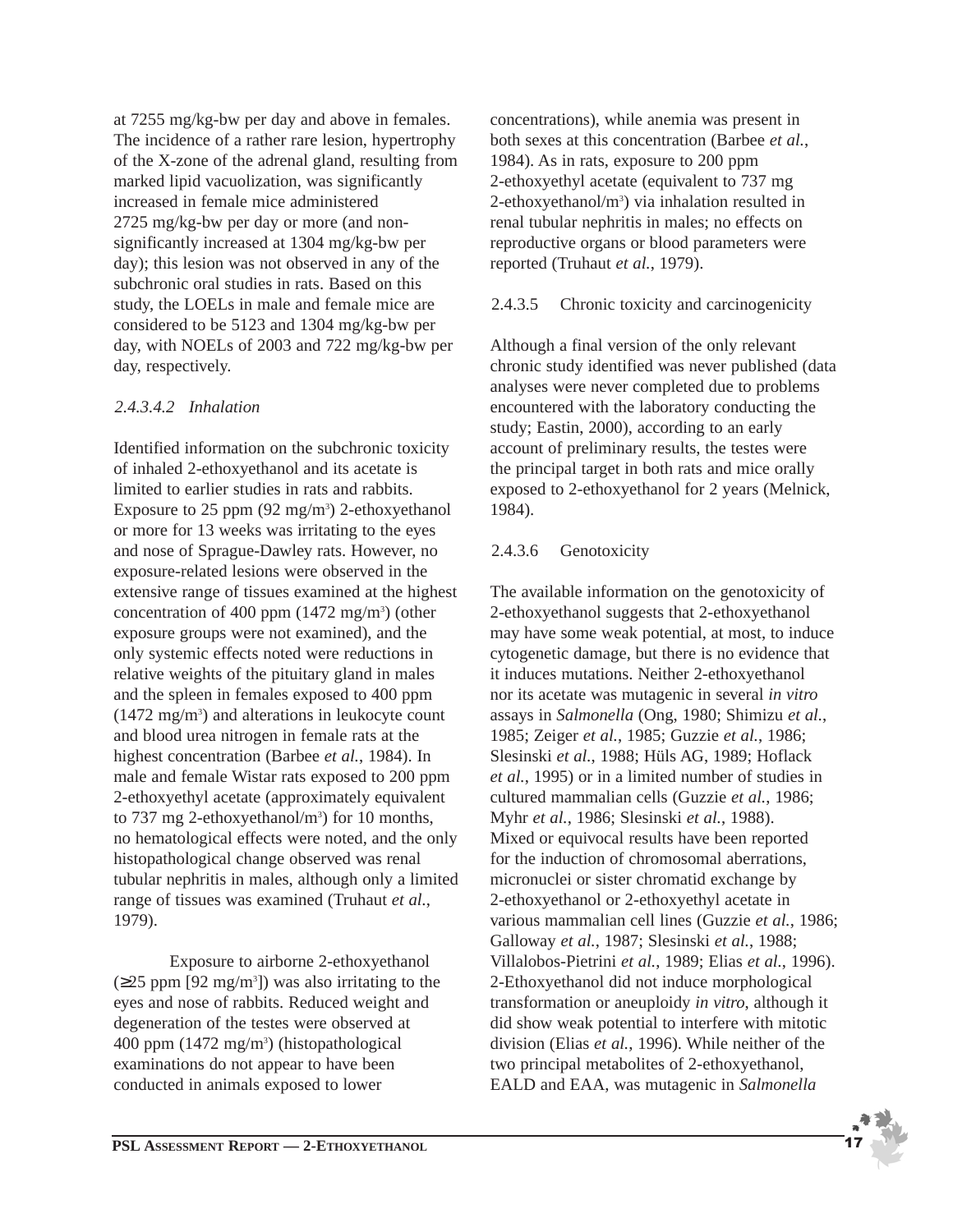at 7255 mg/kg-bw per day and above in females. The incidence of a rather rare lesion, hypertrophy of the X-zone of the adrenal gland, resulting from marked lipid vacuolization, was significantly increased in female mice administered 2725 mg/kg-bw per day or more (and nonsignificantly increased at 1304 mg/kg-bw per day); this lesion was not observed in any of the subchronic oral studies in rats. Based on this study, the LOELs in male and female mice are considered to be 5123 and 1304 mg/kg-bw per day, with NOELs of 2003 and 722 mg/kg-bw per day, respectively.

#### *2.4.3.4.2 Inhalation*

Identified information on the subchronic toxicity of inhaled 2-ethoxyethanol and its acetate is limited to earlier studies in rats and rabbits. Exposure to  $25$  ppm  $(92 \text{ mg/m}^3)$  2-ethoxyethanol or more for 13 weeks was irritating to the eyes and nose of Sprague-Dawley rats. However, no exposure-related lesions were observed in the extensive range of tissues examined at the highest concentration of 400 ppm  $(1472 \text{ mg/m}^3)$  (other exposure groups were not examined), and the only systemic effects noted were reductions in relative weights of the pituitary gland in males and the spleen in females exposed to 400 ppm  $(1472 \text{ mg/m}^3)$  and alterations in leukocyte count and blood urea nitrogen in female rats at the highest concentration (Barbee *et al.*, 1984). In male and female Wistar rats exposed to 200 ppm 2-ethoxyethyl acetate (approximately equivalent to 737 mg 2-ethoxyethanol/m<sup>3</sup>) for 10 months, no hematological effects were noted, and the only histopathological change observed was renal tubular nephritis in males, although only a limited range of tissues was examined (Truhaut *et al.*, 1979).

Exposure to airborne 2-ethoxyethanol  $(\geq 25$  ppm [92 mg/m<sup>3</sup>]) was also irritating to the eyes and nose of rabbits. Reduced weight and degeneration of the testes were observed at 400 ppm (1472 mg/m3 ) (histopathological examinations do not appear to have been conducted in animals exposed to lower

concentrations), while anemia was present in both sexes at this concentration (Barbee *et al.*, 1984). As in rats, exposure to 200 ppm 2-ethoxyethyl acetate (equivalent to 737 mg 2-ethoxyethanol/m<sup>3</sup>) via inhalation resulted in renal tubular nephritis in males; no effects on reproductive organs or blood parameters were reported (Truhaut *et al.*, 1979).

#### 2.4.3.5 Chronic toxicity and carcinogenicity

Although a final version of the only relevant chronic study identified was never published (data analyses were never completed due to problems encountered with the laboratory conducting the study; Eastin, 2000), according to an early account of preliminary results, the testes were the principal target in both rats and mice orally exposed to 2-ethoxyethanol for 2 years (Melnick, 1984).

## 2.4.3.6 Genotoxicity

The available information on the genotoxicity of 2-ethoxyethanol suggests that 2-ethoxyethanol may have some weak potential, at most, to induce cytogenetic damage, but there is no evidence that it induces mutations. Neither 2-ethoxyethanol nor its acetate was mutagenic in several *in vitro* assays in *Salmonella* (Ong, 1980; Shimizu *et al.*, 1985; Zeiger *et al.*, 1985; Guzzie *et al.*, 1986; Slesinski *et al.*, 1988; Hüls AG, 1989; Hoflack *et al.*, 1995) or in a limited number of studies in cultured mammalian cells (Guzzie *et al.*, 1986; Myhr *et al.*, 1986; Slesinski *et al.*, 1988). Mixed or equivocal results have been reported for the induction of chromosomal aberrations, micronuclei or sister chromatid exchange by 2-ethoxyethanol or 2-ethoxyethyl acetate in various mammalian cell lines (Guzzie *et al.*, 1986; Galloway *et al.*, 1987; Slesinski *et al.*, 1988; Villalobos-Pietrini *et al.*, 1989; Elias *et al.*, 1996). 2-Ethoxyethanol did not induce morphological transformation or aneuploidy *in vitro*, although it did show weak potential to interfere with mitotic division (Elias *et al.*, 1996). While neither of the two principal metabolites of 2-ethoxyethanol, EALD and EAA, was mutagenic in *Salmonella*

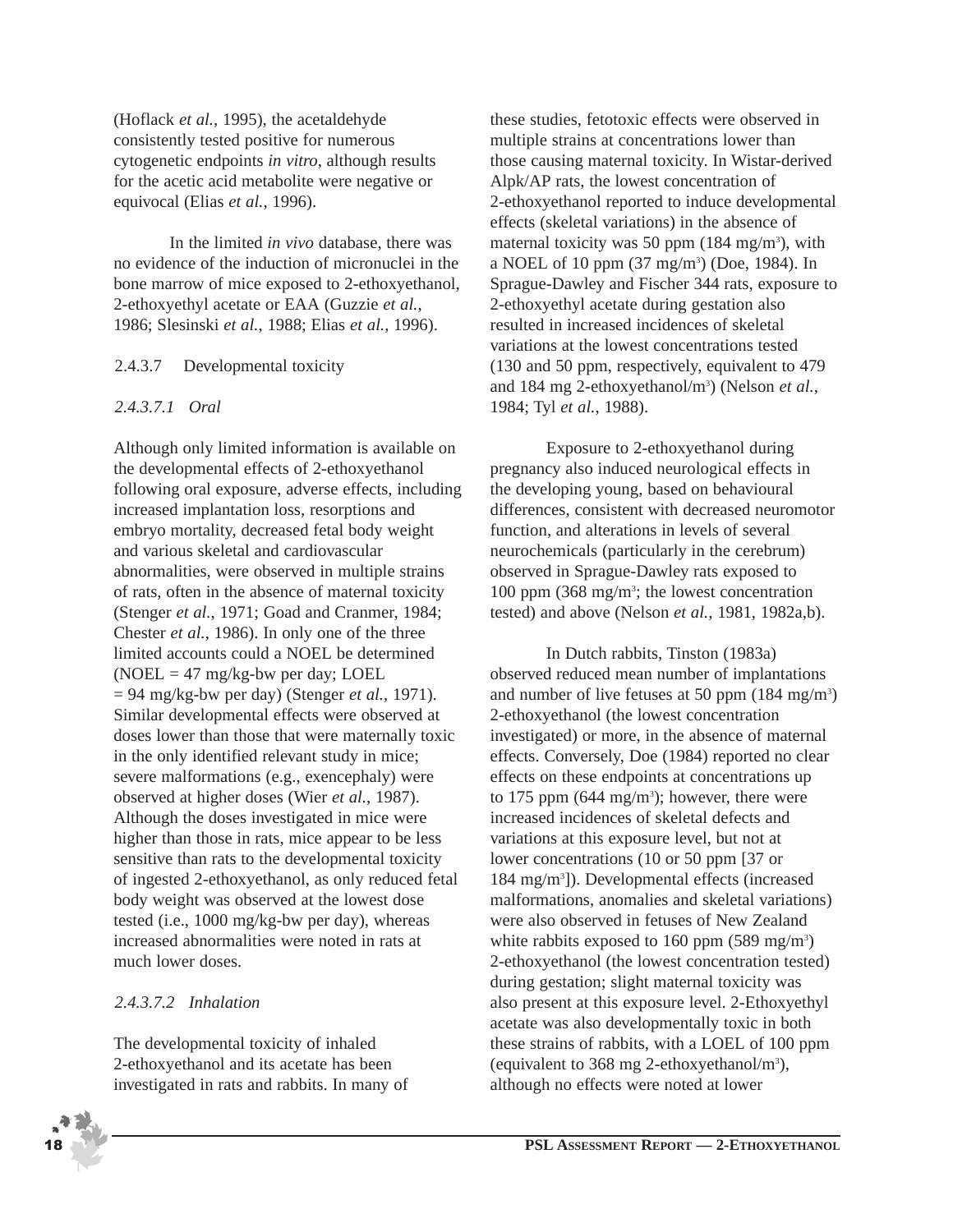(Hoflack *et al.*, 1995), the acetaldehyde consistently tested positive for numerous cytogenetic endpoints *in vitro*, although results for the acetic acid metabolite were negative or equivocal (Elias *et al.*, 1996).

In the limited *in vivo* database, there was no evidence of the induction of micronuclei in the bone marrow of mice exposed to 2-ethoxyethanol, 2-ethoxyethyl acetate or EAA (Guzzie *et al.*, 1986; Slesinski *et al.*, 1988; Elias *et al.*, 1996).

#### 2.4.3.7 Developmental toxicity

#### *2.4.3.7.1 Oral*

Although only limited information is available on the developmental effects of 2-ethoxyethanol following oral exposure, adverse effects, including increased implantation loss, resorptions and embryo mortality, decreased fetal body weight and various skeletal and cardiovascular abnormalities, were observed in multiple strains of rats, often in the absence of maternal toxicity (Stenger *et al.*, 1971; Goad and Cranmer, 1984; Chester *et al.*, 1986). In only one of the three limited accounts could a NOEL be determined  $(NOEL = 47 mg/kg$ -bw per day; LOEL = 94 mg/kg-bw per day) (Stenger *et al.*, 1971). Similar developmental effects were observed at doses lower than those that were maternally toxic in the only identified relevant study in mice; severe malformations (e.g., exencephaly) were observed at higher doses (Wier *et al.*, 1987). Although the doses investigated in mice were higher than those in rats, mice appear to be less sensitive than rats to the developmental toxicity of ingested 2-ethoxyethanol, as only reduced fetal body weight was observed at the lowest dose tested (i.e., 1000 mg/kg-bw per day), whereas increased abnormalities were noted in rats at much lower doses.

## *2.4.3.7.2 Inhalation*

The developmental toxicity of inhaled 2-ethoxyethanol and its acetate has been investigated in rats and rabbits. In many of



Exposure to 2-ethoxyethanol during pregnancy also induced neurological effects in the developing young, based on behavioural differences, consistent with decreased neuromotor function, and alterations in levels of several neurochemicals (particularly in the cerebrum) observed in Sprague-Dawley rats exposed to 100 ppm (368 mg/m<sup>3</sup>; the lowest concentration tested) and above (Nelson *et al.*, 1981, 1982a,b).

In Dutch rabbits, Tinston (1983a) observed reduced mean number of implantations and number of live fetuses at 50 ppm (184 mg/m<sup>3</sup>) 2-ethoxyethanol (the lowest concentration investigated) or more, in the absence of maternal effects. Conversely, Doe (1984) reported no clear effects on these endpoints at concentrations up to 175 ppm  $(644 \text{ mg/m}^3)$ ; however, there were increased incidences of skeletal defects and variations at this exposure level, but not at lower concentrations (10 or 50 ppm [37 or 184 mg/m3 ]). Developmental effects (increased malformations, anomalies and skeletal variations) were also observed in fetuses of New Zealand white rabbits exposed to 160 ppm  $(589 \text{ mg/m}^3)$ 2-ethoxyethanol (the lowest concentration tested) during gestation; slight maternal toxicity was also present at this exposure level. 2-Ethoxyethyl acetate was also developmentally toxic in both these strains of rabbits, with a LOEL of 100 ppm (equivalent to 368 mg 2-ethoxyethanol/m3 ), although no effects were noted at lower

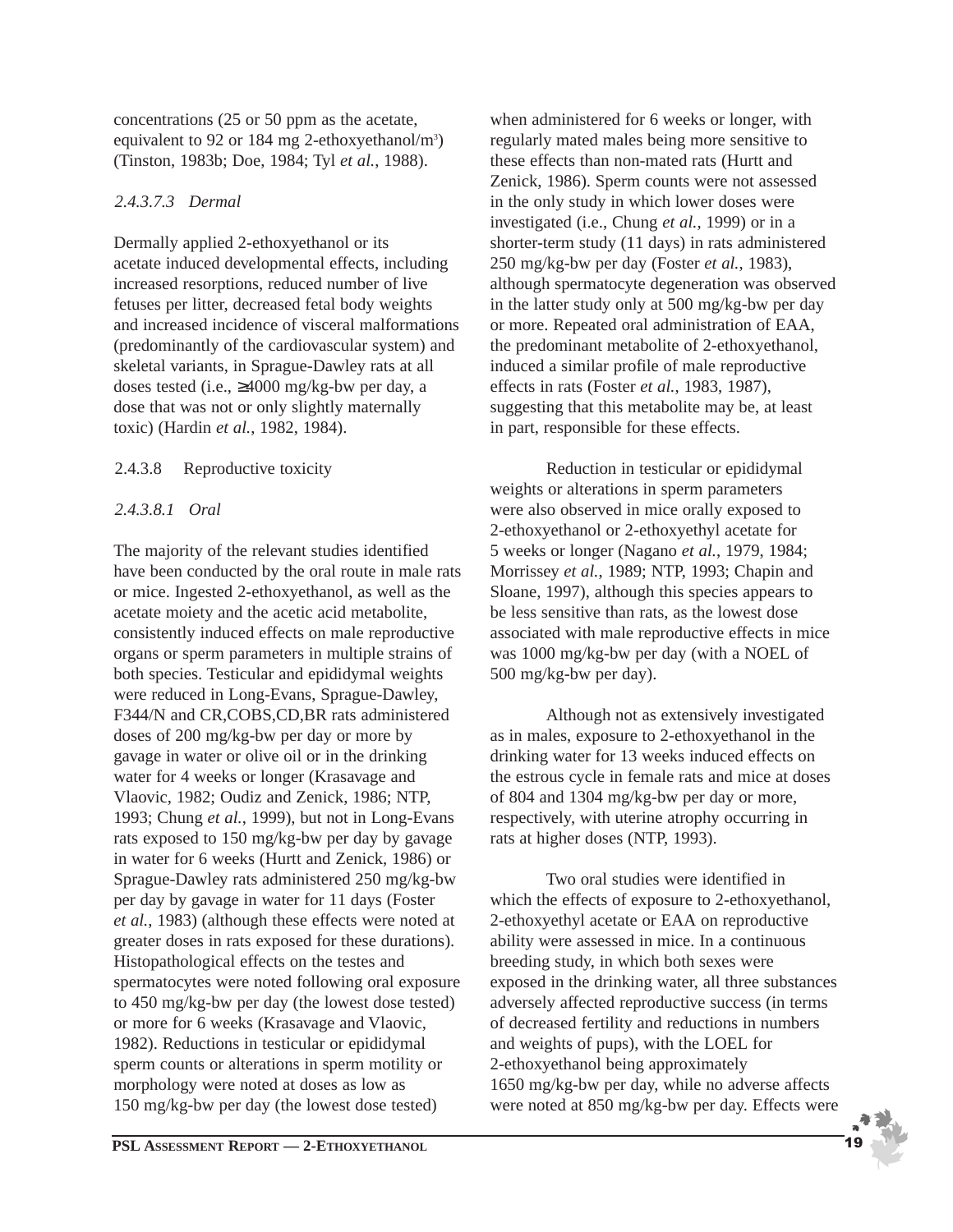concentrations (25 or 50 ppm as the acetate, equivalent to 92 or 184 mg 2-ethoxyethanol/m<sup>3</sup>) (Tinston, 1983b; Doe, 1984; Tyl *et al.*, 1988).

#### *2.4.3.7.3 Dermal*

Dermally applied 2-ethoxyethanol or its acetate induced developmental effects, including increased resorptions, reduced number of live fetuses per litter, decreased fetal body weights and increased incidence of visceral malformations (predominantly of the cardiovascular system) and skeletal variants, in Sprague-Dawley rats at all doses tested (i.e., ≥4000 mg/kg-bw per day, a dose that was not or only slightly maternally toxic) (Hardin *et al.*, 1982, 1984).

#### 2.4.3.8 Reproductive toxicity

#### *2.4.3.8.1 Oral*

The majority of the relevant studies identified have been conducted by the oral route in male rats or mice. Ingested 2-ethoxyethanol, as well as the acetate moiety and the acetic acid metabolite, consistently induced effects on male reproductive organs or sperm parameters in multiple strains of both species. Testicular and epididymal weights were reduced in Long-Evans, Sprague-Dawley, F344/N and CR,COBS,CD,BR rats administered doses of 200 mg/kg-bw per day or more by gavage in water or olive oil or in the drinking water for 4 weeks or longer (Krasavage and Vlaovic, 1982; Oudiz and Zenick, 1986; NTP, 1993; Chung *et al.*, 1999), but not in Long-Evans rats exposed to 150 mg/kg-bw per day by gavage in water for 6 weeks (Hurtt and Zenick, 1986) or Sprague-Dawley rats administered 250 mg/kg-bw per day by gavage in water for 11 days (Foster *et al.*, 1983) (although these effects were noted at greater doses in rats exposed for these durations). Histopathological effects on the testes and spermatocytes were noted following oral exposure to 450 mg/kg-bw per day (the lowest dose tested) or more for 6 weeks (Krasavage and Vlaovic, 1982). Reductions in testicular or epididymal sperm counts or alterations in sperm motility or morphology were noted at doses as low as 150 mg/kg-bw per day (the lowest dose tested)

when administered for 6 weeks or longer, with regularly mated males being more sensitive to these effects than non-mated rats (Hurtt and Zenick, 1986). Sperm counts were not assessed in the only study in which lower doses were investigated (i.e., Chung *et al.*, 1999) or in a shorter-term study (11 days) in rats administered 250 mg/kg-bw per day (Foster *et al.*, 1983), although spermatocyte degeneration was observed in the latter study only at 500 mg/kg-bw per day or more. Repeated oral administration of EAA, the predominant metabolite of 2-ethoxyethanol, induced a similar profile of male reproductive effects in rats (Foster *et al.*, 1983, 1987), suggesting that this metabolite may be, at least in part, responsible for these effects.

Reduction in testicular or epididymal weights or alterations in sperm parameters were also observed in mice orally exposed to 2-ethoxyethanol or 2-ethoxyethyl acetate for 5 weeks or longer (Nagano *et al.*, 1979, 1984; Morrissey *et al.*, 1989; NTP, 1993; Chapin and Sloane, 1997), although this species appears to be less sensitive than rats, as the lowest dose associated with male reproductive effects in mice was 1000 mg/kg-bw per day (with a NOEL of 500 mg/kg-bw per day).

Although not as extensively investigated as in males, exposure to 2-ethoxyethanol in the drinking water for 13 weeks induced effects on the estrous cycle in female rats and mice at doses of 804 and 1304 mg/kg-bw per day or more, respectively, with uterine atrophy occurring in rats at higher doses (NTP, 1993).

Two oral studies were identified in which the effects of exposure to 2-ethoxyethanol, 2-ethoxyethyl acetate or EAA on reproductive ability were assessed in mice. In a continuous breeding study, in which both sexes were exposed in the drinking water, all three substances adversely affected reproductive success (in terms of decreased fertility and reductions in numbers and weights of pups), with the LOEL for 2-ethoxyethanol being approximately 1650 mg/kg-bw per day, while no adverse affects were noted at 850 mg/kg-bw per day. Effects were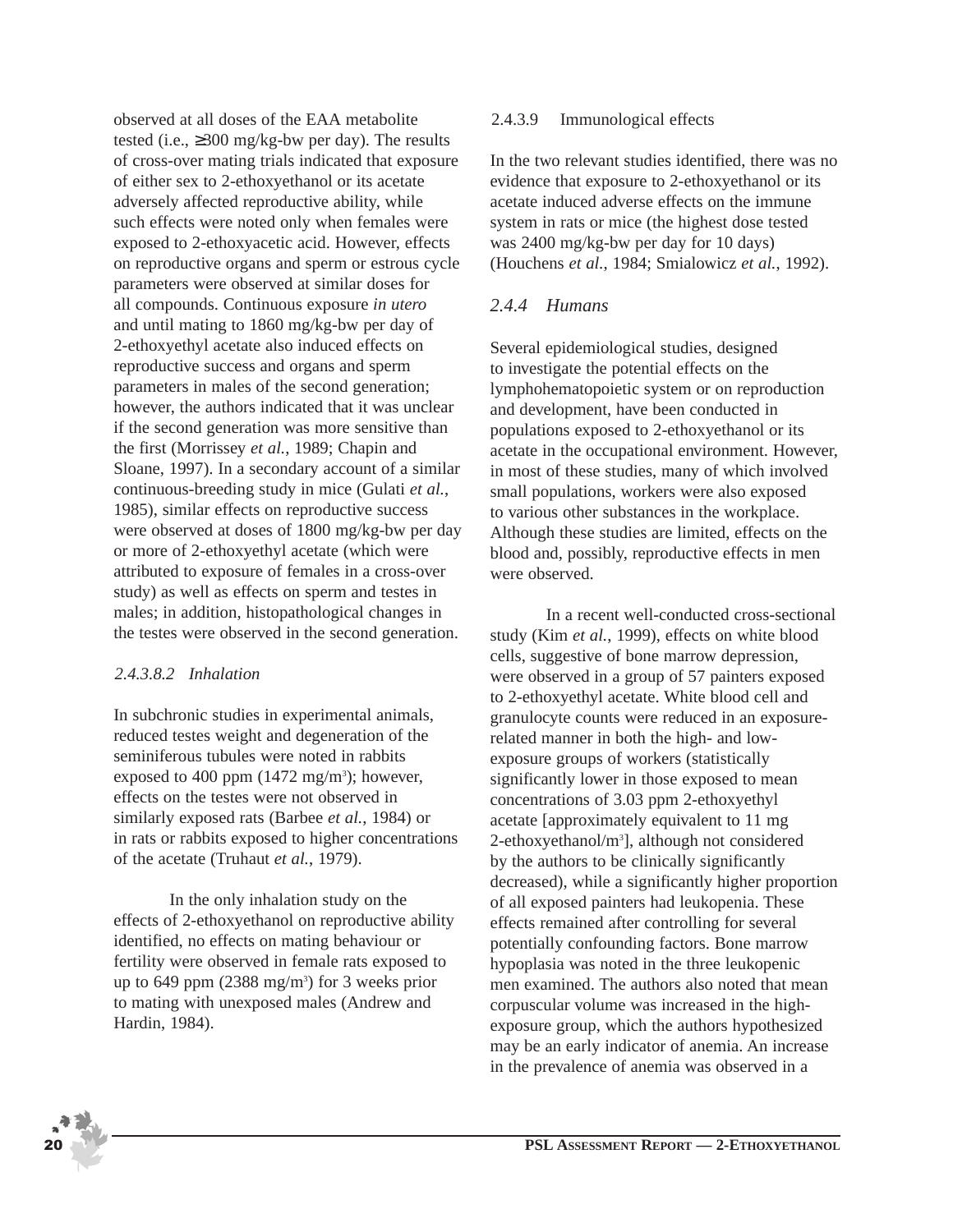observed at all doses of the EAA metabolite tested (i.e.,  $\geq$ 300 mg/kg-bw per day). The results of cross-over mating trials indicated that exposure of either sex to 2-ethoxyethanol or its acetate adversely affected reproductive ability, while such effects were noted only when females were exposed to 2-ethoxyacetic acid. However, effects on reproductive organs and sperm or estrous cycle parameters were observed at similar doses for all compounds. Continuous exposure *in utero* and until mating to 1860 mg/kg-bw per day of 2-ethoxyethyl acetate also induced effects on reproductive success and organs and sperm parameters in males of the second generation; however, the authors indicated that it was unclear if the second generation was more sensitive than the first (Morrissey *et al.*, 1989; Chapin and Sloane, 1997). In a secondary account of a similar continuous-breeding study in mice (Gulati *et al.*, 1985), similar effects on reproductive success were observed at doses of 1800 mg/kg-bw per day or more of 2-ethoxyethyl acetate (which were attributed to exposure of females in a cross-over study) as well as effects on sperm and testes in males; in addition, histopathological changes in the testes were observed in the second generation.

#### *2.4.3.8.2 Inhalation*

In subchronic studies in experimental animals, reduced testes weight and degeneration of the seminiferous tubules were noted in rabbits exposed to 400 ppm  $(1472 \text{ mg/m}^3)$ ; however, effects on the testes were not observed in similarly exposed rats (Barbee *et al.*, 1984) or in rats or rabbits exposed to higher concentrations of the acetate (Truhaut *et al.*, 1979).

In the only inhalation study on the effects of 2-ethoxyethanol on reproductive ability identified, no effects on mating behaviour or fertility were observed in female rats exposed to up to 649 ppm (2388 mg/m3 ) for 3 weeks prior to mating with unexposed males (Andrew and Hardin, 1984).

#### 2.4.3.9 Immunological effects

In the two relevant studies identified, there was no evidence that exposure to 2-ethoxyethanol or its acetate induced adverse effects on the immune system in rats or mice (the highest dose tested was 2400 mg/kg-bw per day for 10 days) (Houchens *et al.*, 1984; Smialowicz *et al.*, 1992).

#### *2.4.4 Humans*

Several epidemiological studies, designed to investigate the potential effects on the lymphohematopoietic system or on reproduction and development, have been conducted in populations exposed to 2-ethoxyethanol or its acetate in the occupational environment. However, in most of these studies, many of which involved small populations, workers were also exposed to various other substances in the workplace. Although these studies are limited, effects on the blood and, possibly, reproductive effects in men were observed.

In a recent well-conducted cross-sectional study (Kim *et al.*, 1999), effects on white blood cells, suggestive of bone marrow depression, were observed in a group of 57 painters exposed to 2-ethoxyethyl acetate. White blood cell and granulocyte counts were reduced in an exposurerelated manner in both the high- and lowexposure groups of workers (statistically significantly lower in those exposed to mean concentrations of 3.03 ppm 2-ethoxyethyl acetate [approximately equivalent to 11 mg 2-ethoxyethanol/m<sup>3</sup>], although not considered by the authors to be clinically significantly decreased), while a significantly higher proportion of all exposed painters had leukopenia. These effects remained after controlling for several potentially confounding factors. Bone marrow hypoplasia was noted in the three leukopenic men examined. The authors also noted that mean corpuscular volume was increased in the highexposure group, which the authors hypothesized may be an early indicator of anemia. An increase in the prevalence of anemia was observed in a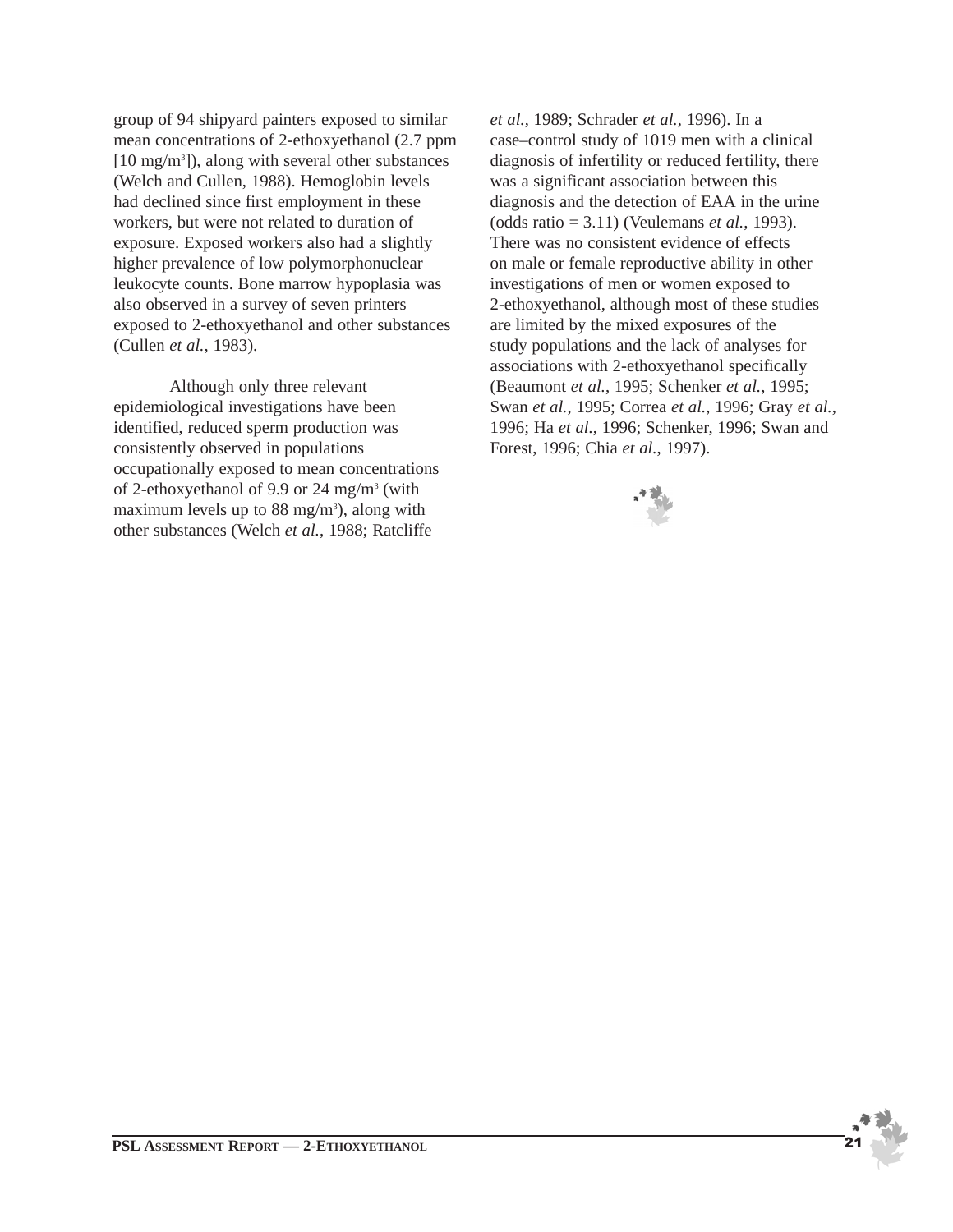group of 94 shipyard painters exposed to similar mean concentrations of 2-ethoxyethanol (2.7 ppm [10 mg/m<sup>3</sup>]), along with several other substances (Welch and Cullen, 1988). Hemoglobin levels had declined since first employment in these workers, but were not related to duration of exposure. Exposed workers also had a slightly higher prevalence of low polymorphonuclear leukocyte counts. Bone marrow hypoplasia was also observed in a survey of seven printers exposed to 2-ethoxyethanol and other substances (Cullen *et al.*, 1983).

Although only three relevant epidemiological investigations have been identified, reduced sperm production was consistently observed in populations occupationally exposed to mean concentrations of 2-ethoxyethanol of 9.9 or 24 mg/m3 (with maximum levels up to 88 mg/m<sup>3</sup>), along with other substances (Welch *et al.*, 1988; Ratcliffe

*et al.*, 1989; Schrader *et al.*, 1996). In a case–control study of 1019 men with a clinical diagnosis of infertility or reduced fertility, there was a significant association between this diagnosis and the detection of EAA in the urine (odds ratio = 3.11) (Veulemans *et al.*, 1993). There was no consistent evidence of effects on male or female reproductive ability in other investigations of men or women exposed to 2-ethoxyethanol, although most of these studies are limited by the mixed exposures of the study populations and the lack of analyses for associations with 2-ethoxyethanol specifically (Beaumont *et al.*, 1995; Schenker *et al.*, 1995; Swan *et al.*, 1995; Correa *et al.*, 1996; Gray *et al.*, 1996; Ha *et al.*, 1996; Schenker, 1996; Swan and Forest, 1996; Chia *et al.*, 1997).

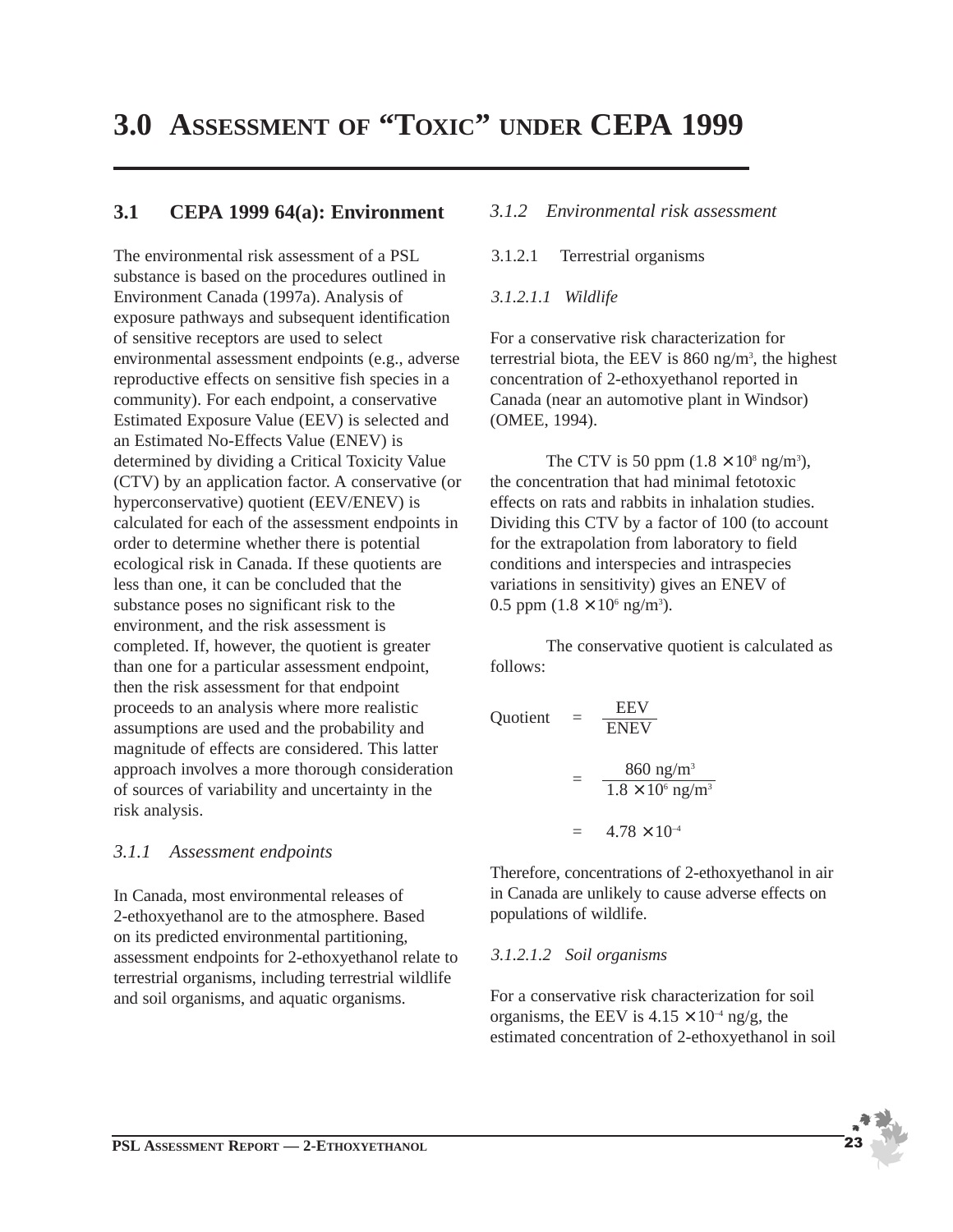## **3.0 ASSESSMENT OF "TOXIC" UNDER CEPA 1999**

## **3.1 CEPA 1999 64(a): Environment**

The environmental risk assessment of a PSL substance is based on the procedures outlined in Environment Canada (1997a). Analysis of exposure pathways and subsequent identification of sensitive receptors are used to select environmental assessment endpoints (e.g., adverse reproductive effects on sensitive fish species in a community). For each endpoint, a conservative Estimated Exposure Value (EEV) is selected and an Estimated No-Effects Value (ENEV) is determined by dividing a Critical Toxicity Value (CTV) by an application factor. A conservative (or hyperconservative) quotient (EEV/ENEV) is calculated for each of the assessment endpoints in order to determine whether there is potential ecological risk in Canada. If these quotients are less than one, it can be concluded that the substance poses no significant risk to the environment, and the risk assessment is completed. If, however, the quotient is greater than one for a particular assessment endpoint, then the risk assessment for that endpoint proceeds to an analysis where more realistic assumptions are used and the probability and magnitude of effects are considered. This latter approach involves a more thorough consideration of sources of variability and uncertainty in the risk analysis.

## *3.1.1 Assessment endpoints*

In Canada, most environmental releases of 2-ethoxyethanol are to the atmosphere. Based on its predicted environmental partitioning, assessment endpoints for 2-ethoxyethanol relate to terrestrial organisms, including terrestrial wildlife and soil organisms, and aquatic organisms.

#### *3.1.2 Environmental risk assessment*

3.1.2.1 Terrestrial organisms

#### *3.1.2.1.1 Wildlife*

For a conservative risk characterization for terrestrial biota, the EEV is  $860$  ng/m<sup>3</sup>, the highest concentration of 2-ethoxyethanol reported in Canada (near an automotive plant in Windsor) (OMEE, 1994).

The CTV is 50 ppm  $(1.8 \times 10^8 \text{ ng/m}^3)$ , the concentration that had minimal fetotoxic effects on rats and rabbits in inhalation studies. Dividing this CTV by a factor of 100 (to account for the extrapolation from laboratory to field conditions and interspecies and intraspecies variations in sensitivity) gives an ENEV of 0.5 ppm  $(1.8 \times 10^6 \text{ ng/m}^3)$ .

The conservative quotient is calculated as follows:

Quotient 
$$
= \frac{EEV}{ENEV}
$$

$$
= \frac{860 \text{ ng/m}^3}{1.8 \times 10^6 \text{ ng/m}^3}
$$

$$
= 4.78 \times 10^{-4}
$$

Therefore, concentrations of 2-ethoxyethanol in air in Canada are unlikely to cause adverse effects on populations of wildlife.

#### *3.1.2.1.2 Soil organisms*

For a conservative risk characterization for soil organisms, the EEV is  $4.15 \times 10^{-4}$  ng/g, the estimated concentration of 2-ethoxyethanol in soil

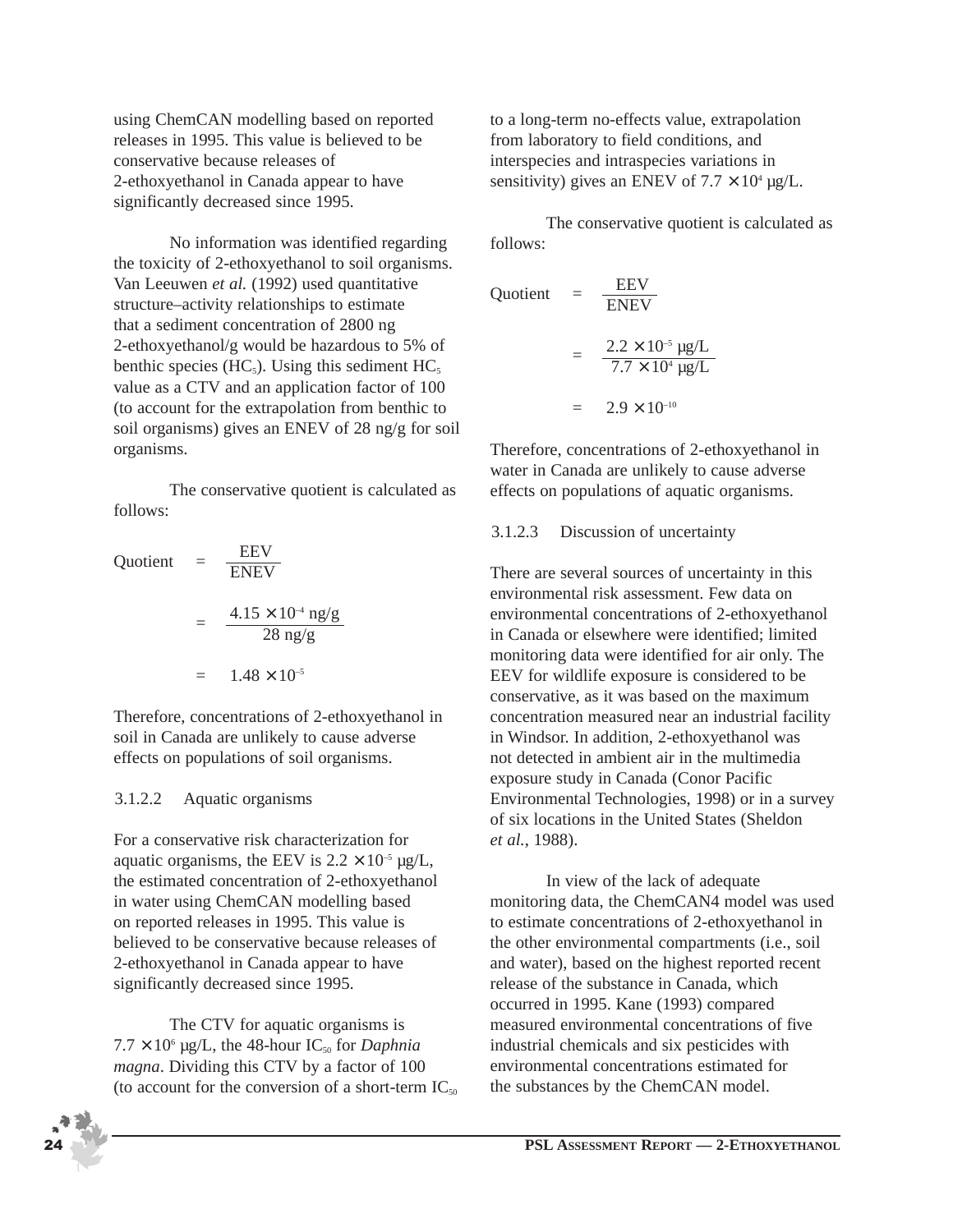using ChemCAN modelling based on reported releases in 1995. This value is believed to be conservative because releases of 2-ethoxyethanol in Canada appear to have significantly decreased since 1995.

No information was identified regarding the toxicity of 2-ethoxyethanol to soil organisms. Van Leeuwen *et al.* (1992) used quantitative structure–activity relationships to estimate that a sediment concentration of 2800 ng 2-ethoxyethanol/g would be hazardous to 5% of benthic species (HC<sub>5</sub>). Using this sediment HC<sub>5</sub> value as a CTV and an application factor of 100 (to account for the extrapolation from benthic to soil organisms) gives an ENEV of 28 ng/g for soil organisms.

The conservative quotient is calculated as follows:

Quotient 
$$
= \frac{EEV}{ENEV}
$$

$$
= \frac{4.15 \times 10^{-4} \text{ ng/g}}{28 \text{ ng/g}}
$$

$$
= 1.48 \times 10^{-5}
$$

Therefore, concentrations of 2-ethoxyethanol in soil in Canada are unlikely to cause adverse effects on populations of soil organisms.

#### 3.1.2.2 Aquatic organisms

For a conservative risk characterization for aquatic organisms, the EEV is  $2.2 \times 10^{-5}$  µg/L, the estimated concentration of 2-ethoxyethanol in water using ChemCAN modelling based on reported releases in 1995. This value is believed to be conservative because releases of 2-ethoxyethanol in Canada appear to have significantly decreased since 1995.

The CTV for aquatic organisms is  $7.7 \times 10^6$  µg/L, the 48-hour IC<sub>50</sub> for *Daphnia magna*. Dividing this CTV by a factor of 100 (to account for the conversion of a short-term  $IC_{50}$  to a long-term no-effects value, extrapolation from laboratory to field conditions, and interspecies and intraspecies variations in sensitivity) gives an ENEV of  $7.7 \times 10^4$  µg/L.

The conservative quotient is calculated as follows:

Quotient 
$$
= \frac{EEV}{ENEV}
$$

$$
= \frac{2.2 \times 10^{-5} \text{ kg/L}}{7.7 \times 10^{4} \text{ kg/L}}
$$

$$
= 2.9 \times 10^{-10}
$$

Therefore, concentrations of 2-ethoxyethanol in water in Canada are unlikely to cause adverse effects on populations of aquatic organisms.

#### 3.1.2.3 Discussion of uncertainty

There are several sources of uncertainty in this environmental risk assessment. Few data on environmental concentrations of 2-ethoxyethanol in Canada or elsewhere were identified; limited monitoring data were identified for air only. The EEV for wildlife exposure is considered to be conservative, as it was based on the maximum concentration measured near an industrial facility in Windsor. In addition, 2-ethoxyethanol was not detected in ambient air in the multimedia exposure study in Canada (Conor Pacific Environmental Technologies, 1998) or in a survey of six locations in the United States (Sheldon *et al.*, 1988).

In view of the lack of adequate monitoring data, the ChemCAN4 model was used to estimate concentrations of 2-ethoxyethanol in the other environmental compartments (i.e., soil and water), based on the highest reported recent release of the substance in Canada, which occurred in 1995. Kane (1993) compared measured environmental concentrations of five industrial chemicals and six pesticides with environmental concentrations estimated for the substances by the ChemCAN model.

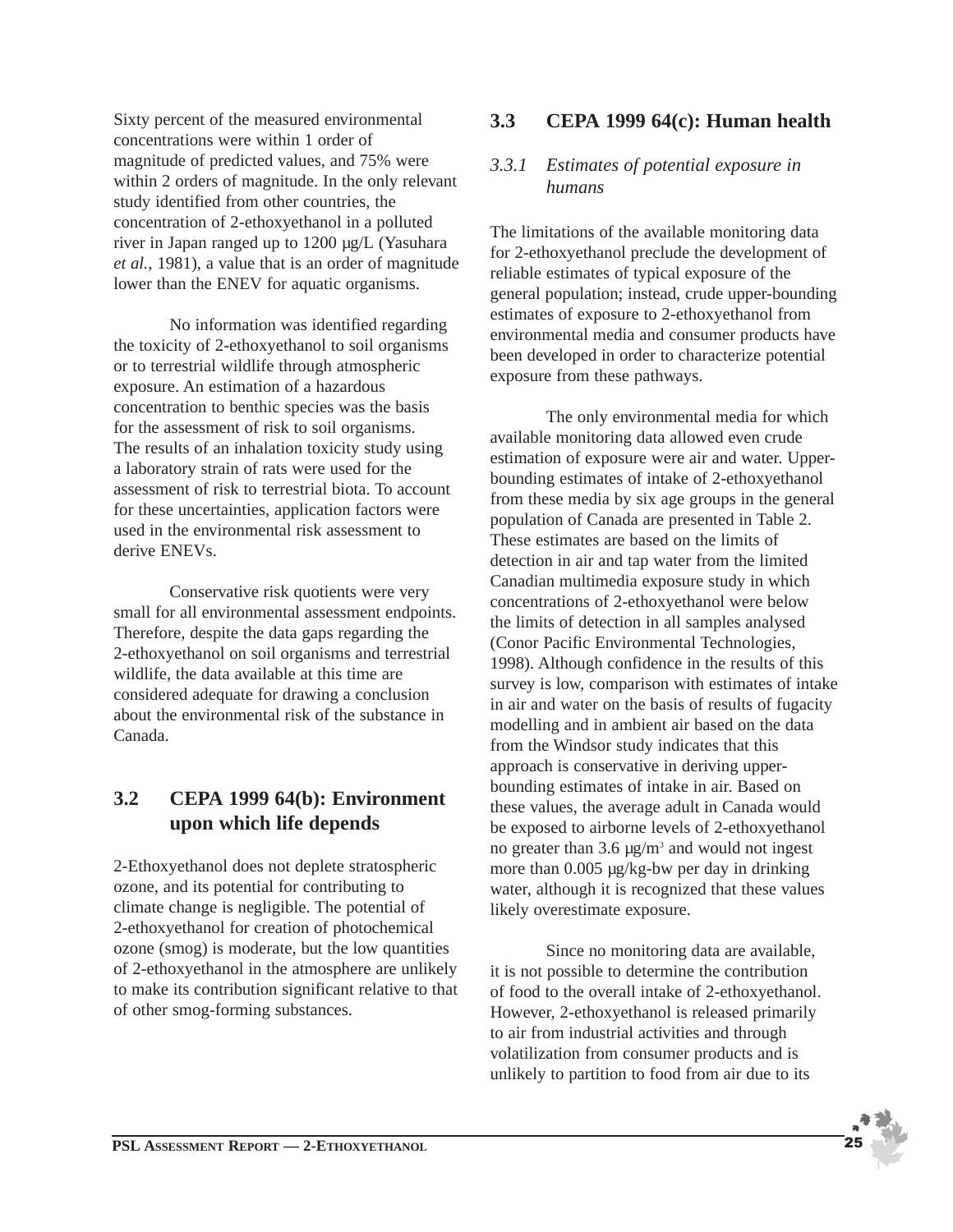Sixty percent of the measured environmental concentrations were within 1 order of magnitude of predicted values, and 75% were within 2 orders of magnitude. In the only relevant study identified from other countries, the concentration of 2-ethoxyethanol in a polluted river in Japan ranged up to 1200 µg/L (Yasuhara *et al.*, 1981), a value that is an order of magnitude lower than the ENEV for aquatic organisms.

No information was identified regarding the toxicity of 2-ethoxyethanol to soil organisms or to terrestrial wildlife through atmospheric exposure. An estimation of a hazardous concentration to benthic species was the basis for the assessment of risk to soil organisms. The results of an inhalation toxicity study using a laboratory strain of rats were used for the assessment of risk to terrestrial biota. To account for these uncertainties, application factors were used in the environmental risk assessment to derive ENEVs.

Conservative risk quotients were very small for all environmental assessment endpoints. Therefore, despite the data gaps regarding the 2-ethoxyethanol on soil organisms and terrestrial wildlife, the data available at this time are considered adequate for drawing a conclusion about the environmental risk of the substance in Canada.

## **3.2 CEPA 1999 64(b): Environment upon which life depends**

2-Ethoxyethanol does not deplete stratospheric ozone, and its potential for contributing to climate change is negligible. The potential of 2-ethoxyethanol for creation of photochemical ozone (smog) is moderate, but the low quantities of 2-ethoxyethanol in the atmosphere are unlikely to make its contribution significant relative to that of other smog-forming substances.

## **3.3 CEPA 1999 64(c): Human health**

## *3.3.1 Estimates of potential exposure in humans*

The limitations of the available monitoring data for 2-ethoxyethanol preclude the development of reliable estimates of typical exposure of the general population; instead, crude upper-bounding estimates of exposure to 2-ethoxyethanol from environmental media and consumer products have been developed in order to characterize potential exposure from these pathways.

The only environmental media for which available monitoring data allowed even crude estimation of exposure were air and water. Upperbounding estimates of intake of 2-ethoxyethanol from these media by six age groups in the general population of Canada are presented in Table 2. These estimates are based on the limits of detection in air and tap water from the limited Canadian multimedia exposure study in which concentrations of 2-ethoxyethanol were below the limits of detection in all samples analysed (Conor Pacific Environmental Technologies, 1998). Although confidence in the results of this survey is low, comparison with estimates of intake in air and water on the basis of results of fugacity modelling and in ambient air based on the data from the Windsor study indicates that this approach is conservative in deriving upperbounding estimates of intake in air. Based on these values, the average adult in Canada would be exposed to airborne levels of 2-ethoxyethanol no greater than  $3.6 \mu g/m^3$  and would not ingest more than 0.005 µg/kg-bw per day in drinking water, although it is recognized that these values likely overestimate exposure.

Since no monitoring data are available, it is not possible to determine the contribution of food to the overall intake of 2-ethoxyethanol. However, 2-ethoxyethanol is released primarily to air from industrial activities and through volatilization from consumer products and is unlikely to partition to food from air due to its

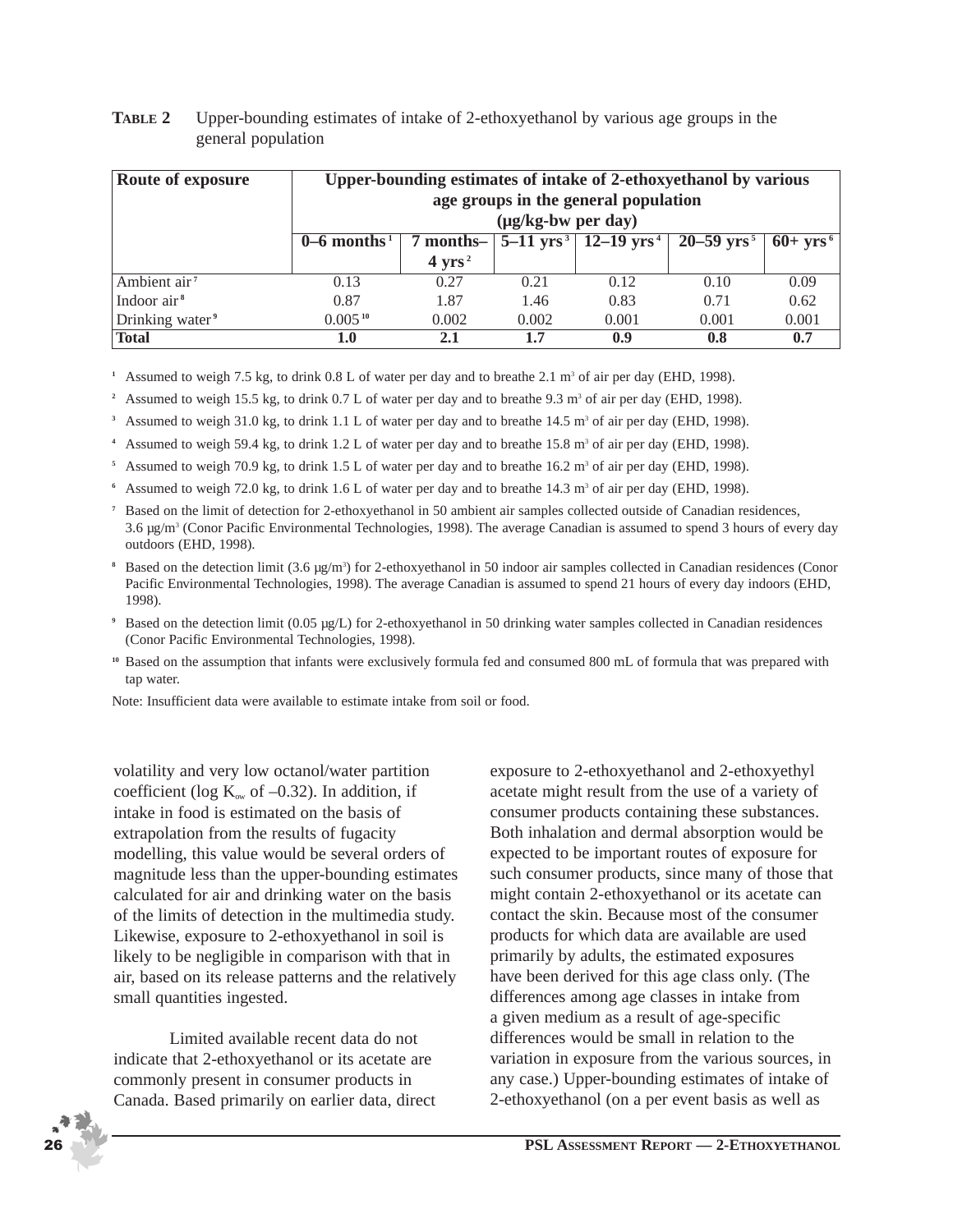| Route of exposure<br>Upper-bounding estimates of intake of 2-ethoxyethanol by various<br>age groups in the general population<br>$(\mu g/kg-bw per day)$ |                           |                   |       |                                                  |                            |                    |
|----------------------------------------------------------------------------------------------------------------------------------------------------------|---------------------------|-------------------|-------|--------------------------------------------------|----------------------------|--------------------|
|                                                                                                                                                          | $0-6$ months <sup>1</sup> | 7 months-         |       | $5-11$ yrs <sup>3</sup>   12–19 yrs <sup>4</sup> | $20 - 59$ yrs <sup>5</sup> | $60+ \text{yrs}^6$ |
|                                                                                                                                                          |                           | $4 \text{ yrs}^2$ |       |                                                  |                            |                    |
| Ambient air <sup>7</sup>                                                                                                                                 | 0.13                      | 0.27              | 0.21  | 0.12                                             | 0.10                       | 0.09               |
| Indoor air <sup>8</sup>                                                                                                                                  | 0.87                      | 1.87              | 1.46  | 0.83                                             | 0.71                       | 0.62               |
| Drinking water <sup>9</sup>                                                                                                                              | $0.005^{10}$              | 0.002             | 0.002 | 0.001                                            | 0.001                      | 0.001              |
| <b>Total</b>                                                                                                                                             | 1.0                       | 2.1               | 1.7   | 0.9                                              | 0.8                        | 0.7                |

#### **TABLE 2** Upper-bounding estimates of intake of 2-ethoxyethanol by various age groups in the general population

<sup>1</sup> Assumed to weigh 7.5 kg, to drink  $0.8$  L of water per day and to breathe 2.1 m<sup>3</sup> of air per day (EHD, 1998).

<sup>2</sup> Assumed to weigh 15.5 kg, to drink  $0.7$  L of water per day and to breathe 9.3 m<sup>3</sup> of air per day (EHD, 1998).

<sup>3</sup> Assumed to weigh 31.0 kg, to drink 1.1 L of water per day and to breathe 14.5 m<sup>3</sup> of air per day (EHD, 1998).

<sup>4</sup> Assumed to weigh 59.4 kg, to drink 1.2 L of water per day and to breathe 15.8 m<sup>3</sup> of air per day (EHD, 1998).

<sup>5</sup> Assumed to weigh 70.9 kg, to drink 1.5 L of water per day and to breathe  $16.2 \text{ m}^3$  of air per day (EHD, 1998).

 $6$  Assumed to weigh 72.0 kg, to drink 1.6 L of water per day and to breathe 14.3 m<sup>3</sup> of air per day (EHD, 1998).

- **<sup>7</sup>** Based on the limit of detection for 2-ethoxyethanol in 50 ambient air samples collected outside of Canadian residences, 3.6 µg/m3 (Conor Pacific Environmental Technologies, 1998). The average Canadian is assumed to spend 3 hours of every day outdoors (EHD, 1998).
- **8** Based on the detection limit (3.6 μg/m<sup>3</sup>) for 2-ethoxyethanol in 50 indoor air samples collected in Canadian residences (Conor Pacific Environmental Technologies, 1998). The average Canadian is assumed to spend 21 hours of every day indoors (EHD, 1998).
- **<sup>9</sup>** Based on the detection limit (0.05 µg/L) for 2-ethoxyethanol in 50 drinking water samples collected in Canadian residences (Conor Pacific Environmental Technologies, 1998).
- **<sup>10</sup>** Based on the assumption that infants were exclusively formula fed and consumed 800 mL of formula that was prepared with tap water.

Note: Insufficient data were available to estimate intake from soil or food.

volatility and very low octanol/water partition coefficient (log  $K_{ow}$  of  $-0.32$ ). In addition, if intake in food is estimated on the basis of extrapolation from the results of fugacity modelling, this value would be several orders of magnitude less than the upper-bounding estimates calculated for air and drinking water on the basis of the limits of detection in the multimedia study. Likewise, exposure to 2-ethoxyethanol in soil is likely to be negligible in comparison with that in air, based on its release patterns and the relatively small quantities ingested.

Limited available recent data do not indicate that 2-ethoxyethanol or its acetate are commonly present in consumer products in Canada. Based primarily on earlier data, direct exposure to 2-ethoxyethanol and 2-ethoxyethyl acetate might result from the use of a variety of consumer products containing these substances. Both inhalation and dermal absorption would be expected to be important routes of exposure for such consumer products, since many of those that might contain 2-ethoxyethanol or its acetate can contact the skin. Because most of the consumer products for which data are available are used primarily by adults, the estimated exposures have been derived for this age class only. (The differences among age classes in intake from a given medium as a result of age-specific differences would be small in relation to the variation in exposure from the various sources, in any case.) Upper-bounding estimates of intake of 2-ethoxyethanol (on a per event basis as well as

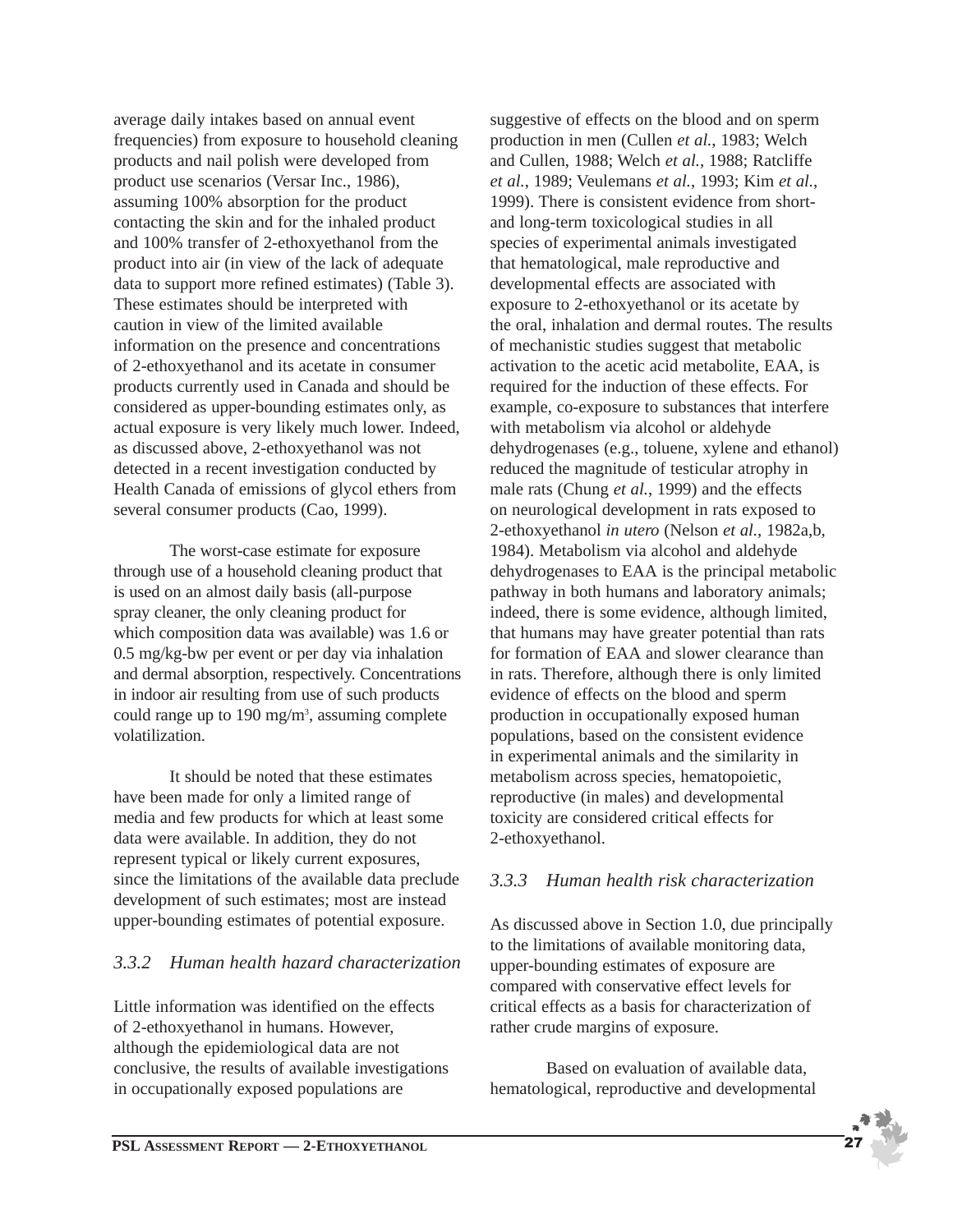average daily intakes based on annual event frequencies) from exposure to household cleaning products and nail polish were developed from product use scenarios (Versar Inc., 1986), assuming 100% absorption for the product contacting the skin and for the inhaled product and 100% transfer of 2-ethoxyethanol from the product into air (in view of the lack of adequate data to support more refined estimates) (Table 3). These estimates should be interpreted with caution in view of the limited available information on the presence and concentrations of 2-ethoxyethanol and its acetate in consumer products currently used in Canada and should be considered as upper-bounding estimates only, as actual exposure is very likely much lower. Indeed, as discussed above, 2-ethoxyethanol was not detected in a recent investigation conducted by Health Canada of emissions of glycol ethers from several consumer products (Cao, 1999).

The worst-case estimate for exposure through use of a household cleaning product that is used on an almost daily basis (all-purpose spray cleaner, the only cleaning product for which composition data was available) was 1.6 or 0.5 mg/kg-bw per event or per day via inhalation and dermal absorption, respectively. Concentrations in indoor air resulting from use of such products could range up to  $190 \text{ mg/m}^3$ , assuming complete volatilization.

It should be noted that these estimates have been made for only a limited range of media and few products for which at least some data were available. In addition, they do not represent typical or likely current exposures, since the limitations of the available data preclude development of such estimates; most are instead upper-bounding estimates of potential exposure.

## *3.3.2 Human health hazard characterization*

Little information was identified on the effects of 2-ethoxyethanol in humans. However, although the epidemiological data are not conclusive, the results of available investigations in occupationally exposed populations are

suggestive of effects on the blood and on sperm production in men (Cullen *et al.*, 1983; Welch and Cullen, 1988; Welch *et al.*, 1988; Ratcliffe *et al.*, 1989; Veulemans *et al.*, 1993; Kim *et al.*, 1999). There is consistent evidence from shortand long-term toxicological studies in all species of experimental animals investigated that hematological, male reproductive and developmental effects are associated with exposure to 2-ethoxyethanol or its acetate by the oral, inhalation and dermal routes. The results of mechanistic studies suggest that metabolic activation to the acetic acid metabolite, EAA, is required for the induction of these effects. For example, co-exposure to substances that interfere with metabolism via alcohol or aldehyde dehydrogenases (e.g., toluene, xylene and ethanol) reduced the magnitude of testicular atrophy in male rats (Chung *et al.*, 1999) and the effects on neurological development in rats exposed to 2-ethoxyethanol *in utero* (Nelson *et al.*, 1982a,b, 1984). Metabolism via alcohol and aldehyde dehydrogenases to EAA is the principal metabolic pathway in both humans and laboratory animals; indeed, there is some evidence, although limited, that humans may have greater potential than rats for formation of EAA and slower clearance than in rats. Therefore, although there is only limited evidence of effects on the blood and sperm production in occupationally exposed human populations, based on the consistent evidence in experimental animals and the similarity in metabolism across species, hematopoietic, reproductive (in males) and developmental toxicity are considered critical effects for 2-ethoxyethanol.

## *3.3.3 Human health risk characterization*

As discussed above in Section 1.0, due principally to the limitations of available monitoring data, upper-bounding estimates of exposure are compared with conservative effect levels for critical effects as a basis for characterization of rather crude margins of exposure.

Based on evaluation of available data, hematological, reproductive and developmental

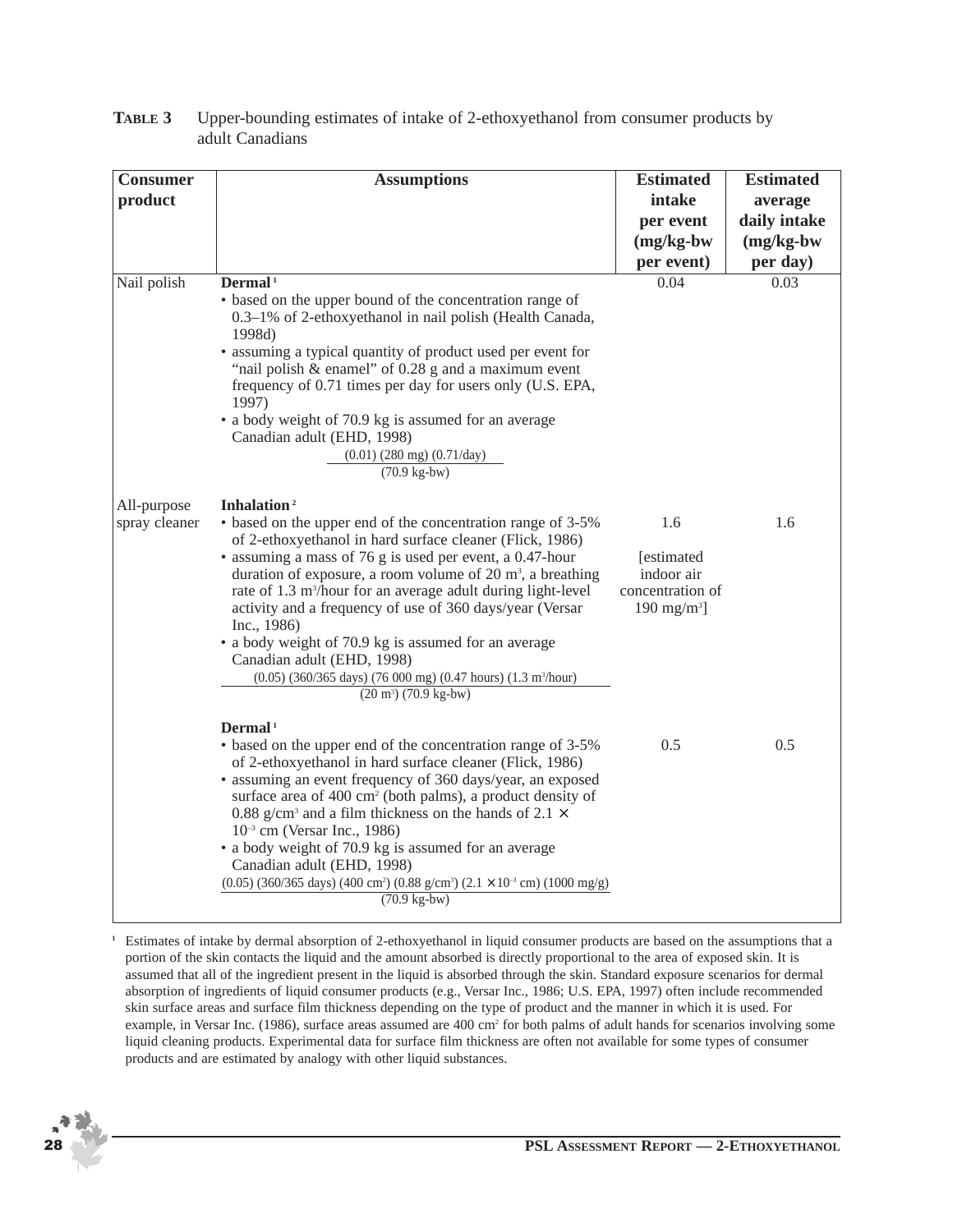| <b>Consumer</b>              | <b>Assumptions</b>                                                                                                                                                                                                                                                                                                                                                                                                                                                                                                                                                                                                                                    | <b>Estimated</b>                                                             | <b>Estimated</b> |
|------------------------------|-------------------------------------------------------------------------------------------------------------------------------------------------------------------------------------------------------------------------------------------------------------------------------------------------------------------------------------------------------------------------------------------------------------------------------------------------------------------------------------------------------------------------------------------------------------------------------------------------------------------------------------------------------|------------------------------------------------------------------------------|------------------|
| product                      |                                                                                                                                                                                                                                                                                                                                                                                                                                                                                                                                                                                                                                                       | intake                                                                       | average          |
|                              |                                                                                                                                                                                                                                                                                                                                                                                                                                                                                                                                                                                                                                                       | per event                                                                    | daily intake     |
|                              |                                                                                                                                                                                                                                                                                                                                                                                                                                                                                                                                                                                                                                                       | $(mg/kg-bw)$                                                                 | $(mg/kg-bw)$     |
|                              |                                                                                                                                                                                                                                                                                                                                                                                                                                                                                                                                                                                                                                                       | per event)                                                                   | per day)         |
| Nail polish                  | Dermal <sup>1</sup><br>• based on the upper bound of the concentration range of<br>0.3-1% of 2-ethoxyethanol in nail polish (Health Canada,<br>1998d)<br>• assuming a typical quantity of product used per event for<br>"nail polish $\&$ enamel" of 0.28 g and a maximum event<br>frequency of 0.71 times per day for users only (U.S. EPA,<br>1997)<br>• a body weight of 70.9 kg is assumed for an average<br>Canadian adult (EHD, 1998)<br>$(0.01)$ (280 mg) (0.71/day)<br>$(70.9 \text{ kg-bw})$                                                                                                                                                 | 0.04                                                                         | 0.03             |
| All-purpose<br>spray cleaner | Inhalation <sup>2</sup><br>• based on the upper end of the concentration range of 3-5%<br>of 2-ethoxyethanol in hard surface cleaner (Flick, 1986)<br>• assuming a mass of 76 g is used per event, a 0.47-hour<br>duration of exposure, a room volume of 20 $m3$ , a breathing<br>rate of 1.3 m <sup>3</sup> /hour for an average adult during light-level<br>activity and a frequency of use of 360 days/year (Versar<br>Inc., 1986)<br>• a body weight of 70.9 kg is assumed for an average<br>Canadian adult (EHD, 1998)<br>(0.05) (360/365 days) (76 000 mg) (0.47 hours) (1.3 m <sup>3</sup> /hour)<br>$(20 \text{ m}^3)$ $(70.9 \text{ kg-bw})$ | 1.6<br>[estimated]<br>indoor air<br>concentration of<br>$190 \text{ mg/m}^3$ | 1.6              |
|                              | Dermal <sup>1</sup><br>• based on the upper end of the concentration range of 3-5%<br>of 2-ethoxyethanol in hard surface cleaner (Flick, 1986)<br>• assuming an event frequency of 360 days/year, an exposed<br>surface area of 400 cm <sup>2</sup> (both palms), a product density of<br>0.88 g/cm <sup>3</sup> and a film thickness on the hands of 2.1 $\times$<br>$10^{-3}$ cm (Versar Inc., 1986)<br>• a body weight of 70.9 kg is assumed for an average<br>Canadian adult (EHD, 1998)<br>$(0.05)$ (360/365 days) (400 cm <sup>2</sup> ) (0.88 g/cm <sup>3</sup> ) (2.1 × 10 <sup>-3</sup> cm) (1000 mg/g)<br>$(70.9 \text{ kg-bw})$            | 0.5                                                                          | 0.5              |

#### **TABLE 3** Upper-bounding estimates of intake of 2-ethoxyethanol from consumer products by adult Canadians

**<sup>1</sup>** Estimates of intake by dermal absorption of 2-ethoxyethanol in liquid consumer products are based on the assumptions that a portion of the skin contacts the liquid and the amount absorbed is directly proportional to the area of exposed skin. It is assumed that all of the ingredient present in the liquid is absorbed through the skin. Standard exposure scenarios for dermal absorption of ingredients of liquid consumer products (e.g., Versar Inc., 1986; U.S. EPA, 1997) often include recommended skin surface areas and surface film thickness depending on the type of product and the manner in which it is used. For example, in Versar Inc. (1986), surface areas assumed are 400 cm<sup>2</sup> for both palms of adult hands for scenarios involving some liquid cleaning products. Experimental data for surface film thickness are often not available for some types of consumer products and are estimated by analogy with other liquid substances.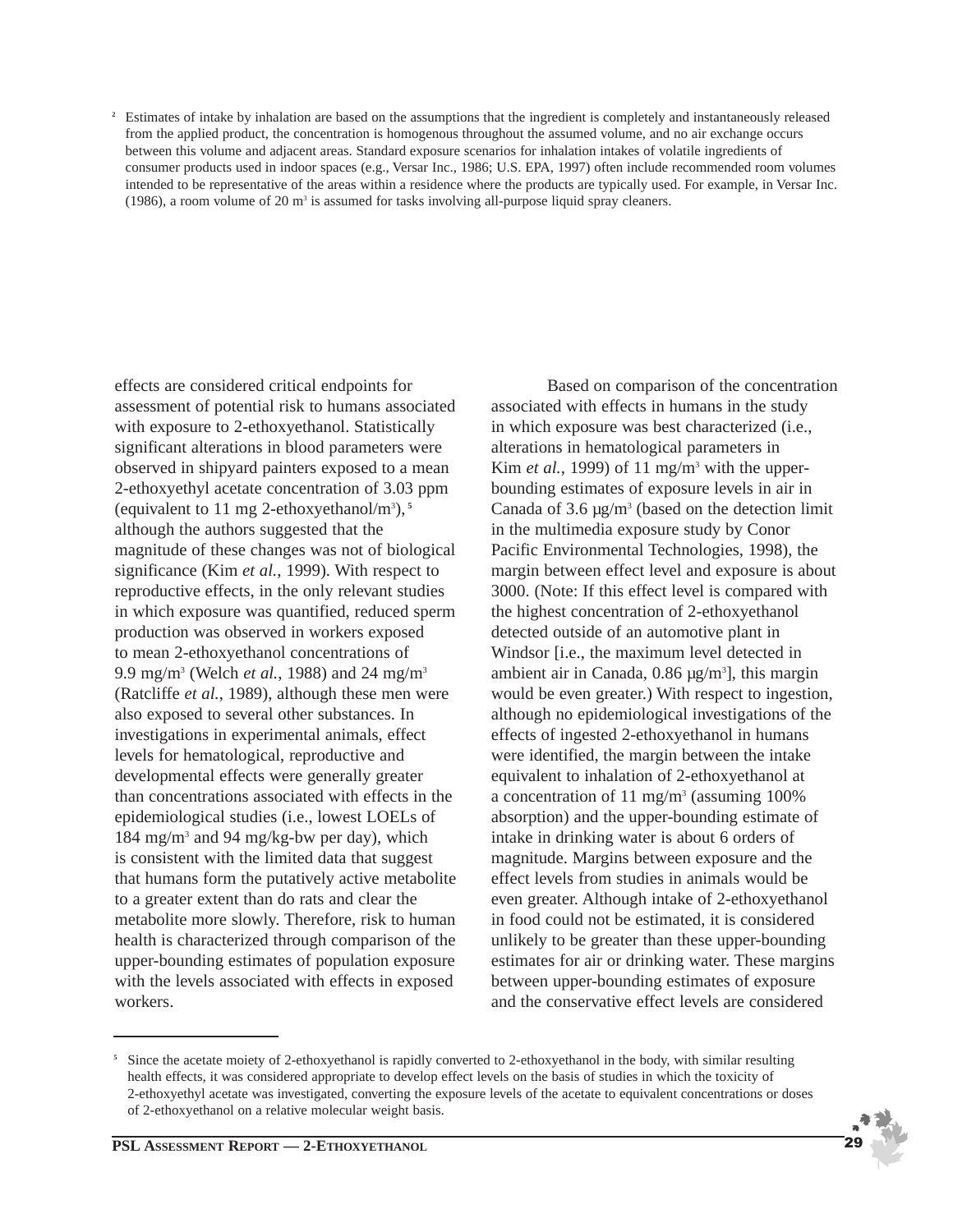<sup>2</sup> Estimates of intake by inhalation are based on the assumptions that the ingredient is completely and instantaneously released from the applied product, the concentration is homogenous throughout the assumed volume, and no air exchange occurs between this volume and adjacent areas. Standard exposure scenarios for inhalation intakes of volatile ingredients of consumer products used in indoor spaces (e.g., Versar Inc., 1986; U.S. EPA, 1997) often include recommended room volumes intended to be representative of the areas within a residence where the products are typically used. For example, in Versar Inc. (1986), a room volume of 20  $m<sup>3</sup>$  is assumed for tasks involving all-purpose liquid spray cleaners.

effects are considered critical endpoints for assessment of potential risk to humans associated with exposure to 2-ethoxyethanol. Statistically significant alterations in blood parameters were observed in shipyard painters exposed to a mean 2-ethoxyethyl acetate concentration of 3.03 ppm (equivalent to 11 mg 2-ethoxyethanol/m3 ), **5** although the authors suggested that the magnitude of these changes was not of biological significance (Kim *et al.*, 1999). With respect to reproductive effects, in the only relevant studies in which exposure was quantified, reduced sperm production was observed in workers exposed to mean 2-ethoxyethanol concentrations of 9.9 mg/m3 (Welch *et al.*, 1988) and 24 mg/m3 (Ratcliffe *et al.*, 1989), although these men were also exposed to several other substances. In investigations in experimental animals, effect levels for hematological, reproductive and developmental effects were generally greater than concentrations associated with effects in the epidemiological studies (i.e., lowest LOELs of 184 mg/m3 and 94 mg/kg-bw per day), which is consistent with the limited data that suggest that humans form the putatively active metabolite to a greater extent than do rats and clear the metabolite more slowly. Therefore, risk to human health is characterized through comparison of the upper-bounding estimates of population exposure with the levels associated with effects in exposed workers.

Based on comparison of the concentration associated with effects in humans in the study in which exposure was best characterized (i.e., alterations in hematological parameters in Kim *et al.*, 1999) of 11 mg/m<sup>3</sup> with the upperbounding estimates of exposure levels in air in Canada of  $3.6 \mu g/m^3$  (based on the detection limit in the multimedia exposure study by Conor Pacific Environmental Technologies, 1998), the margin between effect level and exposure is about 3000. (Note: If this effect level is compared with the highest concentration of 2-ethoxyethanol detected outside of an automotive plant in Windsor [i.e., the maximum level detected in ambient air in Canada,  $0.86 \mu g/m^3$ , this margin would be even greater.) With respect to ingestion, although no epidemiological investigations of the effects of ingested 2-ethoxyethanol in humans were identified, the margin between the intake equivalent to inhalation of 2-ethoxyethanol at a concentration of 11 mg/m<sup>3</sup> (assuming  $100\%$ absorption) and the upper-bounding estimate of intake in drinking water is about 6 orders of magnitude. Margins between exposure and the effect levels from studies in animals would be even greater. Although intake of 2-ethoxyethanol in food could not be estimated, it is considered unlikely to be greater than these upper-bounding estimates for air or drinking water. These margins between upper-bounding estimates of exposure and the conservative effect levels are considered

<sup>&</sup>lt;sup>5</sup> Since the acetate moiety of 2-ethoxyethanol is rapidly converted to 2-ethoxyethanol in the body, with similar resulting health effects, it was considered appropriate to develop effect levels on the basis of studies in which the toxicity of 2-ethoxyethyl acetate was investigated, converting the exposure levels of the acetate to equivalent concentrations or doses of 2-ethoxyethanol on a relative molecular weight basis.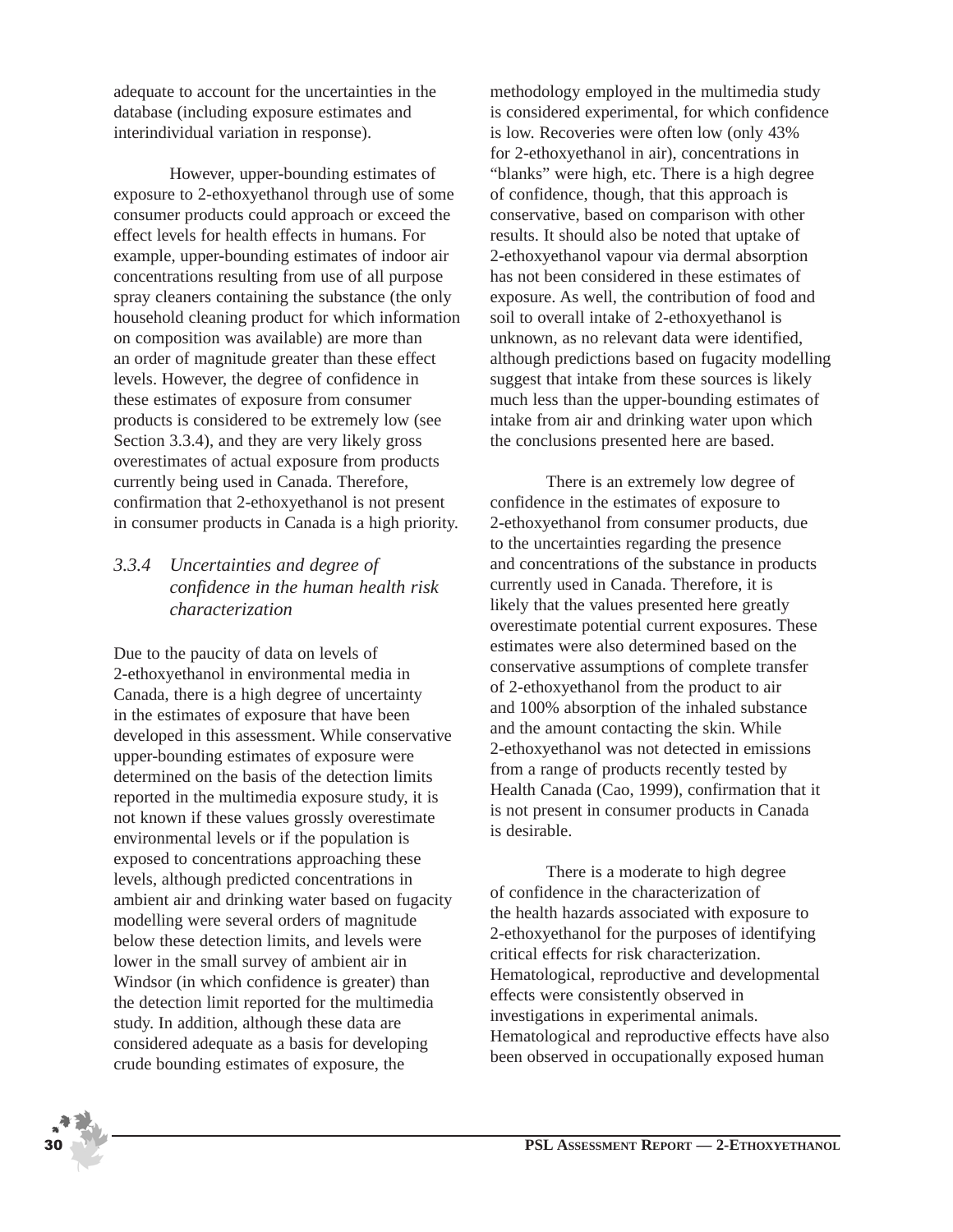adequate to account for the uncertainties in the database (including exposure estimates and interindividual variation in response).

However, upper-bounding estimates of exposure to 2-ethoxyethanol through use of some consumer products could approach or exceed the effect levels for health effects in humans. For example, upper-bounding estimates of indoor air concentrations resulting from use of all purpose spray cleaners containing the substance (the only household cleaning product for which information on composition was available) are more than an order of magnitude greater than these effect levels. However, the degree of confidence in these estimates of exposure from consumer products is considered to be extremely low (see Section 3.3.4), and they are very likely gross overestimates of actual exposure from products currently being used in Canada. Therefore, confirmation that 2-ethoxyethanol is not present in consumer products in Canada is a high priority.

## *3.3.4 Uncertainties and degree of confidence in the human health risk characterization*

Due to the paucity of data on levels of 2-ethoxyethanol in environmental media in Canada, there is a high degree of uncertainty in the estimates of exposure that have been developed in this assessment. While conservative upper-bounding estimates of exposure were determined on the basis of the detection limits reported in the multimedia exposure study, it is not known if these values grossly overestimate environmental levels or if the population is exposed to concentrations approaching these levels, although predicted concentrations in ambient air and drinking water based on fugacity modelling were several orders of magnitude below these detection limits, and levels were lower in the small survey of ambient air in Windsor (in which confidence is greater) than the detection limit reported for the multimedia study. In addition, although these data are considered adequate as a basis for developing crude bounding estimates of exposure, the

methodology employed in the multimedia study is considered experimental, for which confidence is low. Recoveries were often low (only 43% for 2-ethoxyethanol in air), concentrations in "blanks" were high, etc. There is a high degree of confidence, though, that this approach is conservative, based on comparison with other results. It should also be noted that uptake of 2-ethoxyethanol vapour via dermal absorption has not been considered in these estimates of exposure. As well, the contribution of food and soil to overall intake of 2-ethoxyethanol is unknown, as no relevant data were identified, although predictions based on fugacity modelling suggest that intake from these sources is likely much less than the upper-bounding estimates of intake from air and drinking water upon which the conclusions presented here are based.

There is an extremely low degree of confidence in the estimates of exposure to 2-ethoxyethanol from consumer products, due to the uncertainties regarding the presence and concentrations of the substance in products currently used in Canada. Therefore, it is likely that the values presented here greatly overestimate potential current exposures. These estimates were also determined based on the conservative assumptions of complete transfer of 2-ethoxyethanol from the product to air and 100% absorption of the inhaled substance and the amount contacting the skin. While 2-ethoxyethanol was not detected in emissions from a range of products recently tested by Health Canada (Cao, 1999), confirmation that it is not present in consumer products in Canada is desirable.

There is a moderate to high degree of confidence in the characterization of the health hazards associated with exposure to 2-ethoxyethanol for the purposes of identifying critical effects for risk characterization. Hematological, reproductive and developmental effects were consistently observed in investigations in experimental animals. Hematological and reproductive effects have also been observed in occupationally exposed human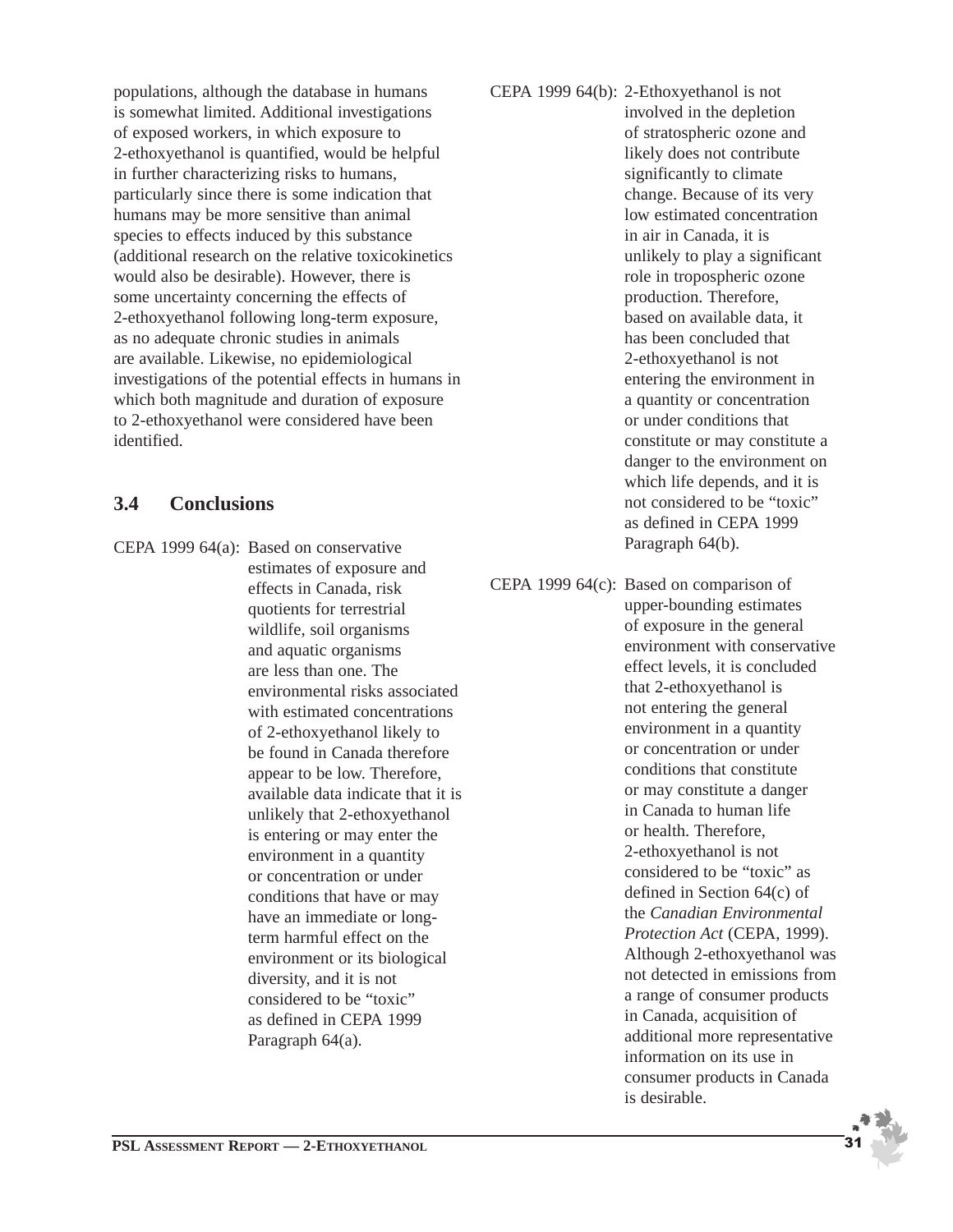populations, although the database in humans is somewhat limited. Additional investigations of exposed workers, in which exposure to 2-ethoxyethanol is quantified, would be helpful in further characterizing risks to humans, particularly since there is some indication that humans may be more sensitive than animal species to effects induced by this substance (additional research on the relative toxicokinetics would also be desirable). However, there is some uncertainty concerning the effects of 2-ethoxyethanol following long-term exposure, as no adequate chronic studies in animals are available. Likewise, no epidemiological investigations of the potential effects in humans in which both magnitude and duration of exposure to 2-ethoxyethanol were considered have been identified.

## **3.4 Conclusions**

CEPA 1999 64(a): Based on conservative estimates of exposure and effects in Canada, risk quotients for terrestrial wildlife, soil organisms and aquatic organisms are less than one. The environmental risks associated with estimated concentrations of 2-ethoxyethanol likely to be found in Canada therefore appear to be low. Therefore, available data indicate that it is unlikely that 2-ethoxyethanol is entering or may enter the environment in a quantity or concentration or under conditions that have or may have an immediate or longterm harmful effect on the environment or its biological diversity, and it is not considered to be "toxic" as defined in CEPA 1999 Paragraph 64(a).

CEPA 1999 64(b): 2-Ethoxyethanol is not involved in the depletion of stratospheric ozone and likely does not contribute significantly to climate change. Because of its very low estimated concentration in air in Canada, it is unlikely to play a significant role in tropospheric ozone production. Therefore, based on available data, it has been concluded that 2-ethoxyethanol is not entering the environment in a quantity or concentration or under conditions that constitute or may constitute a danger to the environment on which life depends, and it is not considered to be "toxic" as defined in CEPA 1999 Paragraph 64(b).

CEPA 1999 64(c): Based on comparison of upper-bounding estimates of exposure in the general environment with conservative effect levels, it is concluded that 2-ethoxyethanol is not entering the general environment in a quantity or concentration or under conditions that constitute or may constitute a danger in Canada to human life or health. Therefore, 2-ethoxyethanol is not considered to be "toxic" as defined in Section 64(c) of the *Canadian Environmental Protection Act* (CEPA, 1999). Although 2-ethoxyethanol was not detected in emissions from a range of consumer products in Canada, acquisition of additional more representative information on its use in consumer products in Canada is desirable.

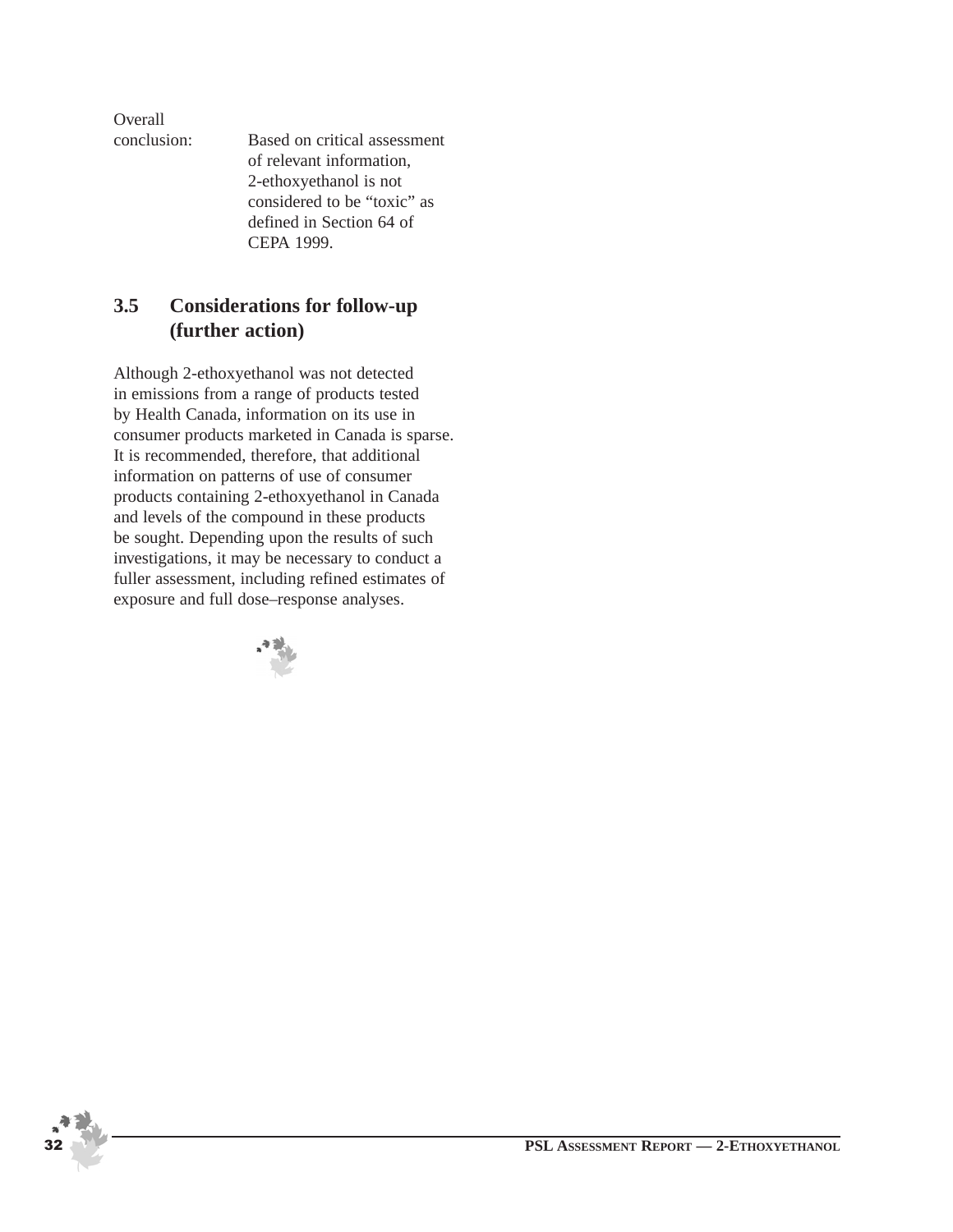Overall

conclusion: Based on critical assessment of relevant information, 2-ethoxyethanol is not considered to be "toxic" as defined in Section 64 of CEPA 1999.

## **3.5 Considerations for follow-up (further action)**

Although 2-ethoxyethanol was not detected in emissions from a range of products tested by Health Canada, information on its use in consumer products marketed in Canada is sparse. It is recommended, therefore, that additional information on patterns of use of consumer products containing 2-ethoxyethanol in Canada and levels of the compound in these products be sought. Depending upon the results of such investigations, it may be necessary to conduct a fuller assessment, including refined estimates of exposure and full dose–response analyses.

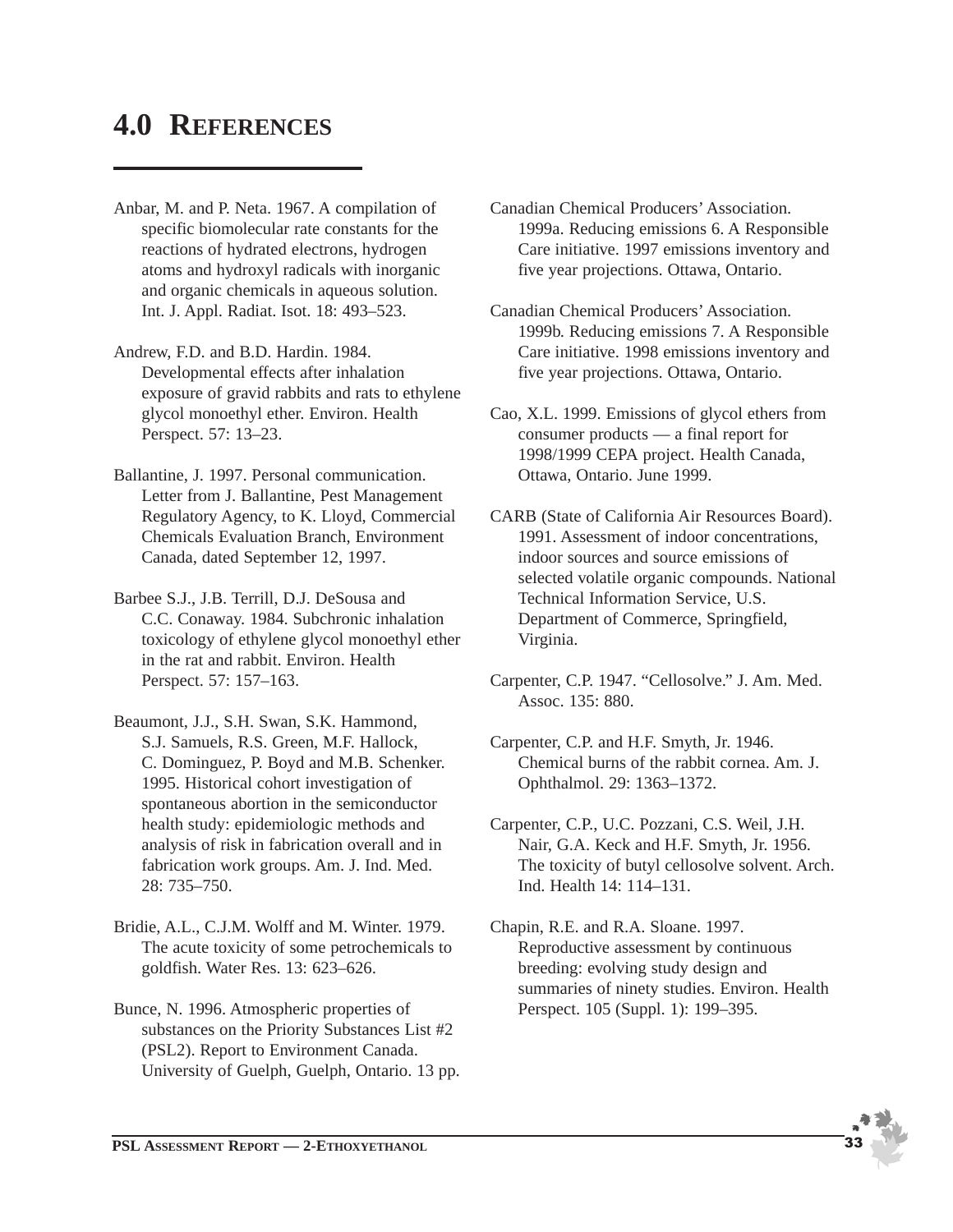## **4.0 REFERENCES**

- Anbar, M. and P. Neta. 1967. A compilation of specific biomolecular rate constants for the reactions of hydrated electrons, hydrogen atoms and hydroxyl radicals with inorganic and organic chemicals in aqueous solution. Int. J. Appl. Radiat. Isot. 18: 493–523.
- Andrew, F.D. and B.D. Hardin. 1984. Developmental effects after inhalation exposure of gravid rabbits and rats to ethylene glycol monoethyl ether. Environ. Health Perspect. 57: 13–23.
- Ballantine, J. 1997. Personal communication. Letter from J. Ballantine, Pest Management Regulatory Agency, to K. Lloyd, Commercial Chemicals Evaluation Branch, Environment Canada, dated September 12, 1997.
- Barbee S.J., J.B. Terrill, D.J. DeSousa and C.C. Conaway. 1984. Subchronic inhalation toxicology of ethylene glycol monoethyl ether in the rat and rabbit. Environ. Health Perspect. 57: 157–163.
- Beaumont, J.J., S.H. Swan, S.K. Hammond, S.J. Samuels, R.S. Green, M.F. Hallock, C. Dominguez, P. Boyd and M.B. Schenker. 1995. Historical cohort investigation of spontaneous abortion in the semiconductor health study: epidemiologic methods and analysis of risk in fabrication overall and in fabrication work groups. Am. J. Ind. Med. 28: 735–750.
- Bridie, A.L., C.J.M. Wolff and M. Winter. 1979. The acute toxicity of some petrochemicals to goldfish. Water Res. 13: 623–626.
- Bunce, N. 1996. Atmospheric properties of substances on the Priority Substances List #2 (PSL2). Report to Environment Canada. University of Guelph, Guelph, Ontario. 13 pp.
- Canadian Chemical Producers' Association. 1999a. Reducing emissions 6. A Responsible Care initiative. 1997 emissions inventory and five year projections. Ottawa, Ontario.
- Canadian Chemical Producers' Association. 1999b. Reducing emissions 7. A Responsible Care initiative. 1998 emissions inventory and five year projections. Ottawa, Ontario.
- Cao, X.L. 1999. Emissions of glycol ethers from consumer products — a final report for 1998/1999 CEPA project. Health Canada, Ottawa, Ontario. June 1999.
- CARB (State of California Air Resources Board). 1991. Assessment of indoor concentrations, indoor sources and source emissions of selected volatile organic compounds. National Technical Information Service, U.S. Department of Commerce, Springfield, Virginia.
- Carpenter, C.P. 1947. "Cellosolve." J. Am. Med. Assoc. 135: 880.
- Carpenter, C.P. and H.F. Smyth, Jr. 1946. Chemical burns of the rabbit cornea. Am. J. Ophthalmol. 29: 1363–1372.
- Carpenter, C.P., U.C. Pozzani, C.S. Weil, J.H. Nair, G.A. Keck and H.F. Smyth, Jr. 1956. The toxicity of butyl cellosolve solvent. Arch. Ind. Health 14: 114–131.
- Chapin, R.E. and R.A. Sloane. 1997. Reproductive assessment by continuous breeding: evolving study design and summaries of ninety studies. Environ. Health Perspect. 105 (Suppl. 1): 199–395.

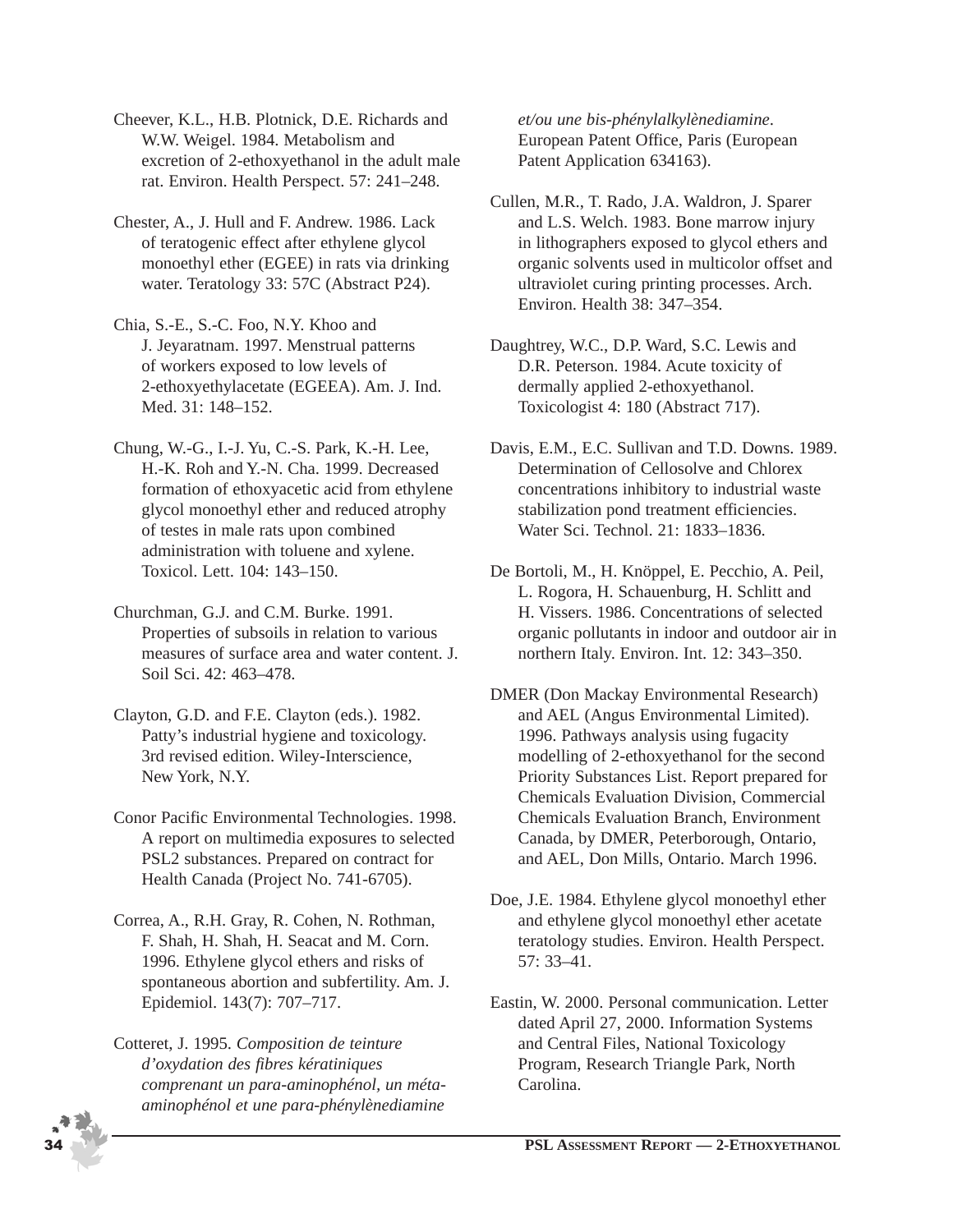Cheever, K.L., H.B. Plotnick, D.E. Richards and W.W. Weigel. 1984. Metabolism and excretion of 2-ethoxyethanol in the adult male rat. Environ. Health Perspect. 57: 241–248.

Chester, A., J. Hull and F. Andrew. 1986. Lack of teratogenic effect after ethylene glycol monoethyl ether (EGEE) in rats via drinking water. Teratology 33: 57C (Abstract P24).

Chia, S.-E., S.-C. Foo, N.Y. Khoo and J. Jeyaratnam. 1997. Menstrual patterns of workers exposed to low levels of 2-ethoxyethylacetate (EGEEA). Am. J. Ind. Med. 31: 148–152.

Chung, W.-G., I.-J. Yu, C.-S. Park, K.-H. Lee, H.-K. Roh and Y.-N. Cha. 1999. Decreased formation of ethoxyacetic acid from ethylene glycol monoethyl ether and reduced atrophy of testes in male rats upon combined administration with toluene and xylene. Toxicol. Lett. 104: 143–150.

Churchman, G.J. and C.M. Burke. 1991. Properties of subsoils in relation to various measures of surface area and water content. J. Soil Sci. 42: 463–478.

Clayton, G.D. and F.E. Clayton (eds.). 1982. Patty's industrial hygiene and toxicology. 3rd revised edition. Wiley-Interscience, New York, N.Y.

Conor Pacific Environmental Technologies. 1998. A report on multimedia exposures to selected PSL2 substances. Prepared on contract for Health Canada (Project No. 741-6705).

Correa, A., R.H. Gray, R. Cohen, N. Rothman, F. Shah, H. Shah, H. Seacat and M. Corn. 1996. Ethylene glycol ethers and risks of spontaneous abortion and subfertility. Am. J. Epidemiol. 143(7): 707–717.

Cotteret, J. 1995. *Composition de teinture d'oxydation des fibres kératiniques comprenant un para-aminophénol, un métaaminophénol et une para-phénylènediamine*

*et/ou une bis-phénylalkylènediamine*. European Patent Office, Paris (European Patent Application 634163).

Cullen, M.R., T. Rado, J.A. Waldron, J. Sparer and L.S. Welch. 1983. Bone marrow injury in lithographers exposed to glycol ethers and organic solvents used in multicolor offset and ultraviolet curing printing processes. Arch. Environ. Health 38: 347–354.

Daughtrey, W.C., D.P. Ward, S.C. Lewis and D.R. Peterson. 1984. Acute toxicity of dermally applied 2-ethoxyethanol. Toxicologist 4: 180 (Abstract 717).

Davis, E.M., E.C. Sullivan and T.D. Downs. 1989. Determination of Cellosolve and Chlorex concentrations inhibitory to industrial waste stabilization pond treatment efficiencies. Water Sci. Technol. 21: 1833–1836.

De Bortoli, M., H. Knöppel, E. Pecchio, A. Peil, L. Rogora, H. Schauenburg, H. Schlitt and H. Vissers. 1986. Concentrations of selected organic pollutants in indoor and outdoor air in northern Italy. Environ. Int. 12: 343–350.

DMER (Don Mackay Environmental Research) and AEL (Angus Environmental Limited). 1996. Pathways analysis using fugacity modelling of 2-ethoxyethanol for the second Priority Substances List. Report prepared for Chemicals Evaluation Division, Commercial Chemicals Evaluation Branch, Environment Canada, by DMER, Peterborough, Ontario, and AEL, Don Mills, Ontario. March 1996.

Doe, J.E. 1984. Ethylene glycol monoethyl ether and ethylene glycol monoethyl ether acetate teratology studies. Environ. Health Perspect. 57: 33–41.

Eastin, W. 2000. Personal communication. Letter dated April 27, 2000. Information Systems and Central Files, National Toxicology Program, Research Triangle Park, North Carolina.

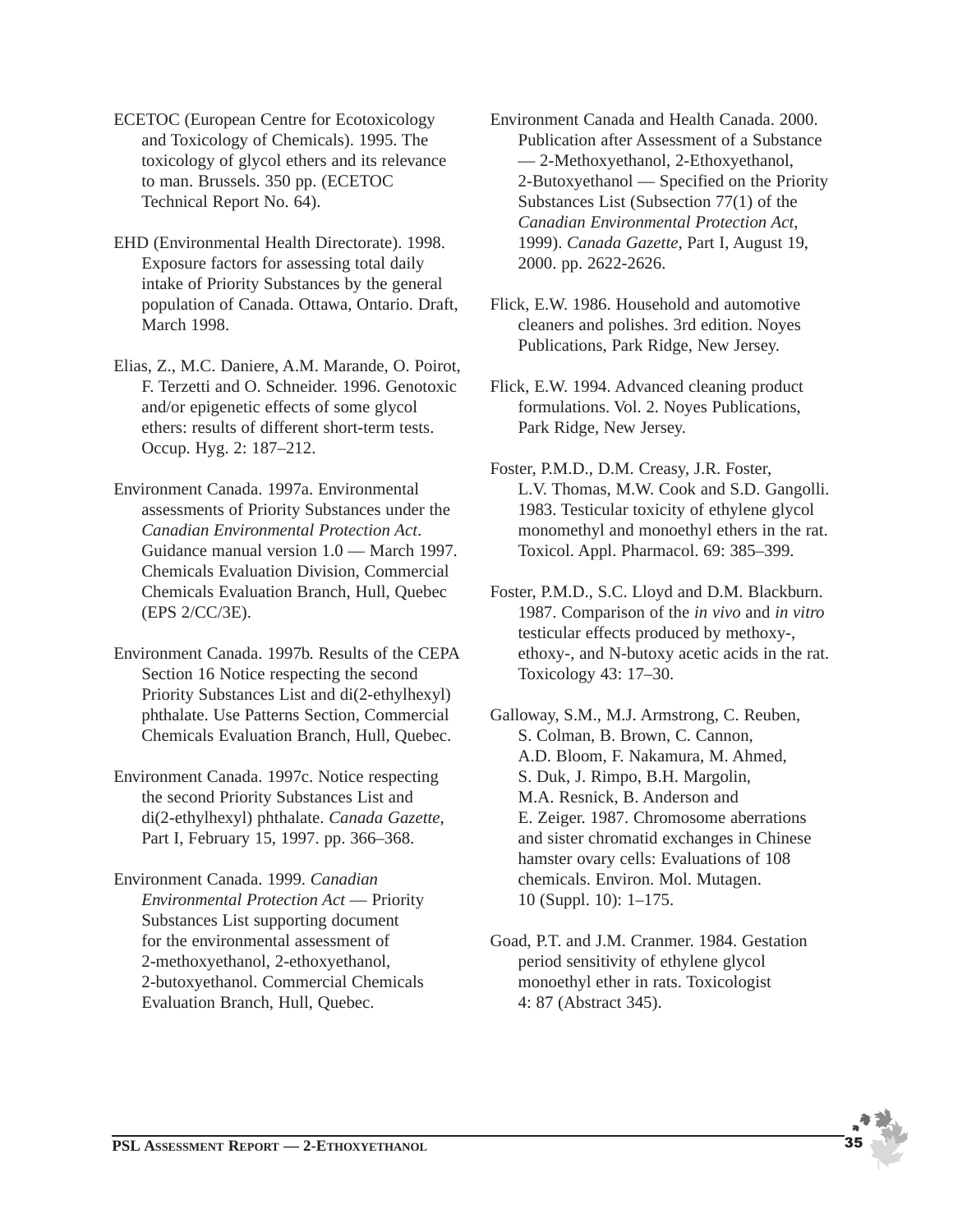- ECETOC (European Centre for Ecotoxicology and Toxicology of Chemicals). 1995. The toxicology of glycol ethers and its relevance to man. Brussels. 350 pp. (ECETOC Technical Report No. 64).
- EHD (Environmental Health Directorate). 1998. Exposure factors for assessing total daily intake of Priority Substances by the general population of Canada. Ottawa, Ontario. Draft, March 1998.
- Elias, Z., M.C. Daniere, A.M. Marande, O. Poirot, F. Terzetti and O. Schneider. 1996. Genotoxic and/or epigenetic effects of some glycol ethers: results of different short-term tests. Occup. Hyg. 2: 187–212.
- Environment Canada. 1997a. Environmental assessments of Priority Substances under the *Canadian Environmental Protection Act*. Guidance manual version 1.0 — March 1997. Chemicals Evaluation Division, Commercial Chemicals Evaluation Branch, Hull, Quebec (EPS 2/CC/3E).
- Environment Canada. 1997b. Results of the CEPA Section 16 Notice respecting the second Priority Substances List and di(2-ethylhexyl) phthalate. Use Patterns Section, Commercial Chemicals Evaluation Branch, Hull, Quebec.
- Environment Canada. 1997c. Notice respecting the second Priority Substances List and di(2-ethylhexyl) phthalate. *Canada Gazette*, Part I, February 15, 1997. pp. 366–368.
- Environment Canada. 1999. *Canadian Environmental Protection Act* — Priority Substances List supporting document for the environmental assessment of 2-methoxyethanol, 2-ethoxyethanol, 2-butoxyethanol. Commercial Chemicals Evaluation Branch, Hull, Quebec.
- Environment Canada and Health Canada. 2000. Publication after Assessment of a Substance — 2-Methoxyethanol, 2-Ethoxyethanol, 2-Butoxyethanol — Specified on the Priority Substances List (Subsection 77(1) of the *Canadian Environmental Protection Act*, 1999). *Canada Gazette*, Part I, August 19, 2000. pp. 2622-2626.
- Flick, E.W. 1986. Household and automotive cleaners and polishes. 3rd edition. Noyes Publications, Park Ridge, New Jersey.
- Flick, E.W. 1994. Advanced cleaning product formulations. Vol. 2. Noyes Publications, Park Ridge, New Jersey.
- Foster, P.M.D., D.M. Creasy, J.R. Foster, L.V. Thomas, M.W. Cook and S.D. Gangolli. 1983. Testicular toxicity of ethylene glycol monomethyl and monoethyl ethers in the rat. Toxicol. Appl. Pharmacol. 69: 385–399.
- Foster, P.M.D., S.C. Lloyd and D.M. Blackburn. 1987. Comparison of the *in vivo* and *in vitro* testicular effects produced by methoxy-, ethoxy-, and N-butoxy acetic acids in the rat. Toxicology 43: 17–30.
- Galloway, S.M., M.J. Armstrong, C. Reuben, S. Colman, B. Brown, C. Cannon, A.D. Bloom, F. Nakamura, M. Ahmed, S. Duk, J. Rimpo, B.H. Margolin, M.A. Resnick, B. Anderson and E. Zeiger. 1987. Chromosome aberrations and sister chromatid exchanges in Chinese hamster ovary cells: Evaluations of 108 chemicals. Environ. Mol. Mutagen. 10 (Suppl. 10): 1–175.
- Goad, P.T. and J.M. Cranmer. 1984. Gestation period sensitivity of ethylene glycol monoethyl ether in rats. Toxicologist 4: 87 (Abstract 345).

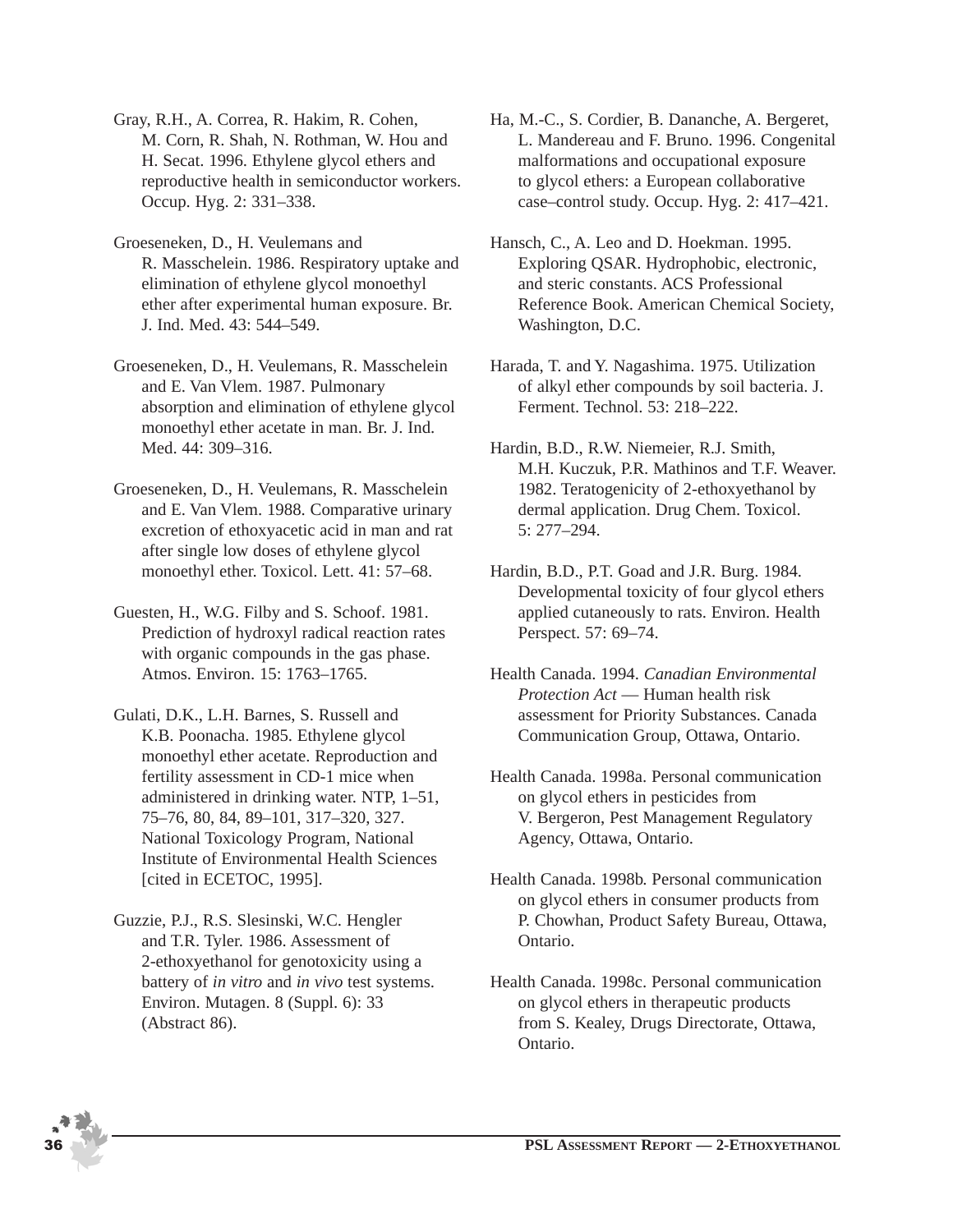Gray, R.H., A. Correa, R. Hakim, R. Cohen, M. Corn, R. Shah, N. Rothman, W. Hou and H. Secat. 1996. Ethylene glycol ethers and reproductive health in semiconductor workers. Occup. Hyg. 2: 331–338.

- Groeseneken, D., H. Veulemans and R. Masschelein. 1986. Respiratory uptake and elimination of ethylene glycol monoethyl ether after experimental human exposure. Br. J. Ind. Med. 43: 544–549.
- Groeseneken, D., H. Veulemans, R. Masschelein and E. Van Vlem. 1987. Pulmonary absorption and elimination of ethylene glycol monoethyl ether acetate in man. Br. J. Ind. Med. 44: 309–316.
- Groeseneken, D., H. Veulemans, R. Masschelein and E. Van Vlem. 1988. Comparative urinary excretion of ethoxyacetic acid in man and rat after single low doses of ethylene glycol monoethyl ether. Toxicol. Lett. 41: 57–68.
- Guesten, H., W.G. Filby and S. Schoof. 1981. Prediction of hydroxyl radical reaction rates with organic compounds in the gas phase. Atmos. Environ. 15: 1763–1765.
- Gulati, D.K., L.H. Barnes, S. Russell and K.B. Poonacha. 1985. Ethylene glycol monoethyl ether acetate. Reproduction and fertility assessment in CD-1 mice when administered in drinking water. NTP, 1–51, 75–76, 80, 84, 89–101, 317–320, 327. National Toxicology Program, National Institute of Environmental Health Sciences [cited in ECETOC, 1995].
- Guzzie, P.J., R.S. Slesinski, W.C. Hengler and T.R. Tyler. 1986. Assessment of 2-ethoxyethanol for genotoxicity using a battery of *in vitro* and *in vivo* test systems. Environ. Mutagen. 8 (Suppl. 6): 33 (Abstract 86).
- Ha, M.-C., S. Cordier, B. Dananche, A. Bergeret, L. Mandereau and F. Bruno. 1996. Congenital malformations and occupational exposure to glycol ethers: a European collaborative case–control study. Occup. Hyg. 2: 417–421.
- Hansch, C., A. Leo and D. Hoekman. 1995. Exploring QSAR. Hydrophobic, electronic, and steric constants. ACS Professional Reference Book. American Chemical Society, Washington, D.C.
- Harada, T. and Y. Nagashima. 1975. Utilization of alkyl ether compounds by soil bacteria. J. Ferment. Technol. 53: 218–222.
- Hardin, B.D., R.W. Niemeier, R.J. Smith, M.H. Kuczuk, P.R. Mathinos and T.F. Weaver. 1982. Teratogenicity of 2-ethoxyethanol by dermal application. Drug Chem. Toxicol. 5: 277–294.
- Hardin, B.D., P.T. Goad and J.R. Burg. 1984. Developmental toxicity of four glycol ethers applied cutaneously to rats. Environ. Health Perspect. 57: 69–74.
- Health Canada. 1994. *Canadian Environmental Protection Act* — Human health risk assessment for Priority Substances. Canada Communication Group, Ottawa, Ontario.
- Health Canada. 1998a. Personal communication on glycol ethers in pesticides from V. Bergeron, Pest Management Regulatory Agency, Ottawa, Ontario.
- Health Canada. 1998b. Personal communication on glycol ethers in consumer products from P. Chowhan, Product Safety Bureau, Ottawa, Ontario.
- Health Canada. 1998c. Personal communication on glycol ethers in therapeutic products from S. Kealey, Drugs Directorate, Ottawa, Ontario.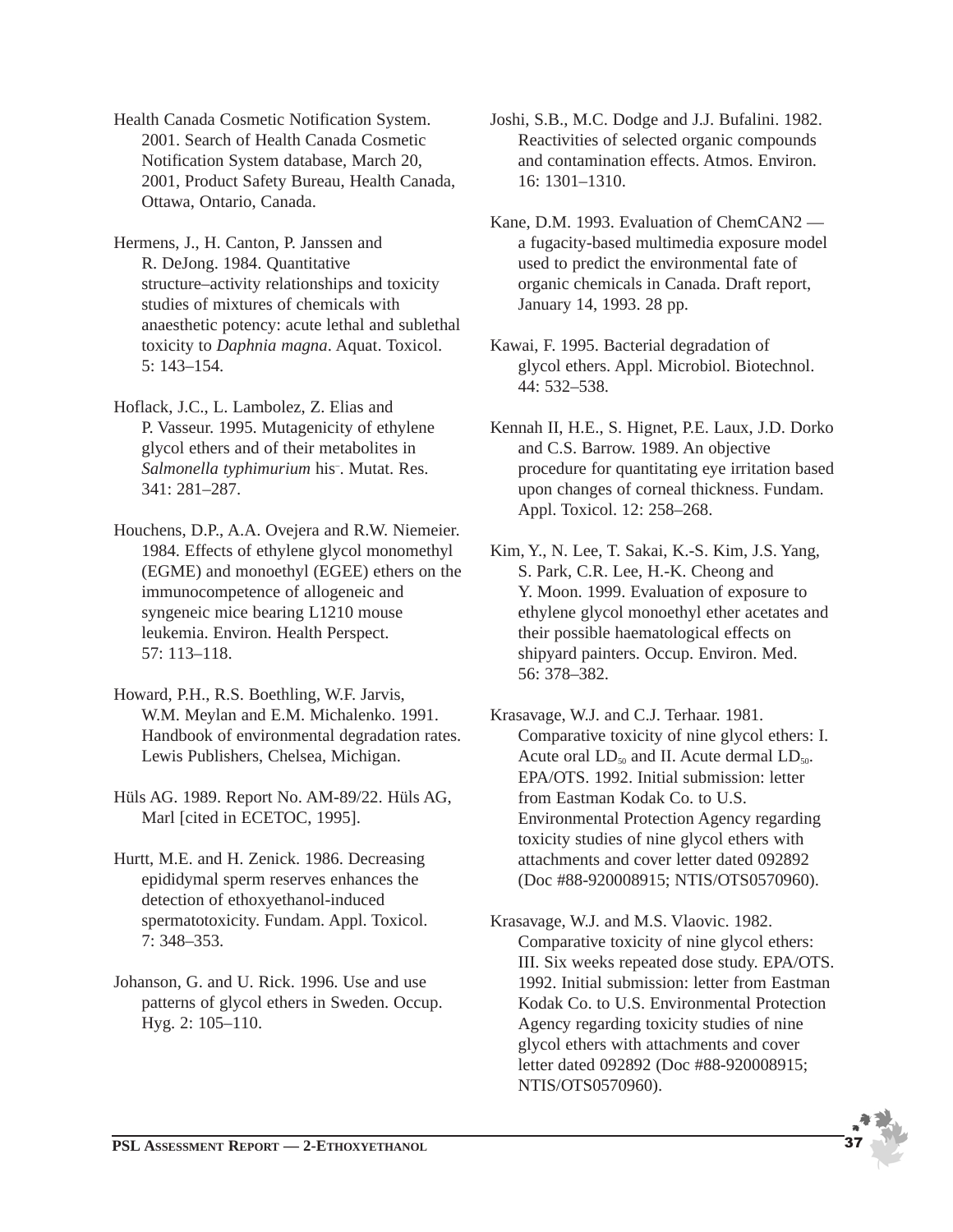Health Canada Cosmetic Notification System. 2001. Search of Health Canada Cosmetic Notification System database, March 20, 2001, Product Safety Bureau, Health Canada, Ottawa, Ontario, Canada.

Hermens, J., H. Canton, P. Janssen and R. DeJong. 1984. Quantitative structure–activity relationships and toxicity studies of mixtures of chemicals with anaesthetic potency: acute lethal and sublethal toxicity to *Daphnia magna*. Aquat. Toxicol. 5: 143–154.

Hoflack, J.C., L. Lambolez, Z. Elias and P. Vasseur. 1995. Mutagenicity of ethylene glycol ethers and of their metabolites in *Salmonella typhimurium* his– . Mutat. Res. 341: 281–287.

Houchens, D.P., A.A. Ovejera and R.W. Niemeier. 1984. Effects of ethylene glycol monomethyl (EGME) and monoethyl (EGEE) ethers on the immunocompetence of allogeneic and syngeneic mice bearing L1210 mouse leukemia. Environ. Health Perspect. 57: 113–118.

Howard, P.H., R.S. Boethling, W.F. Jarvis, W.M. Meylan and E.M. Michalenko. 1991. Handbook of environmental degradation rates. Lewis Publishers, Chelsea, Michigan.

Hüls AG. 1989. Report No. AM-89/22. Hüls AG, Marl [cited in ECETOC, 1995].

Hurtt, M.E. and H. Zenick. 1986. Decreasing epididymal sperm reserves enhances the detection of ethoxyethanol-induced spermatotoxicity. Fundam. Appl. Toxicol. 7: 348–353.

Johanson, G. and U. Rick. 1996. Use and use patterns of glycol ethers in Sweden. Occup. Hyg. 2: 105–110.

Joshi, S.B., M.C. Dodge and J.J. Bufalini. 1982. Reactivities of selected organic compounds and contamination effects. Atmos. Environ. 16: 1301–1310.

Kane, D.M. 1993. Evaluation of ChemCAN2 a fugacity-based multimedia exposure model used to predict the environmental fate of organic chemicals in Canada. Draft report, January 14, 1993. 28 pp.

Kawai, F. 1995. Bacterial degradation of glycol ethers. Appl. Microbiol. Biotechnol. 44: 532–538.

Kennah II, H.E., S. Hignet, P.E. Laux, J.D. Dorko and C.S. Barrow. 1989. An objective procedure for quantitating eye irritation based upon changes of corneal thickness. Fundam. Appl. Toxicol. 12: 258–268.

Kim, Y., N. Lee, T. Sakai, K.-S. Kim, J.S. Yang, S. Park, C.R. Lee, H.-K. Cheong and Y. Moon. 1999. Evaluation of exposure to ethylene glycol monoethyl ether acetates and their possible haematological effects on shipyard painters. Occup. Environ. Med. 56: 378–382.

Krasavage, W.J. and C.J. Terhaar. 1981. Comparative toxicity of nine glycol ethers: I. Acute oral  $LD_{50}$  and II. Acute dermal  $LD_{50}$ . EPA/OTS. 1992. Initial submission: letter from Eastman Kodak Co. to U.S. Environmental Protection Agency regarding toxicity studies of nine glycol ethers with attachments and cover letter dated 092892 (Doc #88-920008915; NTIS/OTS0570960).

Krasavage, W.J. and M.S. Vlaovic. 1982. Comparative toxicity of nine glycol ethers: III. Six weeks repeated dose study. EPA/OTS. 1992. Initial submission: letter from Eastman Kodak Co. to U.S. Environmental Protection Agency regarding toxicity studies of nine glycol ethers with attachments and cover letter dated 092892 (Doc #88-920008915; NTIS/OTS0570960).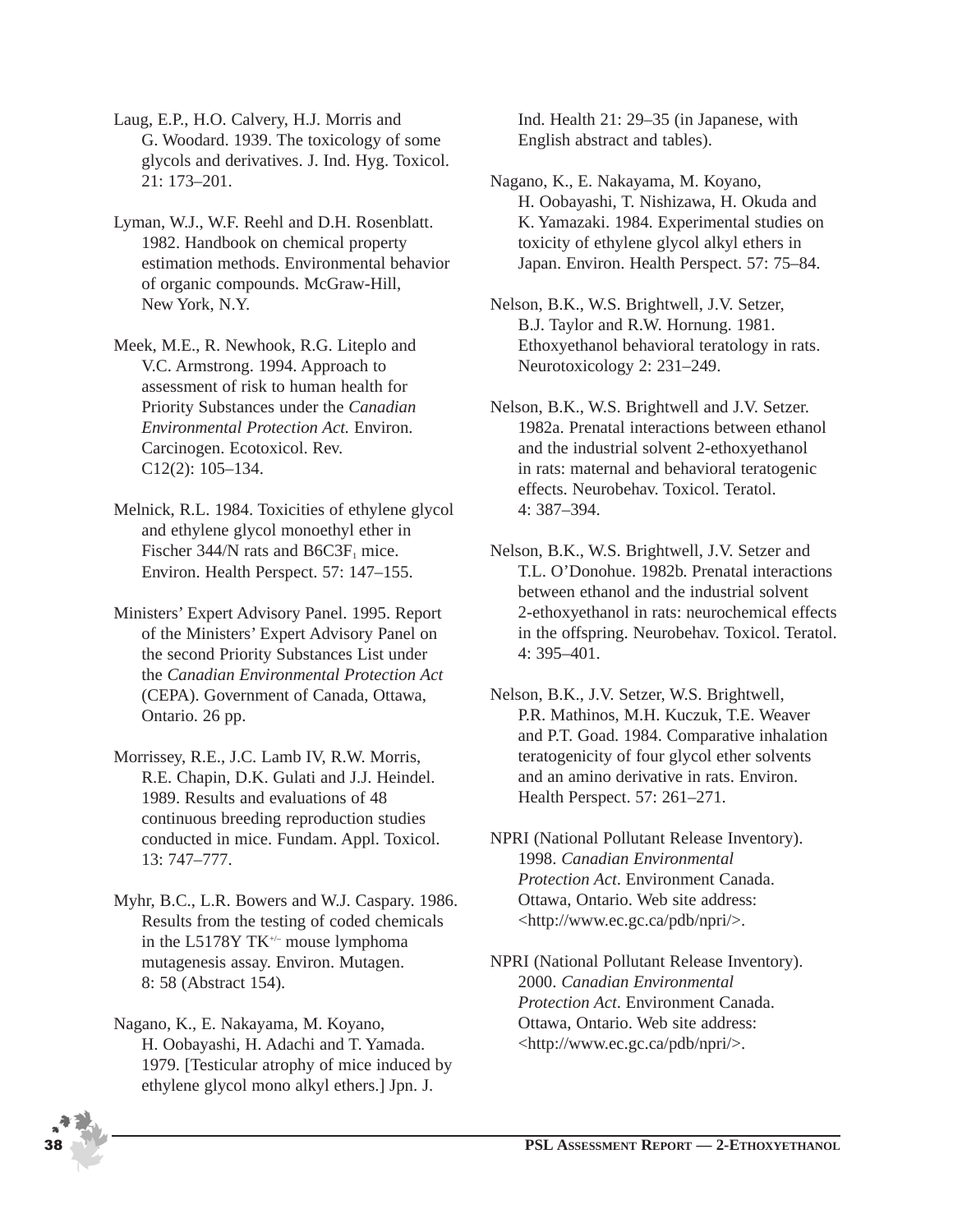Laug, E.P., H.O. Calvery, H.J. Morris and G. Woodard. 1939. The toxicology of some glycols and derivatives. J. Ind. Hyg. Toxicol. 21: 173–201.

- Lyman, W.J., W.F. Reehl and D.H. Rosenblatt. 1982. Handbook on chemical property estimation methods. Environmental behavior of organic compounds. McGraw-Hill, New York, N.Y.
- Meek, M.E., R. Newhook, R.G. Liteplo and V.C. Armstrong. 1994. Approach to assessment of risk to human health for Priority Substances under the *Canadian Environmental Protection Act.* Environ. Carcinogen. Ecotoxicol. Rev. C12(2): 105–134.
- Melnick, R.L. 1984. Toxicities of ethylene glycol and ethylene glycol monoethyl ether in Fischer 344/N rats and B6C3F<sub>1</sub> mice. Environ. Health Perspect. 57: 147–155.
- Ministers' Expert Advisory Panel. 1995. Report of the Ministers' Expert Advisory Panel on the second Priority Substances List under the *Canadian Environmental Protection Act* (CEPA). Government of Canada, Ottawa, Ontario. 26 pp.
- Morrissey, R.E., J.C. Lamb IV, R.W. Morris, R.E. Chapin, D.K. Gulati and J.J. Heindel. 1989. Results and evaluations of 48 continuous breeding reproduction studies conducted in mice. Fundam. Appl. Toxicol. 13: 747–777.
- Myhr, B.C., L.R. Bowers and W.J. Caspary. 1986. Results from the testing of coded chemicals in the L5178Y TK+/– mouse lymphoma mutagenesis assay. Environ. Mutagen. 8: 58 (Abstract 154).
- Nagano, K., E. Nakayama, M. Koyano, H. Oobayashi, H. Adachi and T. Yamada. 1979. [Testicular atrophy of mice induced by ethylene glycol mono alkyl ethers.] Jpn. J.

Ind. Health 21: 29–35 (in Japanese, with English abstract and tables).

- Nagano, K., E. Nakayama, M. Koyano, H. Oobayashi, T. Nishizawa, H. Okuda and K. Yamazaki. 1984. Experimental studies on toxicity of ethylene glycol alkyl ethers in Japan. Environ. Health Perspect. 57: 75–84.
- Nelson, B.K., W.S. Brightwell, J.V. Setzer, B.J. Taylor and R.W. Hornung. 1981. Ethoxyethanol behavioral teratology in rats. Neurotoxicology 2: 231–249.
- Nelson, B.K., W.S. Brightwell and J.V. Setzer. 1982a. Prenatal interactions between ethanol and the industrial solvent 2-ethoxyethanol in rats: maternal and behavioral teratogenic effects. Neurobehav. Toxicol. Teratol. 4: 387–394.
- Nelson, B.K., W.S. Brightwell, J.V. Setzer and T.L. O'Donohue. 1982b. Prenatal interactions between ethanol and the industrial solvent 2-ethoxyethanol in rats: neurochemical effects in the offspring. Neurobehav. Toxicol. Teratol. 4: 395–401.
- Nelson, B.K., J.V. Setzer, W.S. Brightwell, P.R. Mathinos, M.H. Kuczuk, T.E. Weaver and P.T. Goad. 1984. Comparative inhalation teratogenicity of four glycol ether solvents and an amino derivative in rats. Environ. Health Perspect. 57: 261–271.
- NPRI (National Pollutant Release Inventory). 1998. *Canadian Environmental Protection Act*. Environment Canada. Ottawa, Ontario. Web site address: <http://www.ec.gc.ca/pdb/npri/>.
- NPRI (National Pollutant Release Inventory). 2000. *Canadian Environmental Protection Act*. Environment Canada. Ottawa, Ontario. Web site address: <http://www.ec.gc.ca/pdb/npri/>.

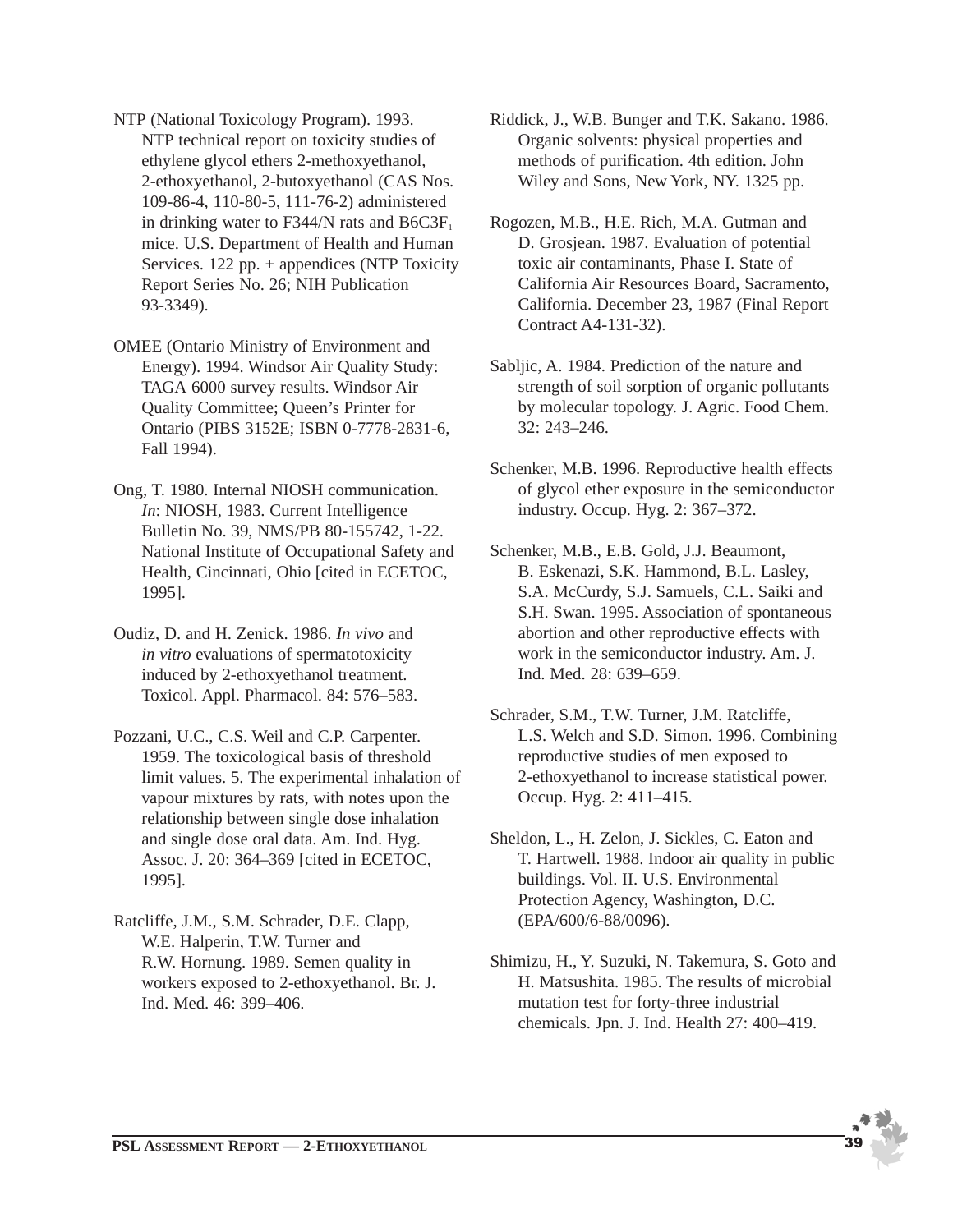NTP (National Toxicology Program). 1993. NTP technical report on toxicity studies of ethylene glycol ethers 2-methoxyethanol, 2-ethoxyethanol, 2-butoxyethanol (CAS Nos. 109-86-4, 110-80-5, 111-76-2) administered in drinking water to F344/N rats and  $B6C3F<sub>1</sub>$ mice. U.S. Department of Health and Human Services. 122 pp. + appendices (NTP Toxicity Report Series No. 26; NIH Publication 93-3349).

OMEE (Ontario Ministry of Environment and Energy). 1994. Windsor Air Quality Study: TAGA 6000 survey results. Windsor Air Quality Committee; Queen's Printer for Ontario (PIBS 3152E; ISBN 0-7778-2831-6, Fall 1994).

Ong, T. 1980. Internal NIOSH communication. *In*: NIOSH, 1983. Current Intelligence Bulletin No. 39, NMS/PB 80-155742, 1-22. National Institute of Occupational Safety and Health, Cincinnati, Ohio [cited in ECETOC, 1995].

Oudiz, D. and H. Zenick. 1986. *In vivo* and *in vitro* evaluations of spermatotoxicity induced by 2-ethoxyethanol treatment. Toxicol. Appl. Pharmacol. 84: 576–583.

Pozzani, U.C., C.S. Weil and C.P. Carpenter. 1959. The toxicological basis of threshold limit values. 5. The experimental inhalation of vapour mixtures by rats, with notes upon the relationship between single dose inhalation and single dose oral data. Am. Ind. Hyg. Assoc. J. 20: 364–369 [cited in ECETOC, 1995].

Ratcliffe, J.M., S.M. Schrader, D.E. Clapp, W.E. Halperin, T.W. Turner and R.W. Hornung. 1989. Semen quality in workers exposed to 2-ethoxyethanol. Br. J. Ind. Med. 46: 399–406.

Riddick, J., W.B. Bunger and T.K. Sakano. 1986. Organic solvents: physical properties and methods of purification. 4th edition. John Wiley and Sons, New York, NY. 1325 pp.

Rogozen, M.B., H.E. Rich, M.A. Gutman and D. Grosjean. 1987. Evaluation of potential toxic air contaminants, Phase I. State of California Air Resources Board, Sacramento, California. December 23, 1987 (Final Report Contract A4-131-32).

Sabljic, A. 1984. Prediction of the nature and strength of soil sorption of organic pollutants by molecular topology. J. Agric. Food Chem. 32: 243–246.

Schenker, M.B. 1996. Reproductive health effects of glycol ether exposure in the semiconductor industry. Occup. Hyg. 2: 367–372.

Schenker, M.B., E.B. Gold, J.J. Beaumont, B. Eskenazi, S.K. Hammond, B.L. Lasley, S.A. McCurdy, S.J. Samuels, C.L. Saiki and S.H. Swan. 1995. Association of spontaneous abortion and other reproductive effects with work in the semiconductor industry. Am. J. Ind. Med. 28: 639–659.

Schrader, S.M., T.W. Turner, J.M. Ratcliffe, L.S. Welch and S.D. Simon. 1996. Combining reproductive studies of men exposed to 2-ethoxyethanol to increase statistical power. Occup. Hyg. 2: 411–415.

Sheldon, L., H. Zelon, J. Sickles, C. Eaton and T. Hartwell. 1988. Indoor air quality in public buildings. Vol. II. U.S. Environmental Protection Agency, Washington, D.C. (EPA/600/6-88/0096).

Shimizu, H., Y. Suzuki, N. Takemura, S. Goto and H. Matsushita. 1985. The results of microbial mutation test for forty-three industrial chemicals. Jpn. J. Ind. Health 27: 400–419.

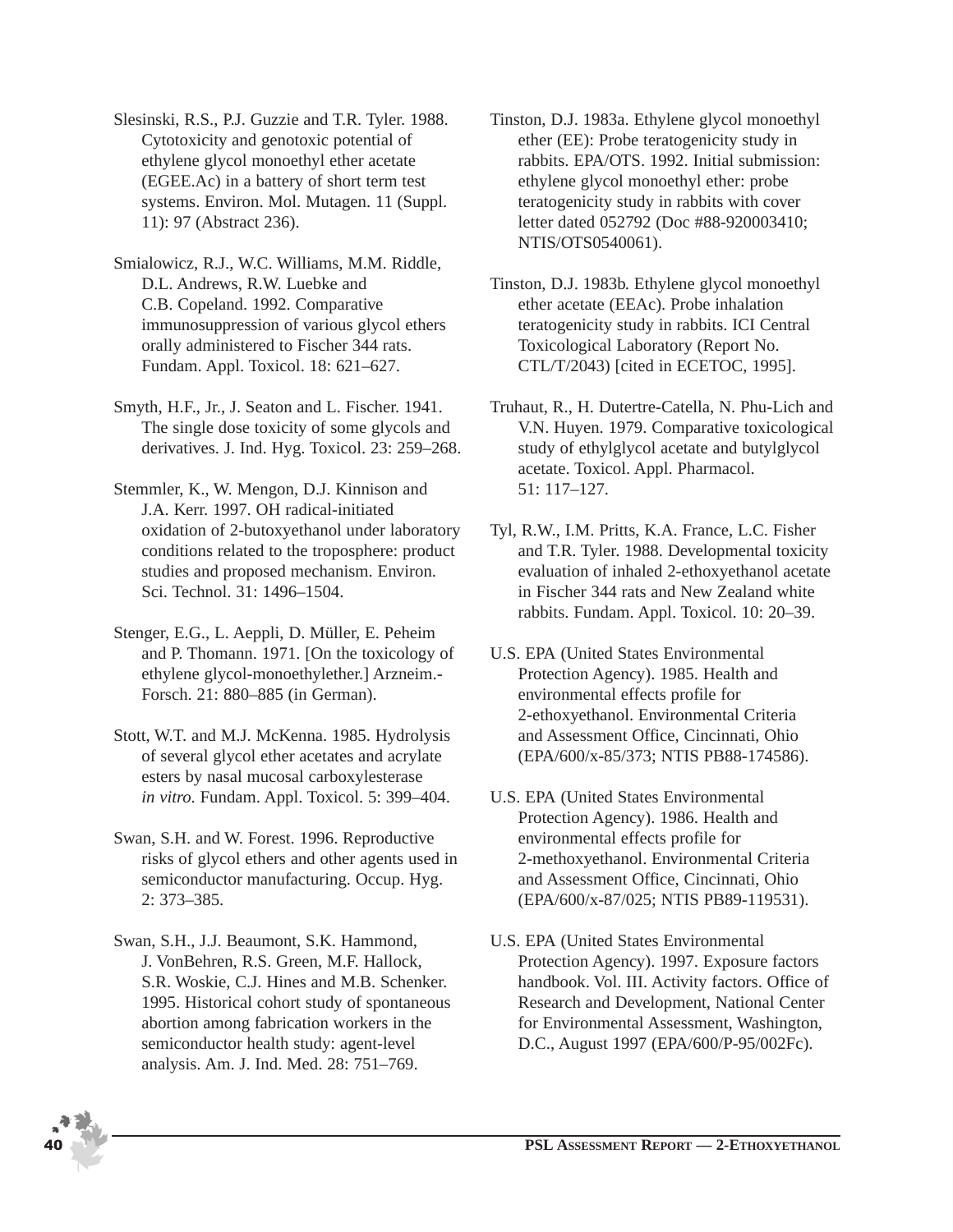Slesinski, R.S., P.J. Guzzie and T.R. Tyler. 1988. Cytotoxicity and genotoxic potential of ethylene glycol monoethyl ether acetate (EGEE.Ac) in a battery of short term test systems. Environ. Mol. Mutagen. 11 (Suppl. 11): 97 (Abstract 236).

- Smialowicz, R.J., W.C. Williams, M.M. Riddle, D.L. Andrews, R.W. Luebke and C.B. Copeland. 1992. Comparative immunosuppression of various glycol ethers orally administered to Fischer 344 rats. Fundam. Appl. Toxicol. 18: 621–627.
- Smyth, H.F., Jr., J. Seaton and L. Fischer. 1941. The single dose toxicity of some glycols and derivatives. J. Ind. Hyg. Toxicol. 23: 259–268.
- Stemmler, K., W. Mengon, D.J. Kinnison and J.A. Kerr. 1997. OH radical-initiated oxidation of 2-butoxyethanol under laboratory conditions related to the troposphere: product studies and proposed mechanism. Environ. Sci. Technol. 31: 1496–1504.
- Stenger, E.G., L. Aeppli, D. Müller, E. Peheim and P. Thomann. 1971. [On the toxicology of ethylene glycol-monoethylether.] Arzneim.- Forsch. 21: 880–885 (in German).
- Stott, W.T. and M.J. McKenna. 1985. Hydrolysis of several glycol ether acetates and acrylate esters by nasal mucosal carboxylesterase *in vitro*. Fundam. Appl. Toxicol. 5: 399–404.
- Swan, S.H. and W. Forest. 1996. Reproductive risks of glycol ethers and other agents used in semiconductor manufacturing. Occup. Hyg. 2: 373–385.
- Swan, S.H., J.J. Beaumont, S.K. Hammond, J. VonBehren, R.S. Green, M.F. Hallock, S.R. Woskie, C.J. Hines and M.B. Schenker. 1995. Historical cohort study of spontaneous abortion among fabrication workers in the semiconductor health study: agent-level analysis. Am. J. Ind. Med. 28: 751–769.
- Tinston, D.J. 1983a. Ethylene glycol monoethyl ether (EE): Probe teratogenicity study in rabbits. EPA/OTS. 1992. Initial submission: ethylene glycol monoethyl ether: probe teratogenicity study in rabbits with cover letter dated 052792 (Doc #88-920003410; NTIS/OTS0540061).
- Tinston, D.J. 1983b. Ethylene glycol monoethyl ether acetate (EEAc). Probe inhalation teratogenicity study in rabbits. ICI Central Toxicological Laboratory (Report No. CTL/T/2043) [cited in ECETOC, 1995].
- Truhaut, R., H. Dutertre-Catella, N. Phu-Lich and V.N. Huyen. 1979. Comparative toxicological study of ethylglycol acetate and butylglycol acetate. Toxicol. Appl. Pharmacol. 51: 117–127.
- Tyl, R.W., I.M. Pritts, K.A. France, L.C. Fisher and T.R. Tyler. 1988. Developmental toxicity evaluation of inhaled 2-ethoxyethanol acetate in Fischer 344 rats and New Zealand white rabbits. Fundam. Appl. Toxicol. 10: 20–39.
- U.S. EPA (United States Environmental Protection Agency). 1985. Health and environmental effects profile for 2-ethoxyethanol. Environmental Criteria and Assessment Office, Cincinnati, Ohio (EPA/600/x-85/373; NTIS PB88-174586).
- U.S. EPA (United States Environmental Protection Agency). 1986. Health and environmental effects profile for 2-methoxyethanol. Environmental Criteria and Assessment Office, Cincinnati, Ohio (EPA/600/x-87/025; NTIS PB89-119531).
- U.S. EPA (United States Environmental Protection Agency). 1997. Exposure factors handbook. Vol. III. Activity factors. Office of Research and Development, National Center for Environmental Assessment, Washington, D.C., August 1997 (EPA/600/P-95/002Fc).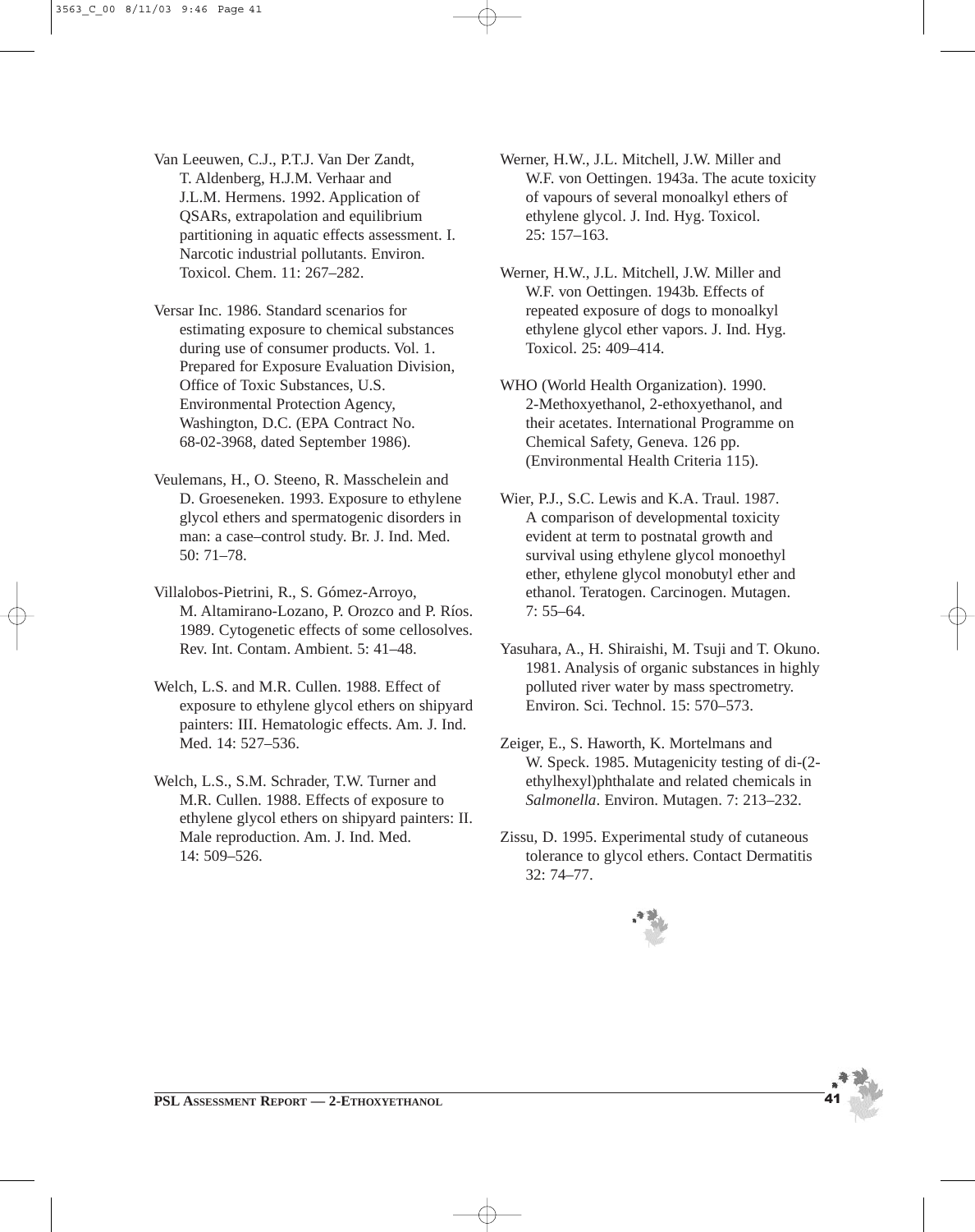Van Leeuwen, C.J., P.T.J. Van Der Zandt, T. Aldenberg, H.J.M. Verhaar and J.L.M. Hermens. 1992. Application of QSARs, extrapolation and equilibrium partitioning in aquatic effects assessment. I. Narcotic industrial pollutants. Environ. Toxicol. Chem. 11: 267–282.

Versar Inc. 1986. Standard scenarios for estimating exposure to chemical substances during use of consumer products. Vol. 1. Prepared for Exposure Evaluation Division, Office of Toxic Substances, U.S. Environmental Protection Agency, Washington, D.C. (EPA Contract No. 68-02-3968, dated September 1986).

Veulemans, H., O. Steeno, R. Masschelein and D. Groeseneken. 1993. Exposure to ethylene glycol ethers and spermatogenic disorders in man: a case–control study. Br. J. Ind. Med. 50: 71–78.

Villalobos-Pietrini, R., S. Gómez-Arroyo, M. Altamirano-Lozano, P. Orozco and P. Ríos. 1989. Cytogenetic effects of some cellosolves. Rev. Int. Contam. Ambient. 5: 41–48.

Welch, L.S. and M.R. Cullen. 1988. Effect of exposure to ethylene glycol ethers on shipyard painters: III. Hematologic effects. Am. J. Ind. Med. 14: 527–536.

Welch, L.S., S.M. Schrader, T.W. Turner and M.R. Cullen. 1988. Effects of exposure to ethylene glycol ethers on shipyard painters: II. Male reproduction. Am. J. Ind. Med. 14: 509–526.

Werner, H.W., J.L. Mitchell, J.W. Miller and W.F. von Oettingen. 1943a. The acute toxicity of vapours of several monoalkyl ethers of ethylene glycol. J. Ind. Hyg. Toxicol. 25: 157–163.

Werner, H.W., J.L. Mitchell, J.W. Miller and W.F. von Oettingen. 1943b. Effects of repeated exposure of dogs to monoalkyl ethylene glycol ether vapors. J. Ind. Hyg. Toxicol. 25: 409–414.

WHO (World Health Organization). 1990. 2-Methoxyethanol, 2-ethoxyethanol, and their acetates. International Programme on Chemical Safety, Geneva. 126 pp. (Environmental Health Criteria 115).

Wier, P.J., S.C. Lewis and K.A. Traul. 1987. A comparison of developmental toxicity evident at term to postnatal growth and survival using ethylene glycol monoethyl ether, ethylene glycol monobutyl ether and ethanol. Teratogen. Carcinogen. Mutagen. 7: 55–64.

- Yasuhara, A., H. Shiraishi, M. Tsuji and T. Okuno. 1981. Analysis of organic substances in highly polluted river water by mass spectrometry. Environ. Sci. Technol. 15: 570–573.
- Zeiger, E., S. Haworth, K. Mortelmans and W. Speck. 1985. Mutagenicity testing of di-(2 ethylhexyl)phthalate and related chemicals in *Salmonella*. Environ. Mutagen. 7: 213–232.
- Zissu, D. 1995. Experimental study of cutaneous tolerance to glycol ethers. Contact Dermatitis 32: 74–77.

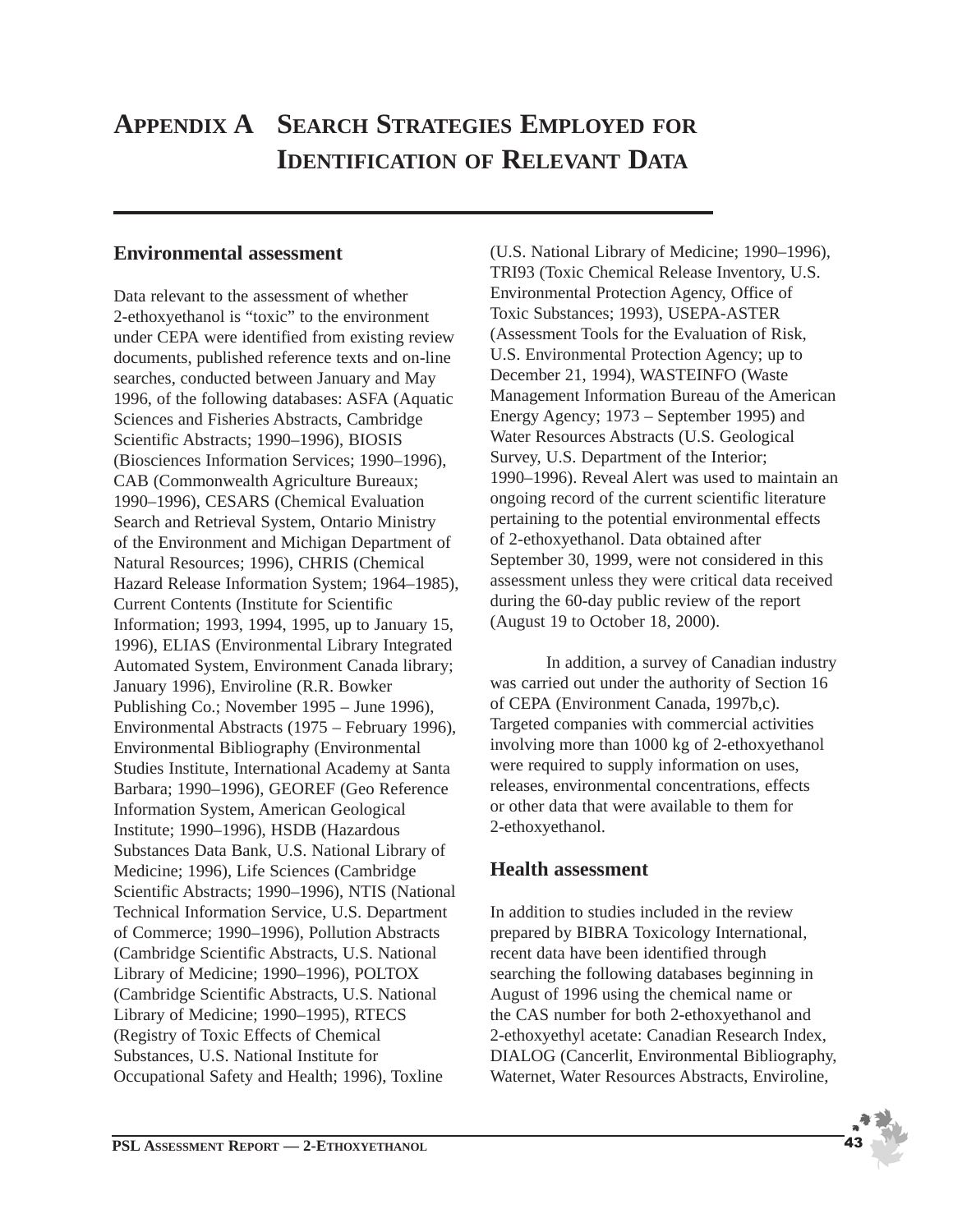## **APPENDIX A SEARCH STRATEGIES EMPLOYED FOR IDENTIFICATION OF RELEVANT DATA**

## **Environmental assessment**

Data relevant to the assessment of whether 2-ethoxyethanol is "toxic" to the environment under CEPA were identified from existing review documents, published reference texts and on-line searches, conducted between January and May 1996, of the following databases: ASFA (Aquatic Sciences and Fisheries Abstracts, Cambridge Scientific Abstracts; 1990–1996), BIOSIS (Biosciences Information Services; 1990–1996), CAB (Commonwealth Agriculture Bureaux; 1990–1996), CESARS (Chemical Evaluation Search and Retrieval System, Ontario Ministry of the Environment and Michigan Department of Natural Resources; 1996), CHRIS (Chemical Hazard Release Information System; 1964–1985), Current Contents (Institute for Scientific Information; 1993, 1994, 1995, up to January 15, 1996), ELIAS (Environmental Library Integrated Automated System, Environment Canada library; January 1996), Enviroline (R.R. Bowker Publishing Co.; November 1995 – June 1996), Environmental Abstracts (1975 – February 1996), Environmental Bibliography (Environmental Studies Institute, International Academy at Santa Barbara; 1990–1996), GEOREF (Geo Reference Information System, American Geological Institute; 1990–1996), HSDB (Hazardous Substances Data Bank, U.S. National Library of Medicine; 1996), Life Sciences (Cambridge Scientific Abstracts; 1990–1996), NTIS (National Technical Information Service, U.S. Department of Commerce; 1990–1996), Pollution Abstracts (Cambridge Scientific Abstracts, U.S. National Library of Medicine; 1990–1996), POLTOX (Cambridge Scientific Abstracts, U.S. National Library of Medicine; 1990–1995), RTECS (Registry of Toxic Effects of Chemical Substances, U.S. National Institute for Occupational Safety and Health; 1996), Toxline

(U.S. National Library of Medicine; 1990–1996), TRI93 (Toxic Chemical Release Inventory, U.S. Environmental Protection Agency, Office of Toxic Substances; 1993), USEPA-ASTER (Assessment Tools for the Evaluation of Risk, U.S. Environmental Protection Agency; up to December 21, 1994), WASTEINFO (Waste Management Information Bureau of the American Energy Agency; 1973 – September 1995) and Water Resources Abstracts (U.S. Geological Survey, U.S. Department of the Interior; 1990–1996). Reveal Alert was used to maintain an ongoing record of the current scientific literature pertaining to the potential environmental effects of 2-ethoxyethanol. Data obtained after September 30, 1999, were not considered in this assessment unless they were critical data received during the 60-day public review of the report (August 19 to October 18, 2000).

In addition, a survey of Canadian industry was carried out under the authority of Section 16 of CEPA (Environment Canada, 1997b,c). Targeted companies with commercial activities involving more than 1000 kg of 2-ethoxyethanol were required to supply information on uses, releases, environmental concentrations, effects or other data that were available to them for 2-ethoxyethanol.

## **Health assessment**

In addition to studies included in the review prepared by BIBRA Toxicology International, recent data have been identified through searching the following databases beginning in August of 1996 using the chemical name or the CAS number for both 2-ethoxyethanol and 2-ethoxyethyl acetate: Canadian Research Index, DIALOG (Cancerlit, Environmental Bibliography, Waternet, Water Resources Abstracts, Enviroline,